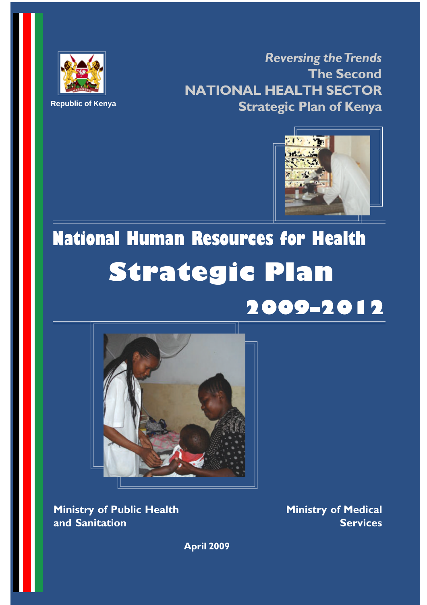

*Reversing the Trends* **The Second NATIONAL HEALTH SECTOR Strategic Plan of Kenya Republic of Kenya**



# **National Human Resources for Health Strategic Plan 2009–2012**



**Ministry of Public Health Ministry of Medical and Sanitation Services**

**April 2009**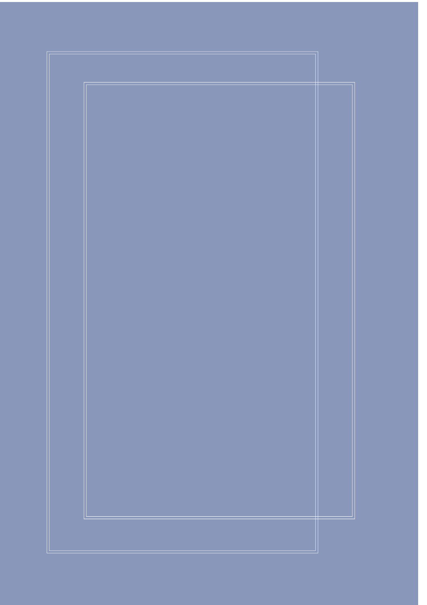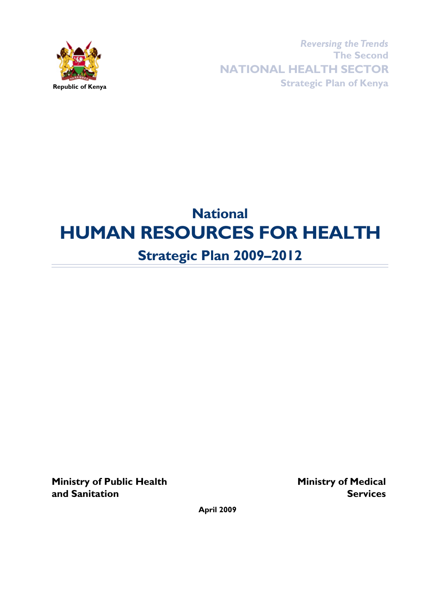

*Reversing the Trends* **The Second NATIONAL HEALTH SECTOR Republic of Kenya Republic of Kenya Republic of Kenya** 

## **National HUMAN RESOURCES FOR HEALTH Strategic Plan 2009–2012**

**Ministry of Public Health Ministry of Medical and Sanitation Services**

 **April 2009**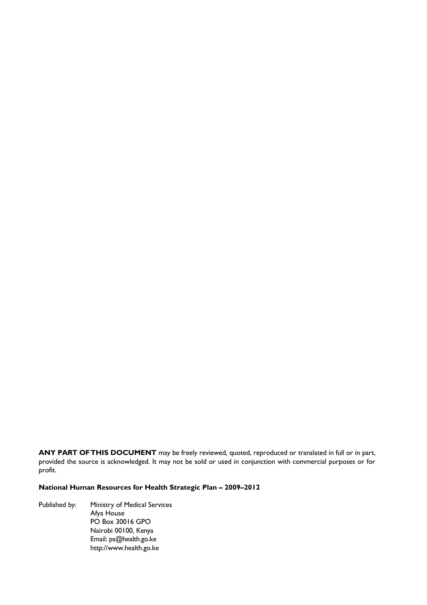**ANY PART OF THIS DOCUMENT** may be freely reviewed, quoted, reproduced or translated in full or in part, provided the source is acknowledged. It may not be sold or used in conjunction with commercial purposes or for profit.

**National Human Resources for Health Strategic Plan – 2009–2012**

Published by: Ministry of Medical Services Afya House PO Box 30016 GPO Nairobi 00100, Kenya Email: ps@health.go.ke http://www.health.go.ke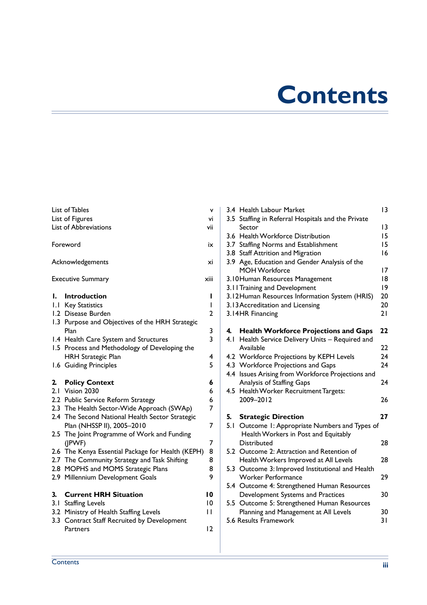# **Contents**

|      | List of Tables                                    | ٧              |
|------|---------------------------------------------------|----------------|
|      | List of Figures                                   | vi             |
|      | List of Abbreviations                             | vii            |
|      |                                                   |                |
|      | Foreword                                          | ix             |
|      |                                                   |                |
|      | Acknowledgements                                  | xi             |
|      |                                                   |                |
|      | <b>Executive Summary</b>                          | xiii           |
|      |                                                   |                |
| I. I | <b>Introduction</b>                               | ı              |
|      | 1.1 Key Statistics                                | T              |
|      | 1.2 Disease Burden                                | $\overline{2}$ |
|      | 1.3 Purpose and Objectives of the HRH Strategic   |                |
|      | Plan                                              | 3              |
|      | 1.4 Health Care System and Structures             | 3              |
|      | 1.5 Process and Methodology of Developing the     |                |
|      | <b>HRH Strategic Plan</b>                         | 4              |
|      | 1.6 Guiding Principles                            | 5              |
|      |                                                   |                |
|      |                                                   |                |
|      |                                                   |                |
|      | 2. Policy Context                                 | 6              |
|      | 2.1 Vision 2030                                   | 6              |
|      | 2.2 Public Service Reform Strategy                | 6              |
|      | 2.3 The Health Sector-Wide Approach (SWAp)        | 7              |
|      | 2.4 The Second National Health Sector Strategic   |                |
|      | Plan (NHSSP II), 2005-2010                        | 7              |
|      | 2.5 The Joint Programme of Work and Funding       |                |
|      | (JPWF)                                            | 7              |
|      | 2.6 The Kenya Essential Package for Health (KEPH) | 8              |
|      | 2.7 The Community Strategy and Task Shifting      | 8              |
|      | 2.8 MOPHS and MOMS Strategic Plans                | 8              |
|      | 2.9 Millennium Development Goals                  | 9              |
|      |                                                   |                |
| 3.   | <b>Current HRH Situation</b>                      | 10             |
|      | 3.1 Staffing Levels                               | 10             |
|      | 3.2 Ministry of Health Staffing Levels            | П              |
|      | 3.3 Contract Staff Recruited by Development       |                |
|      | Partners                                          | 2              |

|    | 3.4 Health Labour Market<br>3.5 Staffing in Referral Hospitals and the Private          | 13 |
|----|-----------------------------------------------------------------------------------------|----|
|    | Sector                                                                                  | 13 |
|    | 3.6 Health Workforce Distribution                                                       | 15 |
|    | 3.7 Staffing Norms and Establishment                                                    | 15 |
|    | 3.8 Staff Attrition and Migration                                                       | 16 |
|    | 3.9 Age, Education and Gender Analysis of the                                           |    |
|    | <b>MOH Workforce</b>                                                                    | 17 |
|    | 3.10 Human Resources Management                                                         | 18 |
|    | 3.11 Training and Development                                                           | 19 |
|    | 3.12 Human Resources Information System (HRIS)                                          | 20 |
|    | 3.13 Accreditation and Licensing                                                        | 20 |
|    | 3.14HR Financing                                                                        | 21 |
|    | 4. Health Workforce Projections and Gaps                                                | 22 |
|    | 4.1 Health Service Delivery Units - Required and                                        |    |
|    | Available                                                                               | 22 |
|    | 4.2 Workforce Projections by KEPH Levels                                                | 24 |
|    | 4.3 Workforce Projections and Gaps                                                      | 24 |
|    | 4.4 Issues Arising from Workforce Projections and                                       | 24 |
|    | Analysis of Staffing Gaps<br>4.5 Health Worker Recruitment Targets:                     |    |
|    | 2009-2012                                                                               | 26 |
|    |                                                                                         |    |
| 5. | <b>Strategic Direction</b>                                                              | 27 |
|    | 5.1 Outcome 1: Appropriate Numbers and Types of<br>Health Workers in Post and Equitably |    |
|    | Distributed                                                                             | 28 |
|    | 5.2 Outcome 2: Attraction and Retention of                                              |    |
|    | Health Workers Improved at All Levels                                                   | 28 |
|    | 5.3 Outcome 3: Improved Institutional and Health                                        |    |
|    | <b>Worker Performance</b>                                                               | 29 |
|    | 5.4 Outcome 4: Strengthened Human Resources                                             |    |
|    | Development Systems and Practices                                                       | 30 |
|    | 5.5 Outcome 5: Strengthened Human Resources                                             |    |
|    | Planning and Management at All Levels                                                   | 30 |
|    | 5.6 Results Framework                                                                   | 31 |
|    |                                                                                         |    |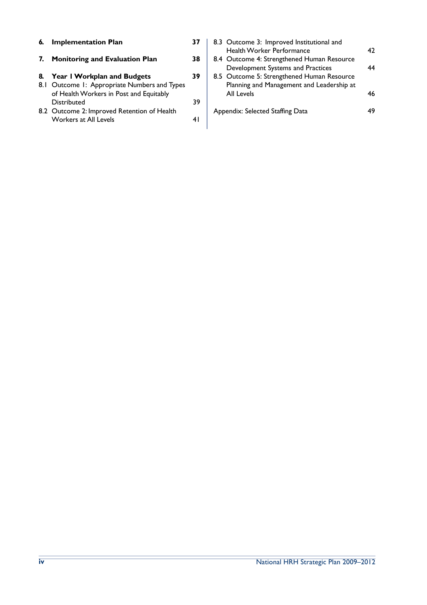|    | 6. Implementation Plan             | 37 |
|----|------------------------------------|----|
|    | 7. Monitoring and Evaluation Plan  | 38 |
| 8. | <b>Year I Workplan and Budgets</b> | 39 |

| 8.1 Outcome 1: Appropriate Numbers and Types |    |  |
|----------------------------------------------|----|--|
| of Health Workers in Post and Equitably      |    |  |
| Distributed                                  | 39 |  |
|                                              |    |  |

| 8.2 Outcome 2: Improved Retention of Health |     |
|---------------------------------------------|-----|
| Workers at All Levels                       | 4 I |

|  | 8.3 Outcome 3: Improved Institutional and  |    |
|--|--------------------------------------------|----|
|  | <b>Health Worker Performance</b>           | 47 |
|  | 8.4 Outcome 4: Strengthened Human Resource |    |
|  | Development Systems and Practices          |    |
|  | 8.5 Outcome 5: Strengthened Human Resource |    |
|  | Planning and Management and Leadership at  |    |
|  | <b>All Levels</b>                          | 46 |
|  |                                            |    |
|  | Appendix: Selected Staffing Data           |    |
|  |                                            |    |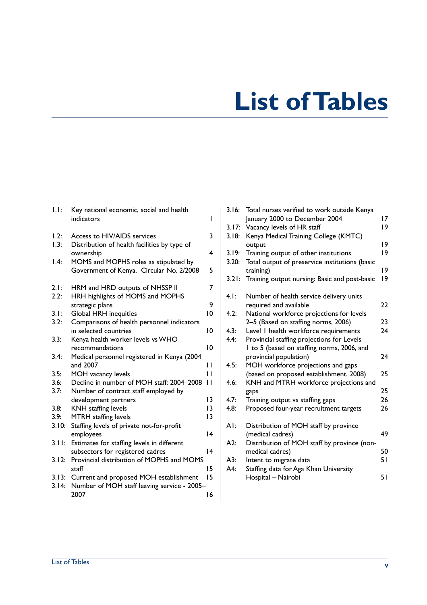# **List of Tables**

| 1.1:             | Key national economic, social and health<br>indicators                                      | I               |
|------------------|---------------------------------------------------------------------------------------------|-----------------|
| 1.2:             | Access to HIV/AIDS services                                                                 | 3               |
| 1.3:             | Distribution of health facilities by type of<br>ownership                                   | 4               |
| 1.4:             | MOMS and MOPHS roles as stipulated by<br>Government of Kenya, Circular No. 2/2008           | 5               |
| 2.1:<br>2.2:     | HRM and HRD outputs of NHSSP II<br>HRH highlights of MOMS and MOPHS                         | 7               |
|                  | strategic plans                                                                             | 9               |
| 3.1:             | <b>Global HRH</b> inequities                                                                | $\overline{0}$  |
| 3.2:             | Comparisons of health personnel indicators<br>in selected countries                         | $\overline{10}$ |
| 3.3:             | Kenya health worker levels vs WHO<br>recommendations                                        | 10              |
| 3.4:             | Medical personnel registered in Kenya (2004<br>and 2007                                     | П               |
| 3.5:             | MOH vacancy levels                                                                          | П               |
| 3.6:<br>3.7:     | Decline in number of MOH staff: 2004-2008<br>Number of contract staff employed by           | П               |
|                  | development partners                                                                        | $\overline{13}$ |
| 3.8 <sub>1</sub> | <b>KNH</b> staffing levels                                                                  | $\overline{13}$ |
| 3.9:             | <b>MTRH</b> staffing levels                                                                 | 3               |
| 3.10:            | Staffing levels of private not-for-profit<br>employees                                      | 4               |
| 3.11:            | Estimates for staffing levels in different<br>subsectors for registered cadres              | 4               |
| 3.12:            | Provincial distribution of MOPHS and MOMS                                                   |                 |
|                  | staff                                                                                       | 15              |
| 3.14:            | 3.13: Current and proposed MOH establishment<br>Number of MOH staff leaving service - 2005- | 15              |
|                  | 2007                                                                                        | ۱6              |

| 3.16: | Total nurses verified to work outside Kenya<br>January 2000 to December 2004 | 17 |
|-------|------------------------------------------------------------------------------|----|
| 3.17: | Vacancy levels of HR staff                                                   | 19 |
| 3.18: | Kenya Medical Training College (KMTC)                                        |    |
|       | output                                                                       | 19 |
| 3.19: | Training output of other institutions                                        | 19 |
| 3.20: | Total output of preservice institutions (basic                               |    |
|       | training)                                                                    | 19 |
| 3.21: | Training output nursing: Basic and post-basic                                | 19 |
| 4.1:  | Number of health service delivery units                                      |    |
|       | required and available                                                       | 22 |
| 4.2:  | National workforce projections for levels                                    |    |
|       | 2-5 (Based on staffing norms, 2006)                                          | 23 |
| 4.3:  | Level I health workforce requirements                                        | 24 |
| 4.4:  | Provincial staffing projections for Levels                                   |    |
|       | I to 5 (based on staffing norms, 2006, and                                   |    |
|       | provincial population)                                                       | 24 |
| 4.5:  | MOH workforce projections and gaps                                           |    |
|       | (based on proposed establishment, 2008)                                      | 25 |
| 4.6:  | KNH and MTRH workforce projections and                                       |    |
|       | gaps                                                                         | 25 |
| 4.7:  | Training output vs staffing gaps                                             | 26 |
| 4.8:  | Proposed four-year recruitment targets                                       | 26 |
| AI:   | Distribution of MOH staff by province                                        |    |
|       | (medical cadres)                                                             | 49 |
| A2:   | Distribution of MOH staff by province (non-                                  |    |
|       | medical cadres)                                                              | 50 |
| A3:   | Intent to migrate data                                                       | 51 |
| A4:   | Staffing data for Aga Khan University                                        |    |
|       | Hospital - Nairobi                                                           | 51 |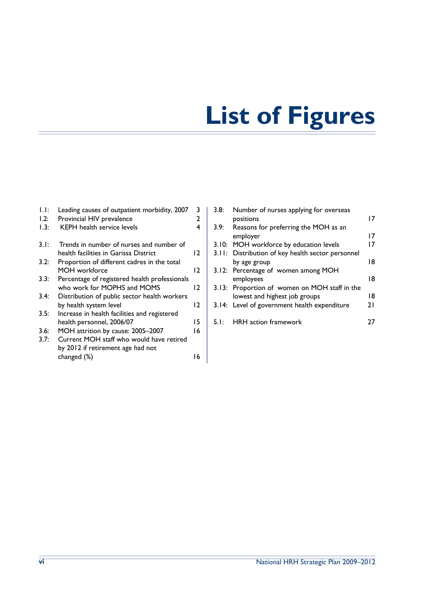# **List of Figures**

| L!   | Leading causes of outpatient morbidity, 2007  | 3  |
|------|-----------------------------------------------|----|
| 1.2: | Provincial HIV prevalence                     | 2  |
| 1.3: | <b>KEPH</b> health service levels             | 4  |
| 3.1: | Trends in number of nurses and number of      |    |
|      | health facilities in Garissa District         | 12 |
| 3.2: | Proportion of different cadres in the total   |    |
|      | MOH workforce                                 | 12 |
| 3.3: | Percentage of registered health professionals |    |
|      | who work for MOPHS and MOMS                   | 12 |
| 3.4: | Distribution of public sector health workers  |    |
|      | by health system level                        | 12 |
| 3.5: | Increase in health facilities and registered  |    |
|      | health personnel, 2006/07                     | 15 |
| 3.6: | MOH attrition by cause: 2005-2007             | 16 |
| 3.7: | Current MOH staff who would have retired      |    |
|      | by 2012 if retirement age had not             |    |
|      | changed (%)                                   | 16 |
|      |                                               |    |

| 3.8: | Number of nurses applying for overseas<br>positions | 17 |
|------|-----------------------------------------------------|----|
| 3.9: | Reasons for preferring the MOH as an<br>employer    | 17 |
|      | 3.10: MOH workforce by education levels             | 17 |
|      | 3.11: Distribution of key health sector personnel   |    |
|      | by age group                                        | 18 |
|      | 3.12: Percentage of women among MOH                 |    |
|      | employees                                           | 18 |
|      | 3.13: Proportion of women on MOH staff in the       |    |
|      | lowest and highest job groups                       | 18 |
|      | 3.14: Level of government health expenditure        | 21 |
|      |                                                     |    |
| 5.1: | <b>HRH</b> action framework                         |    |
|      |                                                     |    |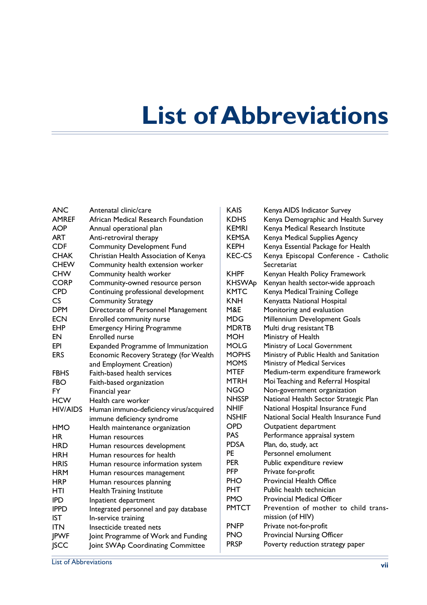# **List of Abbreviations**

| <b>ANC</b>      | Antenatal clinic/care                  | <b>KAIS</b>   | Kenya AIDS Indicator Survey              |
|-----------------|----------------------------------------|---------------|------------------------------------------|
| <b>AMREF</b>    | African Medical Research Foundation    | <b>KDHS</b>   | Kenya Demographic and Health Survey      |
| <b>AOP</b>      | Annual operational plan                | <b>KEMRI</b>  | Kenya Medical Research Institute         |
| <b>ART</b>      | Anti-retroviral therapy                | <b>KEMSA</b>  | Kenya Medical Supplies Agency            |
| <b>CDF</b>      | <b>Community Development Fund</b>      | <b>KEPH</b>   | Kenya Essential Package for Health       |
| <b>CHAK</b>     | Christian Health Association of Kenya  | <b>KEC-CS</b> | Kenya Episcopal Conference - Catholic    |
| <b>CHEW</b>     | Community health extension worker      |               | Secretariat                              |
| <b>CHW</b>      | Community health worker                | <b>KHPF</b>   | Kenyan Health Policy Framework           |
| <b>CORP</b>     | Community-owned resource person        | <b>KHSWAp</b> | Kenyan health sector-wide approach       |
| <b>CPD</b>      | Continuing professional development    | <b>KMTC</b>   | Kenya Medical Training College           |
| CS              | <b>Community Strategy</b>              | <b>KNH</b>    | Kenyatta National Hospital               |
| <b>DPM</b>      | Directorate of Personnel Management    | M&E           | Monitoring and evaluation                |
| <b>ECN</b>      | Enrolled community nurse               | <b>MDG</b>    | Millennium Development Goals             |
| <b>EHP</b>      | <b>Emergency Hiring Programme</b>      | <b>MDRTB</b>  | Multi drug resistant TB                  |
| EN              | Enrolled nurse                         | <b>MOH</b>    | Ministry of Health                       |
| <b>EPI</b>      | Expanded Programme of Immunization     | <b>MOLG</b>   | Ministry of Local Government             |
| <b>ERS</b>      | Economic Recovery Strategy (for Wealth | <b>MOPHS</b>  | Ministry of Public Health and Sanitation |
|                 | and Employment Creation)               | <b>MOMS</b>   | Ministry of Medical Services             |
| <b>FBHS</b>     | Faith-based health services            | <b>MTEF</b>   | Medium-term expenditure framework        |
| <b>FBO</b>      | Faith-based organization               | <b>MTRH</b>   | Moi Teaching and Referral Hospital       |
| <b>FY</b>       | Financial year                         | <b>NGO</b>    | Non-government organization              |
| <b>HCW</b>      | Health care worker                     | <b>NHSSP</b>  | National Health Sector Strategic Plan    |
| <b>HIV/AIDS</b> | Human immuno-deficiency virus/acquired | <b>NHIF</b>   | National Hospital Insurance Fund         |
|                 | immune deficiency syndrome             | <b>NSHIF</b>  | National Social Health Insurance Fund    |
| <b>HMO</b>      | Health maintenance organization        | <b>OPD</b>    | Outpatient department                    |
| <b>HR</b>       | Human resources                        | <b>PAS</b>    | Performance appraisal system             |
| <b>HRD</b>      | Human resources development            | <b>PDSA</b>   | Plan, do, study, act                     |
| <b>HRH</b>      | Human resources for health             | PE            | Personnel emolument                      |
| <b>HRIS</b>     | Human resource information system      | <b>PER</b>    | Public expenditure review                |
| <b>HRM</b>      | Human resources management             | <b>PFP</b>    | Private for-profit                       |
| <b>HRP</b>      | Human resources planning               | PHO           | Provincial Health Office                 |
| HTI             | <b>Health Training Institute</b>       | <b>PHT</b>    | Public health technician                 |
| <b>IPD</b>      | Inpatient department                   | <b>PMO</b>    | <b>Provincial Medical Officer</b>        |
| <b>IPPD</b>     | Integrated personnel and pay database  | <b>PMTCT</b>  | Prevention of mother to child trans-     |
| <b>IST</b>      | In-service training                    |               | mission (of HIV)                         |
| <b>ITN</b>      | Insecticide treated nets               | <b>PNFP</b>   | Private not-for-profit                   |
| <b>IPWF</b>     | Joint Programme of Work and Funding    | <b>PNO</b>    | Provincial Nursing Officer               |
| <b>ISCC</b>     | Joint SWAp Coordinating Committee      | <b>PRSP</b>   | Poverty reduction strategy paper         |
|                 |                                        |               |                                          |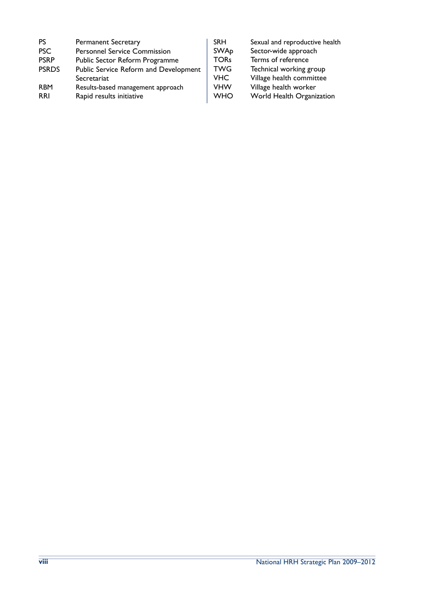| <b>PS</b>    | <b>Permanent Secretary</b>            | <b>SRH</b>             | Sexual and reproductive health |
|--------------|---------------------------------------|------------------------|--------------------------------|
| PSC.         | <b>Personnel Service Commission</b>   | <b>SWA<sub>p</sub></b> | Sector-wide approach           |
| <b>PSRP</b>  | Public Sector Reform Programme        | <b>TORs</b>            | Terms of reference             |
| <b>PSRDS</b> | Public Service Reform and Development | <b>TWG</b>             | Technical working group        |
|              | Secretariat                           | <b>VHC</b>             | Village health committee       |
| <b>RBM</b>   | Results-based management approach     | <b>VHW</b>             | Village health worker          |
| <b>RRI</b>   | Rapid results initiative              | <b>WHO</b>             | World Health Organization      |
|              |                                       |                        |                                |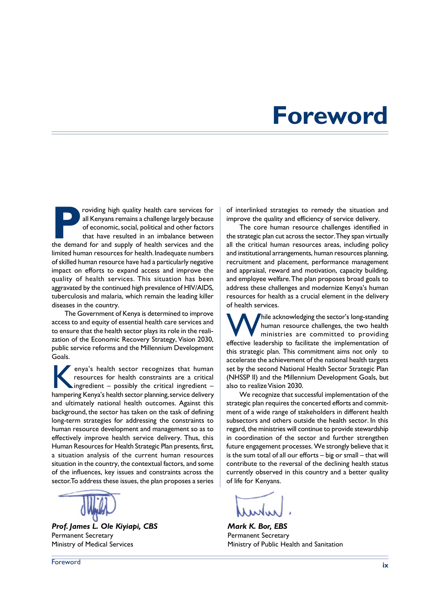## **Foreword**

**P** the demand for and supply of health services and the roviding high quality health care services for all Kenyans remains a challenge largely because of economic, social, political and other factors that have resulted in an imbalance between limited human resources for health. Inadequate numbers of skilled human resource have had a particularly negative impact on efforts to expand access and improve the quality of health services. This situation has been aggravated by the continued high prevalence of HIV/AIDS, tuberculosis and malaria, which remain the leading killer diseases in the country.

The Government of Kenya is determined to improve access to and equity of essential health care services and to ensure that the health sector plays its role in the realization of the Economic Recovery Strategy, Vision 2030, public service reforms and the Millennium Development Goals.

enya's health sector recognizes that human<br>resources for health constraints are a critical<br>hampering Kenya's health sector planning, service delivery enya's health sector recognizes that human resources for health constraints are a critical ingredient – possibly the critical ingredient – and ultimately national health outcomes. Against this background, the sector has taken on the task of defining long-term strategies for addressing the constraints to human resource development and management so as to effectively improve health service delivery. Thus, this Human Resources for Health Strategic Plan presents, first, a situation analysis of the current human resources situation in the country, the contextual factors, and some of the influences, key issues and constraints across the sector. To address these issues, the plan proposes a series



*Prof. James L. Ole Kiyiapi, CBS Mark K. Bor, EBS* Permanent Secretary Permanent Secretary

of interlinked strategies to remedy the situation and improve the quality and efficiency of service delivery.

The core human resource challenges identified in the strategic plan cut across the sector. They span virtually all the critical human resources areas, including policy and institutional arrangements, human resources planning, recruitment and placement, performance management and appraisal, reward and motivation, capacity building, and employee welfare. The plan proposes broad goals to address these challenges and modernize Kenya's human resources for health as a crucial element in the delivery of health services.

While acknowledging the sector's long-standing<br>human resource challenges, the two health<br>ministries are committed to providing<br>offective loadership to fieldness the implementation of human resource challenges, the two health ministries are committed to providing effective leadership to facilitate the implementation of this strategic plan. This commitment aims not only to accelerate the achievement of the national health targets set by the second National Health Sector Strategic Plan (NHSSP II) and the Millennium Development Goals, but also to realize Vision 2030.

We recognize that successful implementation of the strategic plan requires the concerted efforts and commitment of a wide range of stakeholders in different health subsectors and others outside the health sector. In this regard, the ministries will continue to provide stewardship in coordination of the sector and further strengthen future engagement processes. We strongly believe that it is the sum total of all our efforts – big or small – that will contribute to the reversal of the declining health status currently observed in this country and a better quality of life for Kenyans.

Ministry of Medical Services Ministry of Public Health and Sanitation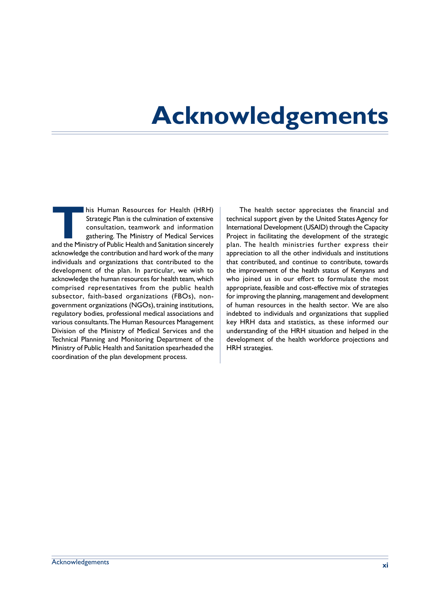# **Acknowledgements**

**THE TENN STATE SET AND STATE SET AND STATE STATE STATE STATE STATE STATE STATE STATE STATE STATE STATE STATE STATE STATE AND STATE STATE AND STATE STATE AND STATE STATE AND SANITATION SINCERN SINCE STATE AND SANITATION SI** his Human Resources for Health (HRH) Strategic Plan is the culmination of extensive consultation, teamwork and information gathering. The Ministry of Medical Services acknowledge the contribution and hard work of the many individuals and organizations that contributed to the development of the plan. In particular, we wish to acknowledge the human resources for health team, which comprised representatives from the public health subsector, faith-based organizations (FBOs), nongovernment organizations (NGOs), training institutions, regulatory bodies, professional medical associations and various consultants. The Human Resources Management Division of the Ministry of Medical Services and the Technical Planning and Monitoring Department of the Ministry of Public Health and Sanitation spearheaded the coordination of the plan development process.

The health sector appreciates the financial and technical support given by the United States Agency for International Development (USAID) through the Capacity Project in facilitating the development of the strategic plan. The health ministries further express their appreciation to all the other individuals and institutions that contributed, and continue to contribute, towards the improvement of the health status of Kenyans and who joined us in our effort to formulate the most appropriate, feasible and cost-effective mix of strategies for improving the planning, management and development of human resources in the health sector. We are also indebted to individuals and organizations that supplied key HRH data and statistics, as these informed our understanding of the HRH situation and helped in the development of the health workforce projections and HRH strategies.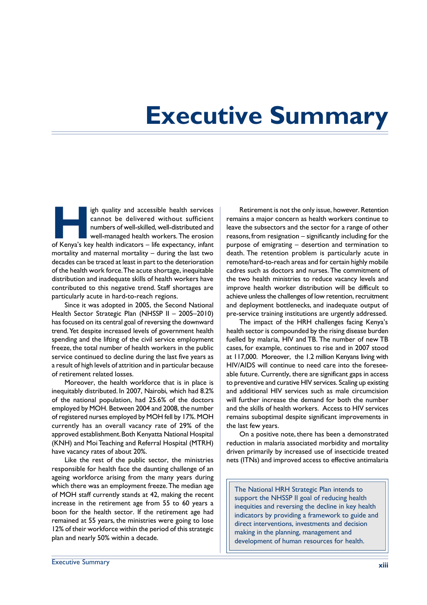# **Executive Summary**

**Health services**<br> **Health indicator**<br> **Health indicators – life expectancy, infant**<br> **Health indicators – life expectancy, infant** igh quality and accessible health services cannot be delivered without sufficient numbers of well-skilled, well-distributed and well-managed health workers. The erosion mortality and maternal mortality – during the last two decades can be traced at least in part to the deterioration of the health work force. The acute shortage, inequitable distribution and inadequate skills of health workers have contributed to this negative trend. Staff shortages are particularly acute in hard-to-reach regions.

Since it was adopted in 2005, the Second National Health Sector Strategic Plan (NHSSP II – 2005–2010) has focused on its central goal of reversing the downward trend. Yet despite increased levels of government health spending and the lifting of the civil service employment freeze, the total number of health workers in the public service continued to decline during the last five years as a result of high levels of attrition and in particular because of retirement related losses.

Moreover, the health workforce that is in place is inequitably distributed. In 2007, Nairobi, which had 8.2% of the national population, had 25.6% of the doctors employed by MOH. Between 2004 and 2008, the number of registered nurses employed by MOH fell by 17%. MOH currently has an overall vacancy rate of 29% of the approved establishment. Both Kenyatta National Hospital (KNH) and Moi Teaching and Referral Hospital (MTRH) have vacancy rates of about 20%.

Like the rest of the public sector, the ministries responsible for health face the daunting challenge of an ageing workforce arising from the many years during which there was an employment freeze. The median age of MOH staff currently stands at 42, making the recent increase in the retirement age from 55 to 60 years a boon for the health sector. If the retirement age had remained at 55 years, the ministries were going to lose 12% of their workforce within the period of this strategic plan and nearly 50% within a decade.

Retirement is not the only issue, however. Retention remains a major concern as health workers continue to leave the subsectors and the sector for a range of other reasons, from resignation – significantly including for the purpose of emigrating – desertion and termination to death. The retention problem is particularly acute in remote/hard-to-reach areas and for certain highly mobile cadres such as doctors and nurses. The commitment of the two health ministries to reduce vacancy levels and improve health worker distribution will be difficult to achieve unless the challenges of low retention, recruitment and deployment bottlenecks, and inadequate output of pre-service training institutions are urgently addressed.

The impact of the HRH challenges facing Kenya's health sector is compounded by the rising disease burden fuelled by malaria, HIV and TB. The number of new TB cases, for example, continues to rise and in 2007 stood at 117,000. Moreover, the 1.2 million Kenyans living with HIV/AIDS will continue to need care into the foreseeable future. Currently, there are significant gaps in access to preventive and curative HIV services. Scaling up existing and additional HIV services such as male circumcision will further increase the demand for both the number and the skills of health workers. Access to HIV services remains suboptimal despite significant improvements in the last few years.

On a positive note, there has been a demonstrated reduction in malaria associated morbidity and mortality driven primarily by increased use of insecticide treated nets (ITNs) and improved access to effective antimalaria

The National HRH Strategic Plan intends to support the NHSSP II goal of reducing health inequities and reversing the decline in key health indicators by providing a framework to guide and direct interventions, investments and decision making in the planning, management and development of human resources for health.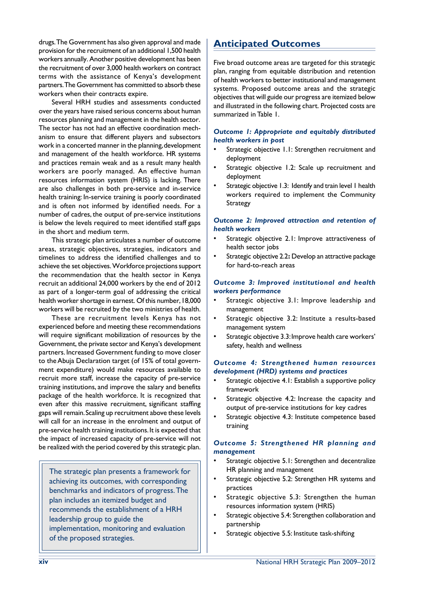drugs. The Government has also given approval and made provision for the recruitment of an additional 1,500 health workers annually. Another positive development has been the recruitment of over 3,000 health workers on contract terms with the assistance of Kenya's development partners. The Government has committed to absorb these workers when their contracts expire.

Several HRH studies and assessments conducted over the years have raised serious concerns about human resources planning and management in the health sector. The sector has not had an effective coordination mechanism to ensure that different players and subsectors work in a concerted manner in the planning, development and management of the health workforce. HR systems and practices remain weak and as a result many health workers are poorly managed. An effective human resources information system (HRIS) is lacking. There are also challenges in both pre-service and in-service health training: In-service training is poorly coordinated and is often not informed by identified needs. For a number of cadres, the output of pre-service institutions is below the levels required to meet identified staff gaps in the short and medium term.

This strategic plan articulates a number of outcome areas, strategic objectives, strategies, indicators and timelines to address the identified challenges and to achieve the set objectives. Workforce projections support the recommendation that the health sector in Kenya recruit an additional 24,000 workers by the end of 2012 as part of a longer-term goal of addressing the critical health worker shortage in earnest. Of this number, 18,000 workers will be recruited by the two ministries of health.

These are recruitment levels Kenya has not experienced before and meeting these recommendations will require significant mobilization of resources by the Government, the private sector and Kenya's development partners. Increased Government funding to move closer to the Abuja Declaration target (of 15% of total government expenditure) would make resources available to recruit more staff, increase the capacity of pre-service training institutions, and improve the salary and benefits package of the health workforce. It is recognized that even after this massive recruitment, significant staffing gaps will remain. Scaling up recruitment above these levels will call for an increase in the enrolment and output of pre-service health training institutions. It is expected that the impact of increased capacity of pre-service will not be realized with the period covered by this strategic plan.

The strategic plan presents a framework for achieving its outcomes, with corresponding benchmarks and indicators of progress. The plan includes an itemized budget and recommends the establishment of a HRH leadership group to guide the implementation, monitoring and evaluation of the proposed strategies.

### **Anticipated Outcomes**

Five broad outcome areas are targeted for this strategic plan, ranging from equitable distribution and retention of health workers to better institutional and management systems. Proposed outcome areas and the strategic objectives that will guide our progress are itemized below and illustrated in the following chart. Projected costs are summarized in Table 1.

### *Outcome 1: Appropriate and equitably distributed health workers in post*

- Strategic objective 1.1: Strengthen recruitment and deployment
- Strategic objective 1.2: Scale up recruitment and deployment
- Strategic objective 1.3: Identify and train level 1 health workers required to implement the Community **Strategy**

### *Outcome 2: Improved attraction and retention of health workers*

- Strategic objective 2.1: Improve attractiveness of health sector jobs
- Strategic objective 2.2**:** Develop an attractive package for hard-to-reach areas

### *Outcome 3: Improved institutional and health workers performance*

- Strategic objective 3.1: Improve leadership and management
- Strategic objective 3.2: Institute a results-based management system
- Strategic objective 3.3: Improve health care workers' safety, health and wellness

#### *Outcome 4: Strengthened human resources development (HRD) systems and practices*

- Strategic objective 4.1: Establish a supportive policy framework
- Strategic objective 4.2: Increase the capacity and output of pre-service institutions for key cadres
- Strategic objective 4.3: Institute competence based training

### *Outcome 5: Strengthened HR planning and management*

- Strategic objective 5.1: Strengthen and decentralize HR planning and management
- Strategic objective 5.2: Strengthen HR systems and practices
- Strategic objective 5.3: Strengthen the human resources information system (HRIS)
- Strategic objective 5.4: Strengthen collaboration and partnership
- Strategic objective 5.5: Institute task-shifting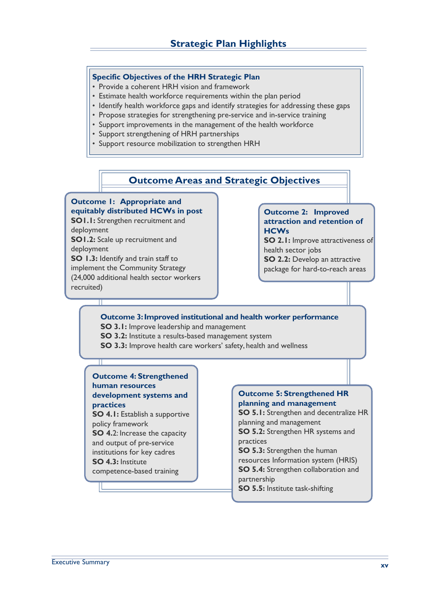### **Specific Objectives of the HRH Strategic Plan**

- Provide a coherent HRH vision and framework
- Estimate health workforce requirements within the plan period
- Identify health workforce gaps and identify strategies for addressing these gaps
- Propose strategies for strengthening pre-service and in-service training
- Support improvements in the management of the health workforce
- Support strengthening of HRH partnerships
- Support resource mobilization to strengthen HRH

### **Outcome Areas and Strategic Objectives**

### **Outcome 1: Appropriate and equitably distributed HCWs in post**

**SO1.1:** Strengthen recruitment and deployment **SO1.2:** Scale up recruitment and deployment **SO 1.3:** Identify and train staff to implement the Community Strategy (24,000 additional health sector workers recruited)

### **Outcome 2: Improved attraction and retention of HCWs**

**SO 2.1:** Improve attractiveness of health sector jobs **SO 2.2:** Develop an attractive package for hard-to-reach areas

### **Outcome 3: Improved institutional and health worker performance**

**SO 3.1:** Improve leadership and management

- **SO 3.2:** Institute a results-based management system
- **SO 3.3:** Improve health care workers' safety, health and wellness

### **Outcome 4: Strengthened human resources development systems and practices**

**SO 4.1:** Establish a supportive policy framework

**SO 4.**2: Increase the capacity and output of pre-service institutions for key cadres **SO 4.3:** Institute

competence-based training

### **Outcome 5: Strengthened HR planning and management**

**SO 5.1:** Strengthen and decentralize HR planning and management

**SO 5.2:** Strengthen HR systems and practices

**SO 5.3:** Strengthen the human resources Information system (HRIS) **SO 5.4:** Strengthen collaboration and partnership

**SO 5.5:** Institute task-shifting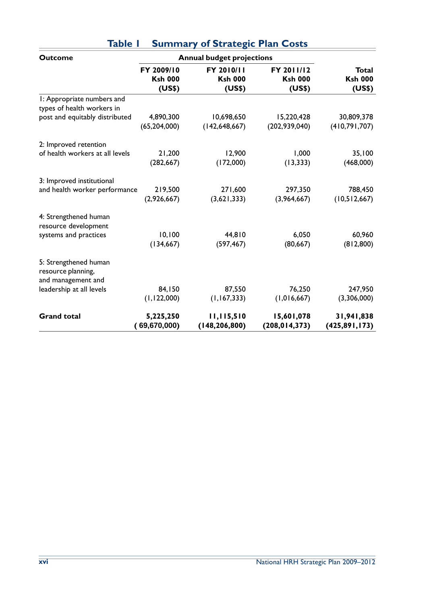| <b>Outcome</b>                                                    | <b>Annual budget projections</b>       |                                        |                                        |                                          |
|-------------------------------------------------------------------|----------------------------------------|----------------------------------------|----------------------------------------|------------------------------------------|
|                                                                   | FY 2009/10<br><b>Ksh 000</b><br>(US\$) | FY 2010/11<br><b>Ksh 000</b><br>(US\$) | FY 2011/12<br><b>Ksh 000</b><br>(US\$) | <b>Total</b><br><b>Ksh 000</b><br>(US\$) |
| I: Appropriate numbers and<br>types of health workers in          |                                        |                                        |                                        |                                          |
| post and equitably distributed                                    | 4,890,300<br>(65, 204, 000)            | 10,698,650<br>(142, 648, 667)          | 15,220,428<br>(202, 939, 040)          | 30,809,378<br>(410,791,707)              |
| 2: Improved retention                                             |                                        |                                        |                                        |                                          |
| of health workers at all levels                                   | 21,200<br>(282, 667)                   | 12,900<br>(172,000)                    | 1,000<br>(13, 333)                     | 35,100<br>(468,000)                      |
| 3: Improved institutional                                         |                                        |                                        |                                        |                                          |
| and health worker performance                                     | 219,500<br>(2,926,667)                 | 271,600<br>(3,621,333)                 | 297,350<br>(3,964,667)                 | 788,450<br>(10,512,667)                  |
| 4: Strengthened human<br>resource development                     |                                        |                                        |                                        |                                          |
| systems and practices                                             | 10,100<br>(134, 667)                   | 44,810<br>(597, 467)                   | 6,050<br>(80, 667)                     | 60,960<br>(812,800)                      |
| 5: Strengthened human<br>resource planning,<br>and management and |                                        |                                        |                                        |                                          |
| leadership at all levels                                          | 84,150                                 | 87,550                                 | 76,250                                 | 247,950                                  |
|                                                                   | (1, 122, 000)                          | (1, 167, 333)                          | (1,016,667)                            | (3,306,000)                              |
| <b>Grand total</b>                                                | 5,225,250<br>(69,670,000)              | 11,115,510<br>(148, 206, 800)          | 15,601,078<br>(208, 014, 373)          | 31,941,838<br>(425, 891, 173)            |

## **Table 1 Summary of Strategic Plan Costs**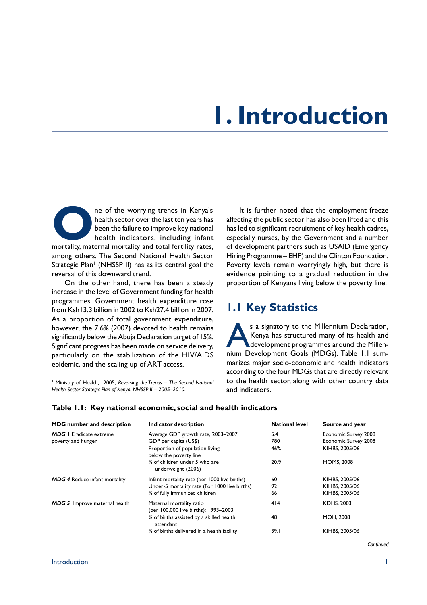# **1. Introduction**

**O**me of the worrying trends in Kenya's<br>
health sector over the last ten years has<br>
been the failure to improve key national<br>
health indicators, including infant<br>
mortality, maternal mortality and total fertility rates, ne of the worrying trends in Kenya's health sector over the last ten years has been the failure to improve key national health indicators, including infant among others. The Second National Health Sector Strategic Plan<sup>1</sup> (NHSSP II) has as its central goal the reversal of this downward trend.

On the other hand, there has been a steady increase in the level of Government funding for health programmes. Government health expenditure rose from Ksh13.3 billion in 2002 to Ksh27.4 billion in 2007. As a proportion of total government expenditure, however, the 7.6% (2007) devoted to health remains significantly below the Abuja Declaration target of 15%. Significant progress has been made on service delivery, particularly on the stabilization of the HIV/AIDS epidemic, and the scaling up of ART access.

<sup>1</sup> Ministry of Health, 2005, Reversing the Trends - The Second National *Health Sector Strategic Plan of Kenya: NHSSP II – 2005–2010*.

It is further noted that the employment freeze affecting the public sector has also been lifted and this has led to significant recruitment of key health cadres, especially nurses, by the Government and a number of development partners such as USAID (Emergency Hiring Programme – EHP) and the Clinton Foundation. Poverty levels remain worryingly high, but there is evidence pointing to a gradual reduction in the proportion of Kenyans living below the poverty line.

### **1.1 Key Statistics**

s a signatory to the Millennium Declaration,<br>Kenya has structured many of its health and<br>development programmes around the Millen-<br>nium Development Goals (MDGs). Table 1.1 sums a signatory to the Millennium Declaration, Kenya has structured many of its health and development programmes around the Millenmarizes major socio-economic and health indicators according to the four MDGs that are directly relevant to the health sector, along with other country data and indicators.

| <b>MDG</b> number and description<br>Indicator description |                                                                  | <b>National level</b> | Source and year      |  |
|------------------------------------------------------------|------------------------------------------------------------------|-----------------------|----------------------|--|
| <b>MDG I Eradicate extreme</b>                             | Average GDP growth rate, 2003-2007                               | 5.4                   | Economic Survey 2008 |  |
| poverty and hunger                                         | GDP per capita (US\$)                                            | 780                   | Economic Survey 2008 |  |
|                                                            | Proportion of population living<br>below the poverty line        | 46%                   | KIHBS, 2005/06       |  |
|                                                            | % of children under 5 who are<br>underweight (2006)              | 20.9                  | <b>MOMS, 2008</b>    |  |
| <b>MDG 4</b> Reduce infant mortality                       | Infant mortality rate (per 1000 live births)                     | 60                    | KIHBS, 2005/06       |  |
|                                                            | Under-5 mortality rate (For 1000 live births)                    | 92                    | KIHBS, 2005/06       |  |
|                                                            | % of fully immunized children                                    | 66                    | KIHBS, 2005/06       |  |
| <b>MDG 5</b> Improve maternal health                       | Maternal mortality ratio<br>(per 100,000 live births): 1993-2003 | 414                   | KDHS, 2003           |  |
|                                                            | % of births assisted by a skilled health<br>attendant            | 48                    | <b>MOH, 2008</b>     |  |
|                                                            | % of births delivered in a health facility                       | 39.1                  | KIHBS, 2005/06       |  |

### **Table 1.1: Key national economic, social and health indicators**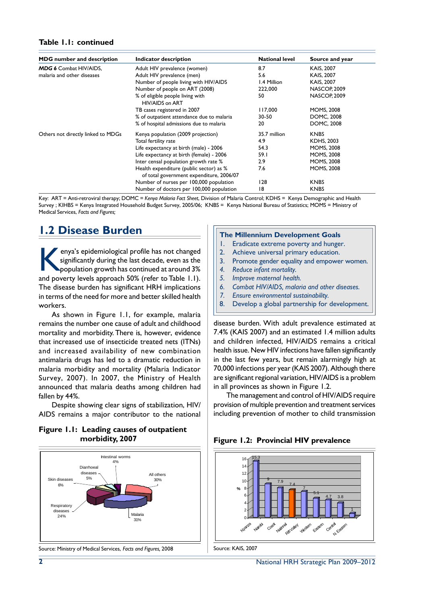### **Table 1.1: continued**

| <b>MDG</b> number and description  | Indicator description                                                               | <b>National level</b> | Source and year     |  |
|------------------------------------|-------------------------------------------------------------------------------------|-----------------------|---------------------|--|
| <b>MDG 6</b> Combat HIV/AIDS,      | Adult HIV prevalence (women)                                                        | 8.7                   | <b>KAIS, 2007</b>   |  |
| malaria and other diseases         | Adult HIV prevalence (men)                                                          | 5.6                   | <b>KAIS, 2007</b>   |  |
|                                    | Number of people living with HIV/AIDS                                               | 1.4 Million           | <b>KAIS, 2007</b>   |  |
|                                    | Number of people on ART (2008)                                                      | 222,000               | <b>NASCOP, 2009</b> |  |
|                                    | % of eligible people living with<br><b>HIV/AIDS on ART</b>                          | 50                    | <b>NASCOP, 2009</b> |  |
|                                    | TB cases registered in 2007                                                         | 117,000               | <b>MOMS, 2008</b>   |  |
|                                    | % of outpatient attendance due to malaria                                           | 30-50                 | DOMC, 2008          |  |
|                                    | % of hospital admissions due to malaria                                             | 20                    | DOMC, 2008          |  |
| Others not directly linked to MDGs | Kenya population (2009 projection)                                                  | 35.7 million          | <b>KNBS</b>         |  |
|                                    | Total fertility rate                                                                | 4.9                   | KDHS, 2003          |  |
|                                    | Life expectancy at birth (male) - 2006                                              | 54.3                  | <b>MOMS, 2008</b>   |  |
|                                    | Life expectancy at birth (female) - 2006                                            | 59.1                  | <b>MOMS, 2008</b>   |  |
|                                    | Inter censal population growth rate %                                               | 2.9                   | <b>MOMS, 2008</b>   |  |
|                                    | Health expenditure (public sector) as %<br>of total government expenditure, 2006/07 | 7.6                   | <b>MOMS, 2008</b>   |  |
|                                    | Number of nurses per 100,000 population                                             | 128                   | <b>KNBS</b>         |  |
|                                    | Number of doctors per 100,000 population                                            | 18                    | <b>KNBS</b>         |  |

Key: ART = Anti-retroviral therapy; DOMC *= Kenya Malaria Fact Sheet*, Division of Malaria Control; KDHS = Kenya Demographic and Health Survey ; KIHBS = Kenya Integrated Household Budget Survey, 2005/06; KNBS = Kenya National Bureau of Statistics; MOMS = Ministry of Medical Services, *Facts and Figures;*

### **1.2 Disease Burden**

enya's epidemiological profile has not changed<br>significantly during the last decade, even as the<br>population growth has continued at around 3%<br>and poverty levels approach 50% (refer to Table 1.1). enya's epidemiological profile has not changed significantly during the last decade, even as the population growth has continued at around 3% The disease burden has significant HRH implications in terms of the need for more and better skilled health workers.

As shown in Figure 1.1, for example, malaria remains the number one cause of adult and childhood mortality and morbidity. There is, however, evidence that increased use of insecticide treated nets (ITNs) and increased availability of new combination antimalaria drugs has led to a dramatic reduction in malaria morbidity and mortality (Malaria Indicator Survey, 2007). In 2007, the Ministry of Health announced that malaria deaths among children had fallen by 44%.

Despite showing clear signs of stabilization, HIV/ AIDS remains a major contributor to the national





#### **The Millennium Development Goals**

- 1. Eradicate extreme poverty and hunger.
- 2. Achieve universal primary education.
- 3. Promote gender equality and empower women.
- *4. Reduce infant mortality.*
- *5. Improve maternal health.*
- *6. Combat HIV/AIDS, malaria and other diseases.*
- *7. Ensure environmental sustainability.*
- 8. Develop a global partnership for development.

disease burden. With adult prevalence estimated at 7.4% (KAIS 2007) and an estimated 1.4 million adults and children infected, HIV/AIDS remains a critical health issue. New HIV infections have fallen significantly in the last few years, but remain alarmingly high at 70,000 infections per year (KAIS 2007). Although there are significant regional variation, HIV/AIDS is a problem in all provinces as shown in Figure 1.2.

The management and control of HIV/AIDS require provision of multiple prevention and treatment services including prevention of mother to child transmission

**Figure 1.2: Provincial HIV prevalence**



Source: KAIS, 2007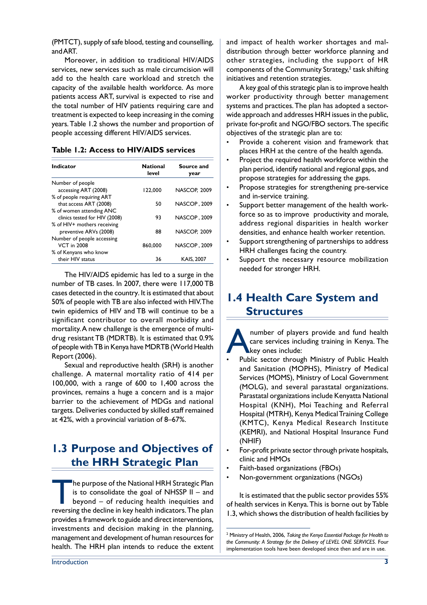(PMTCT), supply of safe blood, testing and counselling, and ART.

Moreover, in addition to traditional HIV/AIDS services, new services such as male circumcision will add to the health care workload and stretch the capacity of the available health workforce. As more patients access ART, survival is expected to rise and the total number of HIV patients requiring care and treatment is expected to keep increasing in the coming years. Table 1.2 shows the number and proportion of people accessing different HIV/AIDS services.

|  |  |  |  |  |  | Table 1.2: Access to HIV/AIDS services |
|--|--|--|--|--|--|----------------------------------------|
|--|--|--|--|--|--|----------------------------------------|

| <b>Indicator</b>              | <b>National</b><br>level | Source and<br>year  |
|-------------------------------|--------------------------|---------------------|
| Number of people              |                          |                     |
| accessing ART (2008)          | 122,000                  | <b>NASCOP, 2009</b> |
| % of people requiring ART     |                          |                     |
| that access ART (2008)        | 50                       | <b>NASCOP, 2009</b> |
| % of women attending ANC      |                          |                     |
| clinics tested for HIV (2008) | 93                       | <b>NASCOP, 2009</b> |
| % of HIV+ mothers receiving   |                          |                     |
| preventive ARVs (2008)        | 88                       | <b>NASCOP, 2009</b> |
| Number of people accessing    |                          |                     |
| <b>VCT</b> in 2008            | 860,000                  | <b>NASCOP, 2009</b> |
| % of Kenyans who know         |                          |                     |
| their HIV status              | 36                       | <b>KAIS, 2007</b>   |

The HIV/AIDS epidemic has led to a surge in the number of TB cases. In 2007, there were 117,000 TB cases detected in the country. It is estimated that about 50% of people with TB are also infected with HIV. The twin epidemics of HIV and TB will continue to be a significant contributor to overall morbidity and mortality. A new challenge is the emergence of multidrug resistant TB (MDRTB). It is estimated that 0.9% of people with TB in Kenya have MDRTB (World Health Report (2006).

Sexual and reproductive health (SRH) is another challenge. A maternal mortality ratio of 414 per 100,000, with a range of 600 to 1,400 across the provinces, remains a huge a concern and is a major barrier to the achievement of MDGs and national targets. Deliveries conducted by skilled staff remained at 42%, with a provincial variation of 8–67%.

## **1.3 Purpose and Objectives of the HRH Strategic Plan**

The purpose of the National HRH Strategic Plan<br>is to consolidate the goal of NHSSP II – and<br>beyond – of reducing health inequities and<br>reversing the decline in key health indicators. The plan he purpose of the National HRH Strategic Plan is to consolidate the goal of NHSSP II – and beyond – of reducing health inequities and provides a framework to guide and direct interventions, investments and decision making in the planning, management and development of human resources for health. The HRH plan intends to reduce the extent and impact of health worker shortages and maldistribution through better workforce planning and other strategies, including the support of HR components of the Community Strategy,<sup>2</sup> task shifting initiatives and retention strategies.

A key goal of this strategic plan is to improve health worker productivity through better management systems and practices. The plan has adopted a sectorwide approach and addresses HRH issues in the public, private for-profit and NGO/FBO sectors. The specific objectives of the strategic plan are to:

- Provide a coherent vision and framework that places HRH at the centre of the health agenda.
- Project the required health workforce within the plan period, identify national and regional gaps, and propose strategies for addressing the gaps.
- Propose strategies for strengthening pre-service and in-service training.
- Support better management of the health workforce so as to improve productivity and morale, address regional disparities in health worker densities, and enhance health worker retention.
- Support strengthening of partnerships to address HRH challenges facing the country.
- Support the necessary resource mobilization needed for stronger HRH.

## **1.4 Health Care System and Structures**

A number of players provide and fund health care services including training in Kenya. The key ones include:

- Public sector through Ministry of Public Health and Sanitation (MOPHS), Ministry of Medical Services (MOMS), Ministry of Local Government (MOLG), and several parastatal organizations. Parastatal organizations include Kenyatta National Hospital (KNH), Moi Teaching and Referral Hospital (MTRH), Kenya Medical Training College (KMTC), Kenya Medical Research Institute (KEMRI), and National Hospital Insurance Fund (NHIF)
- For-profit private sector through private hospitals, clinic and HMOs
- Faith-based organizations (FBOs)
- Non-government organizations (NGOs)

It is estimated that the public sector provides 55% of health services in Kenya. This is borne out by Table 1.3, which shows the distribution of health facilities by

<sup>2</sup> Ministry of Health, 2006, *Taking the Kenya Essential Package for Health to the Community: A Strategy for the Delivery of LEVEL ONE SERVICES*. Four implementation tools have been developed since then and are in use.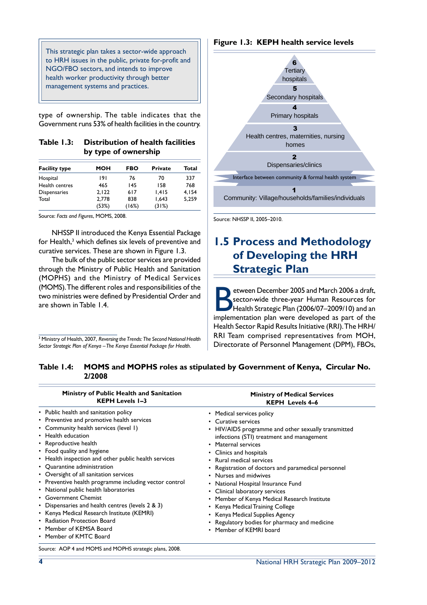This strategic plan takes a sector-wide approach to HRH issues in the public, private for-profit and NGO/FBO sectors, and intends to improve health worker productivity through better management systems and practices.

type of ownership. The table indicates that the Government runs 53% of health facilities in the country.

| Table 1.3: Distribution of health facilities |
|----------------------------------------------|
| by type of ownership                         |

| <b>Facility type</b> | мон   | <b>FBO</b> | <b>Private</b> | Total |
|----------------------|-------|------------|----------------|-------|
| Hospital             | 191   | 76         | 70             | 337   |
| Health centres       | 465   | 145        | 158            | 768   |
| <b>Dispensaries</b>  | 2.122 | 617        | 1.415          | 4.154 |
| Total                | 2.778 | 838        | 1.643          | 5.259 |
|                      | (53%) | (16%)      | (31%)          |       |

Source: *Facts and Figures*, MOMS, 2008.

NHSSP II introduced the Kenya Essential Package for Health,<sup>3</sup> which defines six levels of preventive and curative services. These are shown in Figure 1.3.

The bulk of the public sector services are provided through the Ministry of Public Health and Sanitation (MOPHS) and the Ministry of Medical Services (MOMS). The different roles and responsibilities of the two ministries were defined by Presidential Order and are shown in Table 1.4.

3 Ministry of Health, 2007, *Reversing the Trends: The Second National Health Sector Strategic Plan of Kenya – The Kenya Essential Package for Health*.



Source: NHSSP II, 2005–2010.

## **1.5 Process and Methodology of Developing the HRH Strategic Plan**

Exerce December 2005 and March 2006 a draft,<br>
sector-wide three-year Human Resources for<br>
Health Strategic Plan (2006/07–2009/10) and an<br>
implementation plan were developed as part of the sector-wide three-year Human Resources for Health Strategic Plan (2006/07–2009/10) and an implementation plan were developed as part of the Health Sector Rapid Results Initiative (RRI). The HRH/ RRI Team comprised representatives from MOH, Directorate of Personnel Management (DPM), FBOs,

**Table 1.4: MOMS and MOPHS roles as stipulated by Government of Kenya, Circular No. 2/2008**

| Ministry of Public Health and Sanitation                                                                                                                                                                                                                                                                                                                                                                                                                                                                                                                                                                                                                     | <b>Ministry of Medical Services</b>                                                                                                                                                                                                                                                                                                                                                                                                                                                                                                                                                                             |  |  |
|--------------------------------------------------------------------------------------------------------------------------------------------------------------------------------------------------------------------------------------------------------------------------------------------------------------------------------------------------------------------------------------------------------------------------------------------------------------------------------------------------------------------------------------------------------------------------------------------------------------------------------------------------------------|-----------------------------------------------------------------------------------------------------------------------------------------------------------------------------------------------------------------------------------------------------------------------------------------------------------------------------------------------------------------------------------------------------------------------------------------------------------------------------------------------------------------------------------------------------------------------------------------------------------------|--|--|
| <b>KEPH Levels 1-3</b>                                                                                                                                                                                                                                                                                                                                                                                                                                                                                                                                                                                                                                       | <b>KEPH</b> Levels 4-6                                                                                                                                                                                                                                                                                                                                                                                                                                                                                                                                                                                          |  |  |
| • Public health and sanitation policy<br>• Preventive and promotive health services<br>• Community health services (level 1)<br>• Health education<br>• Reproductive health<br>• Food quality and hygiene<br>• Health inspection and other public health services<br>• Quarantine administration<br>• Oversight of all sanitation services<br>• Preventive health programme including vector control<br>• National public health laboratories<br>• Government Chemist<br>• Dispensaries and health centres (levels 2 & 3)<br>• Kenya Medical Research Institute (KEMRI)<br>• Radiation Protection Board<br>• Member of KEMSA Board<br>• Member of KMTC Board | • Medical services policy<br>• Curative services<br>• HIV/AIDS programme and other sexually transmitted<br>infections (STI) treatment and management<br>Maternal services<br>$\bullet$<br>• Clinics and hospitals<br>Rural medical services<br>٠<br>Registration of doctors and paramedical personnel<br>Nurses and midwives<br>٠<br>• National Hospital Insurance Fund<br>• Clinical laboratory services<br>• Member of Kenya Medical Research Institute<br>• Kenya Medical Training College<br>• Kenya Medical Supplies Agency<br>• Regulatory bodies for pharmacy and medicine<br>Member of KEMRI board<br>٠ |  |  |

Source: AOP 4 and MOMS and MOPHS strategic plans, 2008.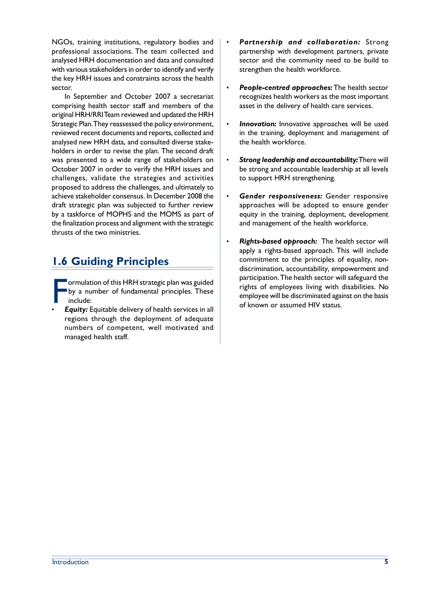NGOs, training institutions, regulatory bodies and professional associations. The team collected and analysed HRH documentation and data and consulted with various stakeholders in order to identify and verify the key HRH issues and constraints across the health sector.

In September and October 2007 a secretariat comprising health sector staff and members of the original HRH/RRI Team reviewed and updated the HRH Strategic Plan. They reassessed the policy environment, reviewed recent documents and reports, collected and analysed new HRH data, and consulted diverse stakeholders in order to revise the plan. The second draft was presented to a wide range of stakeholders on October 2007 in order to verify the HRH issues and challenges, validate the strategies and activities proposed to address the challenges, and ultimately to achieve stakeholder consensus. In December 2008 the draft strategic plan was subjected to further review by a taskforce of MOPHS and the MOMS as part of the finalization process and alignment with the strategic thrusts of the two ministries.

## **1.6 Guiding Principles**

F **Ormulation of this HRH strategic plan was guided** by a number of fundamental principles. These include:

• *Equity:* Equitable delivery of health services in all regions through the deployment of adequate numbers of competent, well motivated and managed health staff.

- *Partnership and collaboration:* Strong partnership with development partners, private sector and the community need to be build to strengthen the health workforce.
- *People-centred approaches:* The health sector recognizes health workers as the most important asset in the delivery of health care services.
- **Innovation:** Innovative approaches will be used in the training, deployment and management of the health workforce.
- *Strong leadership and accountability:* There will be strong and accountable leadership at all levels to support HRH strengthening.
- *Gender responsiveness:* Gender responsive approaches will be adopted to ensure gender equity in the training, deployment, development and management of the health workforce.
- *Rights-based approach:*The health sector will apply a rights-based approach. This will include commitment to the principles of equality, nondiscrimination, accountability, empowerment and participation. The health sector will safeguard the rights of employees living with disabilities. No employee will be discriminated against on the basis of known or assumed HIV status.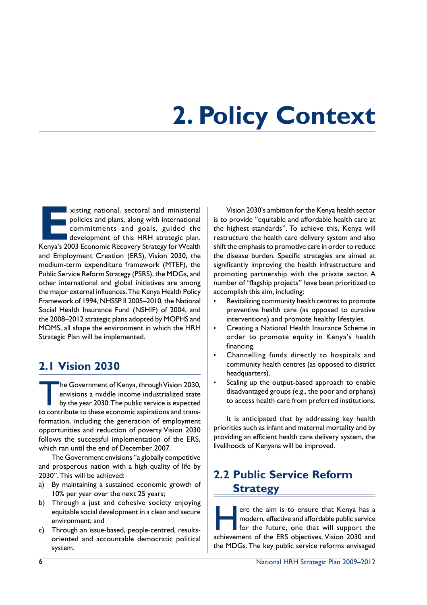# **2. Policy Context**

xisting national, sectoral and ministerial<br>policies and plans, along with international<br>commitments and goals, guided the<br>development of this HRH strategic plan.<br>Kenya's 2003 Economic Recovery Strategy for Wealth xisting national, sectoral and ministerial policies and plans, along with international commitments and goals, guided the development of this HRH strategic plan. and Employment Creation (ERS), Vision 2030, the medium-term expenditure framework (MTEF), the Public Service Reform Strategy (PSRS), the MDGs, and other international and global initiatives are among the major external influences. The Kenya Health Policy Framework of 1994, NHSSP II 2005–2010, the National Social Health Insurance Fund (NSHIF) of 2004, and the 2008–2012 strategic plans adopted by MOPHS and MOMS, all shape the environment in which the HRH Strategic Plan will be implemented.

## **2.1 Vision 2030**

The Government of Kenya, through Vision 2030, envisions a middle income industrialized state by the year 2030. The public service is expected to contribute to these economic aspirations and trans**he Government of Kenya, through Vision 2030,** envisions a middle income industrialized state by the year 2030. The public service is expected formation, including the generation of employment opportunities and reduction of poverty. Vision 2030 follows the successful implementation of the ERS, which ran until the end of December 2007.

The Government envisions "a globally competitive and prosperous nation with a high quality of life by 2030". This will be achieved:

- a) By maintaining a sustained economic growth of 10% per year over the next 25 years;
- b) Through a just and cohesive society enjoying equitable social development in a clean and secure environment; and
- c) Through an issue-based, people-centred, resultsoriented and accountable democratic political system.

Vision 2030's ambition for the Kenya health sector is to provide "equitable and affordable health care at the highest standards". To achieve this, Kenya will restructure the health care delivery system and also shift the emphasis to promotive care in order to reduce the disease burden. Specific strategies are aimed at significantly improving the health infrastructure and promoting partnership with the private sector. A number of "flagship projects" have been prioritized to accomplish this aim, including:

- Revitalizing community health centres to promote preventive health care (as opposed to curative interventions) and promote healthy lifestyles.
- Creating a National Health Insurance Scheme in order to promote equity in Kenya's health financing.
- Channelling funds directly to hospitals and community health centres (as opposed to district headquarters).
- Scaling up the output-based approach to enable disadvantaged groups (e.g., the poor and orphans) to access health care from preferred institutions.

It is anticipated that by addressing key health priorities such as infant and maternal mortality and by providing an efficient health care delivery system, the livelihoods of Kenyans will be improved.

## **2.2 Public Service Reform Strategy**

ere the aim is to ensure that Kenya has a modern, effective and affordable public service<br>for the future, one that will support the<br>achievement of the ERS objectives, Vision 2030 and ere the aim is to ensure that Kenya has a modern, effective and affordable public service for the future, one that will support the the MDGs. The key public service reforms envisaged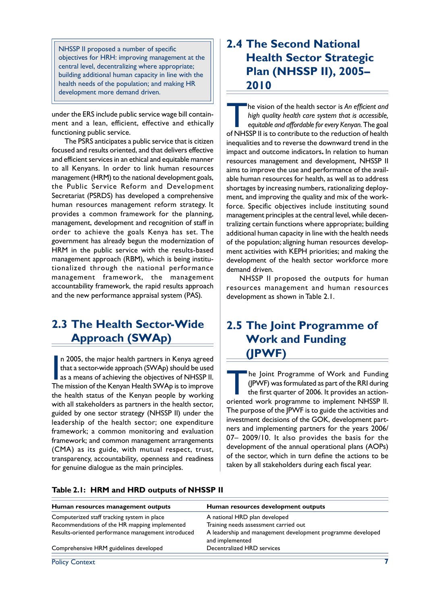NHSSP II proposed a number of specific objectives for HRH: improving management at the central level, decentralizing where appropriate; building additional human capacity in line with the health needs of the population; and making HR development more demand driven.

under the ERS include public service wage bill containment and a lean, efficient, effective and ethically functioning public service.

The PSRS anticipates a public service that is citizen focused and results oriented, and that delivers effective and efficient services in an ethical and equitable manner to all Kenyans. In order to link human resources management (HRM) to the national development goals, the Public Service Reform and Development Secretariat (PSRDS) has developed a comprehensive human resources management reform strategy. It provides a common framework for the planning, management, development and recognition of staff in order to achieve the goals Kenya has set. The government has already begun the modernization of HRM in the public service with the results-based management approach (RBM), which is being institutionalized through the national performance management framework, the management accountability framework, the rapid results approach and the new performance appraisal system (PAS).

## **2.3 The Health Sector-Wide Approach (SWAp)**

In 2005, the major health partners in Kenya agreed<br>that a sector-wide approach (SWAp) should be used<br>as a means of achieving the objectives of NHSSP II.<br>The mission of the Kenyan Health SWAp is to improve n 2005, the major health partners in Kenya agreed that a sector-wide approach (SWAp) should be used as a means of achieving the objectives of NHSSP II. the health status of the Kenyan people by working with all stakeholders as partners in the health sector, guided by one sector strategy (NHSSP II) under the leadership of the health sector; one expenditure framework; a common monitoring and evaluation framework; and common management arrangements (CMA) as its guide, with mutual respect, trust, transparency, accountability, openness and readiness for genuine dialogue as the main principles.

## **2.4 The Second National Health Sector Strategic Plan (NHSSP II), 2005– 2010**

The vision of the health sector is An efficient and<br>high quality health care system that is accessible,<br>equitable and affordable for every Kenyan. The goal<br>of NHSSP II is to contribute to the reduction of health he vision of the health sector is *An efficient and high quality health care system that is accessible, equitable and affordable for every Kenyan.*The goal inequalities and to reverse the downward trend in the impact and outcome indicators**.** In relation to human resources management and development, NHSSP II aims to improve the use and performance of the available human resources for health, as well as to address shortages by increasing numbers, rationalizing deployment, and improving the quality and mix of the workforce. Specific objectives include instituting sound management principles at the central level, while decentralizing certain functions where appropriate; building additional human capacity in line with the health needs of the population; aligning human resources development activities with KEPH priorities; and making the development of the health sector workforce more demand driven.

NHSSP II proposed the outputs for human resources management and human resources development as shown in Table 2.1.

## **2.5 The Joint Programme of Work and Funding (JPWF)**

The Joint Programme of Work and Funding<br>(JPWF) was formulated as part of the RRI during<br>the first quarter of 2006. It provides an action-<br>oriented work programme to implement NHSSP II. **he Joint Programme of Work and Funding** (JPWF) was formulated as part of the RRI during the first quarter of 2006. It provides an action-The purpose of the JPWF is to guide the activities and investment decisions of the GOK, development partners and implementing partners for the years 2006/ 07– 2009/10. It also provides the basis for the development of the annual operational plans (AOPs) of the sector, which in turn define the actions to be taken by all stakeholders during each fiscal year.

| Human resources management outputs                 | Human resources development outputs                                            |
|----------------------------------------------------|--------------------------------------------------------------------------------|
| Computerized staff tracking system in place        | A national HRD plan developed                                                  |
| Recommendations of the HR mapping implemented      | Training needs assessment carried out                                          |
| Results-oriented performance management introduced | A leadership and management development programme developed<br>and implemented |
| Comprehensive HRM guidelines developed             | Decentralized HRD services                                                     |

### **Table 2.1: HRM and HRD outputs of NHSSP II**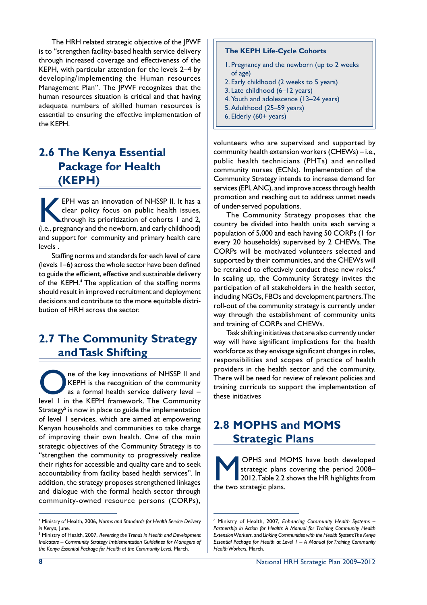The HRH related strategic objective of the JPWF is to "strengthen facility-based health service delivery through increased coverage and effectiveness of the KEPH, with particular attention for the levels 2–4 by developing/implementing the Human resources Management Plan". The JPWF recognizes that the human resources situation is critical and that having adequate numbers of skilled human resources is essential to ensuring the effective implementation of the KEPH.

## **2.6 The Kenya Essential Package for Health (KEPH)**

EPH was an innovation of NHSSP II. It has a clear policy focus on public health issues, through its prioritization of cohorts I and 2, (i.e., pregnancy and the newborn, and early childhood)  $\overline{\phantom{a}}$  EPH was an innovation of NHSSP II. It has a clear policy focus on public health issues,  $\triangle$ through its prioritization of cohorts 1 and 2, and support for community and primary health care levels .

Staffing norms and standards for each level of care (levels 1–6) across the whole sector have been defined to guide the efficient, effective and sustainable delivery of the KEPH.<sup>4</sup> The application of the staffing norms should result in improved recruitment and deployment decisions and contribute to the more equitable distribution of HRH across the sector.

## **2.7 The Community Strategy and Task Shifting**

The of the key innovations of NHSSP II and<br>
KEPH is the recognition of the community<br>
as a formal health service delivery level –<br>
level 1 in the KEPH framework. The Community ne of the key innovations of NHSSP II and KEPH is the recognition of the community as a formal health service delivery level – Strategy<sup>5</sup> is now in place to guide the implementation of level 1 services, which are aimed at empowering Kenyan households and communities to take charge of improving their own health. One of the main strategic objectives of the Community Strategy is to "strengthen the community to progressively realize their rights for accessible and quality care and to seek accountability from facility based health services". In addition, the strategy proposes strengthened linkages and dialogue with the formal health sector through community-owned resource persons (CORPs),

### **The KEPH Life-Cycle Cohorts**

- 1. Pregnancy and the newborn (up to 2 weeks of age)
- 2. Early childhood (2 weeks to 5 years)
- 3. Late childhood (6–12 years)
- 4. Youth and adolescence (13–24 years)
- 5.Adulthood (25–59 years)
- 6. Elderly (60+ years)

volunteers who are supervised and supported by community health extension workers (CHEWs) – i.e., public health technicians (PHTs) and enrolled community nurses (ECNs). Implementation of the Community Strategy intends to increase demand for services (EPI, ANC), and improve access through health promotion and reaching out to address unmet needs of under-served populations.

The Community Strategy proposes that the country be divided into health units each serving a population of 5,000 and each having 50 CORPs (1 for every 20 households) supervised by 2 CHEWs. The CORPs will be motivated volunteers selected and supported by their communities, and the CHEWs will be retrained to effectively conduct these new roles.<sup>6</sup> In scaling up, the Community Strategy invites the participation of all stakeholders in the health sector, including NGOs, FBOs and development partners. The roll-out of the community strategy is currently under way through the establishment of community units and training of CORPs and CHEWs.

Task shifting initiatives that are also currently under way will have significant implications for the health workforce as they envisage significant changes in roles, responsibilities and scopes of practice of health providers in the health sector and the community. There will be need for review of relevant policies and training curricula to support the implementation of these initiatives

## **2.8 MOPHS and MOMS Strategic Plans**

**MEXECUTE STATES AND STATES STATES STATES STATES STATES STATES STATES STATES STATES STATES STATES STATES STATES STATES STATES STATES STATES STATES STATES STATES STATES STATES STATES STATES STATES STATES STATES STATES STATE** OPHS and MOMS have both developed strategic plans covering the period 2008– 2012. Table 2.2 shows the HR highlights from

<sup>4</sup> Ministry of Health, 2006, *Norms and Standards for Health Service Delivery in Kenya*, June.

<sup>5</sup> Ministry of Health, 2007, *Reversing the Trends in Health and Development Indicators – Community Strategy Implementation Guidelines for Managers of the Kenya Essential Package for Health at the Community Level*, March.

<sup>6</sup> Ministry of Health, 2007, *Enhancing Community Health Systems – Partnership in Action for Health: A Manual for Training Community Health Extension Workers*, and *Linking Communities with the Health System: The Kenya Essential Package for Health at Level 1 – A Manual for Training Community Health Workers*, March.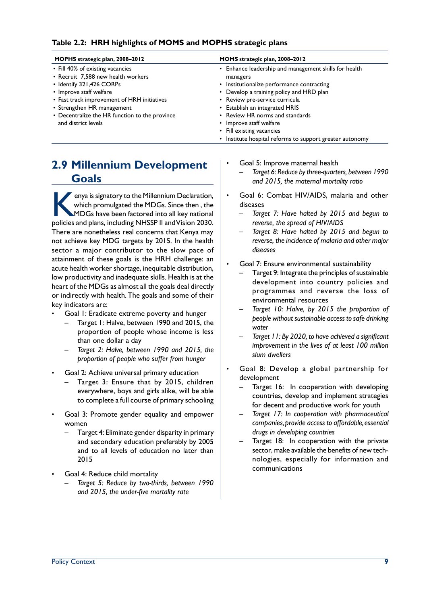| MOPHS strategic plan, 2008-2012                                        | MOMS strategic plan, 2008-2012                                                         |
|------------------------------------------------------------------------|----------------------------------------------------------------------------------------|
| • Fill 40% of existing vacancies<br>• Recruit 7,588 new health workers | • Enhance leadership and management skills for health<br>managers                      |
| • Identify 321,426 CORPs<br>• Improve staff welfare                    | • Institutionalize performance contracting<br>• Develop a training policy and HRD plan |
| • Fast track improvement of HRH initiatives                            | • Review pre-service curricula                                                         |
| • Strengthen HR management                                             | • Establish an integrated HRIS                                                         |
| • Decentralize the HR function to the province                         | • Review HR norms and standards                                                        |
| and district levels                                                    | • Improve staff welfare                                                                |
|                                                                        | • Fill existing vacancies                                                              |
|                                                                        | • Institute hospital reforms to support greater autonomy                               |

### **Table 2.2: HRH highlights of MOMS and MOPHS strategic plans**

## **2.9 Millennium Development Goals**

enya is signatory to the Millennium Declaration,<br>which promulgated the MDGs. Since then, the<br>MDGs have been factored into all key national<br>policies and plans, including NHSSP II and Vision 2030. enya is signatory to the Millennium Declaration, which promulgated the MDGs. Since then , the MDGs have been factored into all key national There are nonetheless real concerns that Kenya may not achieve key MDG targets by 2015. In the health sector a major contributor to the slow pace of attainment of these goals is the HRH challenge: an acute health worker shortage, inequitable distribution, low productivity and inadequate skills. Health is at the heart of the MDGs as almost all the goals deal directly or indirectly with health. The goals and some of their key indicators are:

- Goal 1: Eradicate extreme poverty and hunger
	- Target 1: Halve, between 1990 and 2015, the proportion of people whose income is less than one dollar a day
	- *Target 2: Halve, between 1990 and 2015, the proportion of people who suffer from hunger*
- Goal 2: Achieve universal primary education
	- Target 3: Ensure that by 2015, children everywhere, boys and girls alike, will be able to complete a full course of primary schooling
- Goal 3: Promote gender equality and empower women
	- Target 4: Eliminate gender disparity in primary and secondary education preferably by 2005 and to all levels of education no later than 2015
- Goal 4: Reduce child mortality
	- *Target 5: Reduce by two-thirds, between 1990 and 2015, the under-five mortality rate*
- Goal 5: Improve maternal health
	- *Target 6: Reduce by three-quarters, between 1990 and 2015, the maternal mortality ratio*
- Goal 6: Combat HIV/AIDS, malaria and other diseases
	- *Target 7: Have halted by 2015 and begun to reverse, the spread of HIV/AIDS*
	- *Target 8: Have halted by 2015 and begun to reverse, the incidence of malaria and other major diseases*
- Goal 7: Ensure environmental sustainability
	- Target 9: Integrate the principles of sustainable development into country policies and programmes and reverse the loss of environmental resources
	- *Target 10: Halve, by 2015 the proportion of people without sustainable access to safe drinking water*
	- *Target 11: By 2020, to have achieved a significant improvement in the lives of at least 100 million slum dwellers*
- Goal 8: Develop a global partnership for development
	- Target 16: In cooperation with developing countries, develop and implement strategies for decent and productive work for youth
	- *Target 17: In cooperation with pharmaceutical companies, provide access to affordable, essential drugs in developing countries*
	- Target 18: In cooperation with the private sector, make available the benefits of new technologies, especially for information and communications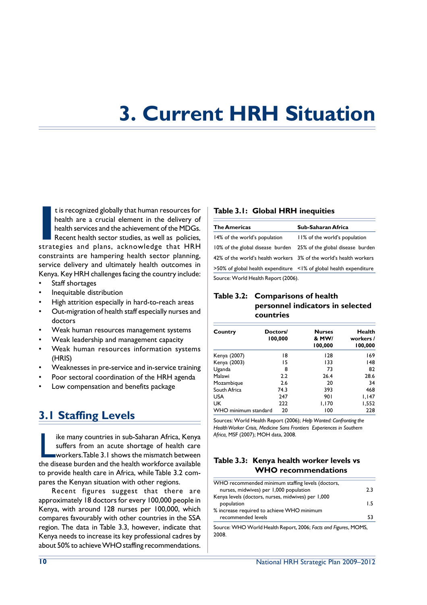## **3. Current HRH Situation**

t is recognized globally that human resources for<br>health are a crucial element in the delivery of<br>health services and the achievement of the MDGs.<br>Recent health sector studies, as well as policies,<br>strategies and plans, ac t is recognized globally that human resources for health are a crucial element in the delivery of health services and the achievement of the MDGs. Recent health sector studies, as well as policies, constraints are hampering health sector planning, service delivery and ultimately health outcomes in Kenya. Key HRH challenges facing the country include:

- Staff shortages
- Inequitable distribution
- High attrition especially in hard-to-reach areas
- Out-migration of health staff especially nurses and doctors
- Weak human resources management systems
- Weak leadership and management capacity
- Weak human resources information systems (HRIS)
- Weaknesses in pre-service and in-service training
- Poor sectoral coordination of the HRH agenda
- Low compensation and benefits package

## **3.1 Staffing Levels**

Ike many countries in sub-Saharan Africa, Kenya<br>
suffers from an acute shortage of health care<br>
workers. Table 3.1 shows the mismatch between<br>
the disease burden and the health workforce available ike many countries in sub-Saharan Africa, Kenya suffers from an acute shortage of health care workers. Table 3.1 shows the mismatch between to provide health care in Africa, while Table 3.2 compares the Kenyan situation with other regions.

Recent figures suggest that there are approximately 18 doctors for every 100,000 people in Kenya, with around 128 nurses per 100,000, which compares favourably with other countries in the SSA region. The data in Table 3.3, however, indicate that Kenya needs to increase its key professional cadres by about 50% to achieve WHO staffing recommendations.

### **Table 3.1: Global HRH inequities**

| <b>The Americas</b>                                                         | Sub-Saharan Africa               |
|-----------------------------------------------------------------------------|----------------------------------|
| 14% of the world's population                                               | 11% of the world's population    |
| 10% of the global disease burden                                            | 25% of the global disease burden |
| 42% of the world's health workers 3% of the world's health workers          |                                  |
| $>50\%$ of global health expenditure $\leq$ 1% of global health expenditure |                                  |
| Source: World Health Report (2006).                                         |                                  |

### **Table 3.2: Comparisons of health personnel indicators in selected countries**

| Country              | Doctors/<br>100,000 | <b>Nurses</b><br>& MW/<br>100,000 | Health<br>workers /<br>100,000 |
|----------------------|---------------------|-----------------------------------|--------------------------------|
|                      |                     |                                   |                                |
| Kenya (2007)         | 18                  | 128                               | 169                            |
| Kenya (2003)         | 15                  | 133                               | 148                            |
| Uganda               | 8                   | 73                                | 82                             |
| Malawi               | 2.2                 | 26.4                              | 28.6                           |
| Mozambique           | 2.6                 | 20                                | 34                             |
| South Africa         | 74.3                | 393                               | 468                            |
| <b>USA</b>           | 247                 | 90 I                              | 1,147                          |
| UK                   | 222                 | 1,170                             | 1,552                          |
| WHO minimum standard | 20                  | 100                               | 228                            |

Sources: World Health Report (2006); *Help Wanted: Confronting the Health Worker Crisis, Medicine Sans Frontiers Experiences in Southern Africa,* MSF (2007); MOH data, 2008.

### **Table 3.3: Kenya health worker levels vs WHO recommendations**

| WHO recommended minimum staffing levels (doctors,  |     |
|----------------------------------------------------|-----|
| nurses, midwives) per 1,000 population             | 23  |
| Kenya levels (doctors, nurses, midwives) per 1,000 |     |
| population                                         | 1 5 |
| % increase required to achieve WHO minimum         |     |
| recommended levels                                 | 53  |
|                                                    |     |

Source: WHO World Health Report, 2006; *Facts and Figures*, MOMS, 2008.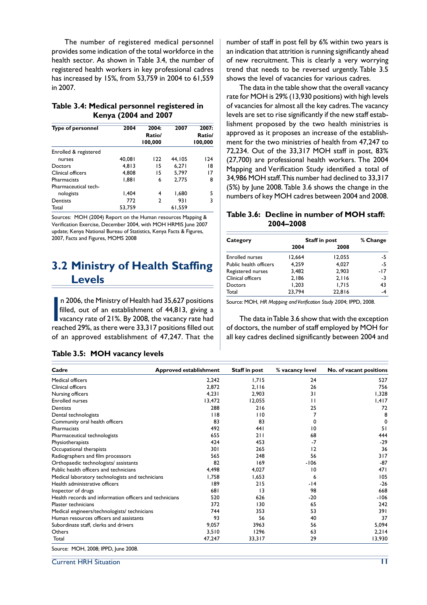The number of registered medical personnel provides some indication of the total workforce in the health sector. As shown in Table 3.4, the number of registered health workers in key professional cadres has increased by 15%, from 53,759 in 2004 to 61,559 in 2007.

### **Table 3.4: Medical personnel registered in Kenya (2004 and 2007**

| <b>Type of personnel</b> | 2004   | 2004:<br>Ratio/<br>100,000 | 2007   | 2007:<br>Ratio/<br>100,000 |
|--------------------------|--------|----------------------------|--------|----------------------------|
| Enrolled & registered    |        |                            |        |                            |
| nurses                   | 40.081 | 122                        | 44.105 | 124                        |
| Doctors                  | 4.813  | 15                         | 6.271  | 18                         |
| Clinical officers        | 4,808  | 15                         | 5,797  | 17                         |
| Pharmacists              | 1.881  | 6                          | 2.775  | 8                          |
| Pharmaceutical tech-     |        |                            |        |                            |
| nologists                | 1.404  | 4                          | 1.680  | 5                          |
| Dentists                 | 772    | 2                          | 931    | 3                          |
| Total                    | 53,759 |                            | 61,559 |                            |

Sources: MOH (2004) Report on the Human resources Mapping & Verification Exercise, December 2004, with MOH HRMIS June 2007 update; Kenya National Bureau of Statistics, Kenya Facts & Figures, 2007, Facts and Figures, MOMS 2008

## **3.2 Ministry of Health Staffing Levels**

In 2006, the Ministry of Health had 35,627 positions filled, out of an establishment of 44,813, giving a vacancy rate of 21%. By 2008, the vacancy rate had reached 29%, as there were 33,317 positions filled out n 2006, the Ministry of Health had 35,627 positions filled, out of an establishment of 44,813, giving a vacancy rate of 21%. By 2008, the vacancy rate had of an approved establishment of 47,247. That the

### **Table 3.5: MOH vacancy levels**

number of staff in post fell by 6% within two years is an indication that attrition is running significantly ahead of new recruitment. This is clearly a very worrying trend that needs to be reversed urgently. Table 3.5 shows the level of vacancies for various cadres.

The data in the table show that the overall vacancy rate for MOH is 29% (13,930 positions) with high levels of vacancies for almost all the key cadres. The vacancy levels are set to rise significantly if the new staff establishment proposed by the two health ministries is approved as it proposes an increase of the establishment for the two ministries of health from 47,247 to 72,234. Out of the 33,317 MOH staff in post, 83% (27,700) are professional health workers. The 2004 Mapping and Verification Study identified a total of 34,986 MOH staff. This number had declined to 33,317 (5%) by June 2008. Table 3.6 shows the change in the numbers of key MOH cadres between 2004 and 2008.

### **Table 3.6: Decline in number of MOH staff: 2004–2008**

| Category               | Staff in post | % Change |       |
|------------------------|---------------|----------|-------|
|                        | 2004          | 2008     |       |
| <b>Enrolled nurses</b> | 12,664        | 12,055   | -5    |
| Public health officers | 4.259         | 4,027    | -5    |
| Registered nurses      | 3,482         | 2,903    | $-17$ |
| Clinical officers      | 2,186         | 2,116    | -3    |
| Doctors                | 1,203         | 1,715    | 43    |
| Total                  | 23.794        | 22.816   | -4    |

Source: MOH, *HR Mapping and Verification Study 200*4; IPPD, 2008.

The data in Table 3.6 show that with the exception of doctors, the number of staff employed by MOH for all key cadres declined significantly between 2004 and

| Cadre                                                   | <b>Approved establishment</b> | Staff in post   | % vacancy level | No. of vacant positions |
|---------------------------------------------------------|-------------------------------|-----------------|-----------------|-------------------------|
| Medical officers                                        | 2,242                         | 1,715           | 24              | 527                     |
| Clinical officers                                       | 2,872                         | 2,116           | 26              | 756                     |
| Nursing officers                                        | 4,231                         | 2,903           | 31              | 1,328                   |
| <b>Enrolled nurses</b>                                  | 13,472                        | 12,055          | Н               | 1,417                   |
| Dentists                                                | 288                           | 216             | 25              | 72                      |
| Dental technologists                                    | 118                           | 110             |                 | 8                       |
| Community oral health officers                          | 83                            | 83              | 0               | 0                       |
| Pharmacists                                             | 492                           | 441             | 10              | 51                      |
| Pharmaceutical technologists                            | 655                           | 211             | 68              | 444                     |
| Physiotherapists                                        | 424                           | 453             | -7              | -29                     |
| Occupational therapists                                 | 301                           | 265             | 12              | 36                      |
| Radiographers and film processors                       | 565                           | 248             | 56              | 317                     |
| Orthopaedic technologists/assistants                    | 82                            | 169             | $-106$          | $-87$                   |
| Public health officers and technicians                  | 4,498                         | 4,027           | 10              | 471                     |
| Medical laboratory technologists and technicians        | 1,758                         | 1,653           | 6               | 105                     |
| Health administrative officers                          | 189                           | 215             | -14             | $-26$                   |
| Inspector of drugs                                      | 681                           | $\overline{13}$ | 98              | 668                     |
| Health records and information officers and technicians | 520                           | 626             | $-20$           | $-106$                  |
| <b>Plaster technicians</b>                              | 372                           | 130             | 65              | 242                     |
| Medical engineers/technologists/ technicians            | 744                           | 353             | 53              | 391                     |
| Human resources officers and assistants                 | 93                            | 56              | 40              | 37                      |
| Subordinate staff, clerks and drivers                   | 9,057                         | 3963            | 56              | 5,094                   |
| Others                                                  | 3,510                         | 1296            | 63              | 2,214                   |
| Total                                                   | 47,247                        | 33,317          | 29              | 13,930                  |

Source: MOH, 2008; IPPD, June 2008.

Current HRH Situation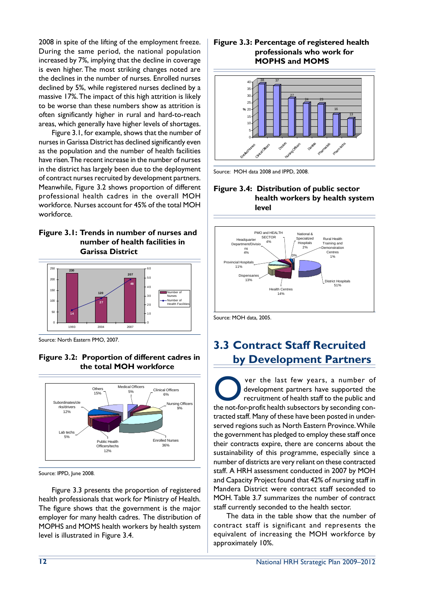2008 in spite of the lifting of the employment freeze. During the same period, the national population increased by 7%, implying that the decline in coverage is even higher. The most striking changes noted are the declines in the number of nurses. Enrolled nurses declined by 5%, while registered nurses declined by a massive 17%. The impact of this high attrition is likely to be worse than these numbers show as attrition is often significantly higher in rural and hard-to-reach areas, which generally have higher levels of shortages.

Figure 3.1, for example, shows that the number of nurses in Garissa District has declined significantly even as the population and the number of health facilities have risen. The recent increase in the number of nurses in the district has largely been due to the deployment of contract nurses recruited by development partners. Meanwhile, Figure 3.2 shows proportion of different professional health cadres in the overall MOH workforce. Nurses account for 45% of the total MOH workforce.

### **Figure 3.1: Trends in number of nurses and number of health facilities in Garissa District**



Source: North Eastern PMO, 2007.

### **Figure 3.2: Proportion of different cadres in the total MOH workforce**



Source: IPPD, June 2008.

Figure 3.3 presents the proportion of registered health professionals that work for Ministry of Health. The figure shows that the government is the major employer for many health cadres. The distribution of MOPHS and MOMS health workers by health system level is illustrated in Figure 3.4.





Source: MOH data 2008 and IPPD, 2008.

### **Figure 3.4: Distribution of public sector health workers by health system level**



Source: MOH data, 2005.

## **3.3 Contract Staff Recruited by Development Partners**

Ver the last few years, a number of development partners have supported the recruitment of health staff to the public and the not-for-profit health subsectors by seconding conver the last few years, a number of development partners have supported the recruitment of health staff to the public and tracted staff. Many of these have been posted in underserved regions such as North Eastern Province. While the government has pledged to employ these staff once their contracts expire, there are concerns about the sustainability of this programme, especially since a number of districts are very reliant on these contracted staff. A HRH assessment conducted in 2007 by MOH and Capacity Project found that 42% of nursing staff in Mandera District were contract staff seconded to MOH. Table 3.7 summarizes the number of contract staff currently seconded to the health sector.

The data in the table show that the number of contract staff is significant and represents the equivalent of increasing the MOH workforce by approximately 10%.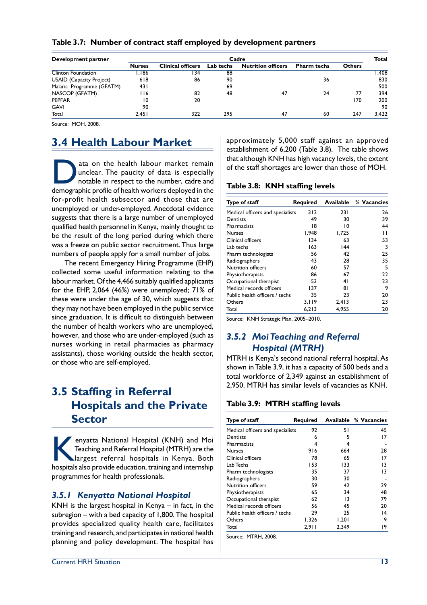### **Table 3.7: Number of contract staff employed by development partners**

| Development partner             |                 | Cadre                    |           |                           |                    |               |        |  |  |
|---------------------------------|-----------------|--------------------------|-----------|---------------------------|--------------------|---------------|--------|--|--|
|                                 | <b>Nurses</b>   | <b>Clinical officers</b> | Lab techs | <b>Nutrition officers</b> | <b>Pharm techs</b> | <b>Others</b> |        |  |  |
| Clinton Foundation              | I.I86           | 34 ا                     | 88        |                           |                    |               | 408, ا |  |  |
| <b>USAID</b> (Capacity Project) | 618             | 86                       | 90        |                           | 36                 |               | 830    |  |  |
| Malaria Programme (GFATM)       | 431             |                          | 69        |                           |                    |               | 500    |  |  |
| NASCOP (GFATM)                  | l 16            | 82                       | 48        | 47                        | 24                 | 77            | 394    |  |  |
| <b>PEPFAR</b>                   | $\overline{10}$ | 20                       |           |                           |                    | 170           | 200    |  |  |
| <b>GAVI</b>                     | 90              |                          |           |                           |                    |               | 90     |  |  |
| Total                           | 2.451           | 322                      | 295       | 47                        | 60                 | 247           | 3.422  |  |  |

Source: MOH, 2008.

## **3.4 Health Labour Market**

ata on the health labour market remain<br>unclear. The paucity of data is especially<br>notable in respect to the number, cadre and<br>demographic profile of health workers deployed in the ata on the health labour market remain unclear. The paucity of data is especially notable in respect to the number, cadre and for-profit health subsector and those that are unemployed or under-employed. Anecdotal evidence suggests that there is a large number of unemployed qualified health personnel in Kenya, mainly thought to be the result of the long period during which there was a freeze on public sector recruitment. Thus large numbers of people apply for a small number of jobs.

The recent Emergency Hiring Programme (EHP) collected some useful information relating to the labour market. Of the 4,466 suitably qualified applicants for the EHP, 2,064 (46%) were unemployed; 71% of these were under the age of 30, which suggests that they may not have been employed in the public service since graduation. It is difficult to distinguish between the number of health workers who are unemployed, however, and those who are under-employed (such as nurses working in retail pharmacies as pharmacy assistants), those working outside the health sector, or those who are self-employed.

## **3.5 Staffing in Referral Hospitals and the Private Sector**

enyatta National Hospital (KNH) and Moi<br>Teaching and Referral Hospital (MTRH) are the<br>hospitals also provide education, training and internship enyatta National Hospital (KNH) and Moi Teaching and Referral Hospital (MTRH) are the largest referral hospitals in Kenya. Both programmes for health professionals.

### *3.5.1 Kenyatta National Hospital*

KNH is the largest hospital in Kenya – in fact, in the subregion – with a bed capacity of 1,800. The hospital provides specialized quality health care, facilitates training and research, and participates in national health planning and policy development. The hospital has

approximately 5,000 staff against an approved establishment of 6,200 (Table 3.8). The table shows that although KNH has high vacancy levels, the extent of the staff shortages are lower than those of MOH.

### **Table 3.8: KNH staffing levels**

| Type of staff                    | <b>Required</b> | <b>Available</b> | % Vacancies |
|----------------------------------|-----------------|------------------|-------------|
| Medical officers and specialists | 312             | 231              | 26          |
| Dentists                         | 49              | 30               | 39          |
| <b>Pharmacists</b>               | 18              | 10               | 44          |
| <b>Nurses</b>                    | 1.948           | 1.725            | Н           |
| Clinical officers                | 134             | 63               | 53          |
| Lab techs                        | 163             | 144              | 3           |
| Pharm technologists              | 56              | 42               | 25          |
| Radiographers                    | 43              | 28               | 35          |
| <b>Nutrition officers</b>        | 60              | 57               | 5           |
| Physiotherapists                 | 86              | 67               | 22          |
| Occupational therapist           | 53              | 41               | 23          |
| Medical records officers         | 137             | 81               | 9           |
| Public health officers / techs   | 35              | 23               | 20          |
| Others                           | 3.119           | 2,413            | 23          |
| Total                            | 6,213           | 4,955            | 20          |

Source: KNH Strategic Plan, 2005–2010.

### *3.5.2 Moi Teaching and Referral Hospital (MTRH)*

MTRH is Kenya's second national referral hospital. As shown in Table 3.9, it has a capacity of 500 beds and a total workforce of 2,349 against an establishment of 2,950. MTRH has similar levels of vacancies as KNH.

### **Table 3.9: MTRH staffing levels**

| Type of staff                    | <b>Required</b> |       | <b>Available % Vacancies</b> |
|----------------------------------|-----------------|-------|------------------------------|
| Medical officers and specialists | 92              | 51    | 45                           |
| Dentists                         | 6               | 5     | 17                           |
| Pharmacists                      | 4               | 4     |                              |
| <b>Nurses</b>                    | 916             | 664   | 28                           |
| Clinical officers                | 78              | 65    | 17                           |
| Lab Techs                        | 153             | 133   | 13                           |
| Pharm technologists              | 35              | 37    | 13                           |
| Radiographers                    | 30              | 30    |                              |
| <b>Nutrition officers</b>        | 59              | 42    | 29                           |
| Physiotherapists                 | 65              | 34    | 48                           |
| Occupational therapist           | 62              | 13    | 79                           |
| Medical records officers         | 56              | 45    | 20                           |
| Public health officers / techs   | 29              | 25    | $\overline{14}$              |
| Others                           | 1,326           | 1,201 | 9                            |
| Total                            | 2.911           | 2.349 | 19                           |

Source: MTRH, 2008.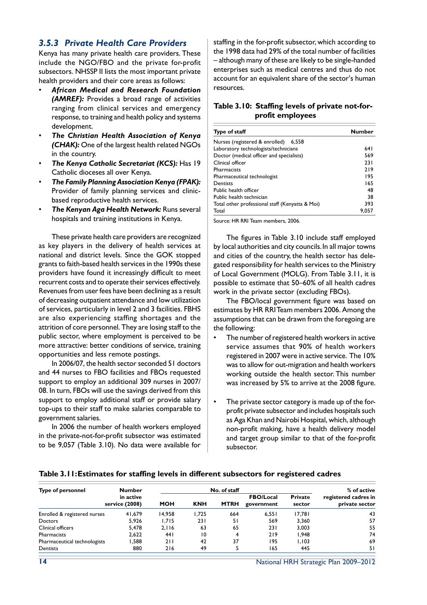### *3.5.3 Private Health Care Providers*

Kenya has many private health care providers. These include the NGO/FBO and the private for-profit subsectors. NHSSP II lists the most important private health providers and their core areas as follows:

- *African Medical and Research Foundation (AMREF):* Provides a broad range of activities ranging from clinical services and emergency response, to training and health policy and systems development.
- *The Christian Health Association of Kenya (CHAK):* One of the largest health related NGOs in the country.
- *The Kenya Catholic Secretariat (KCS):* Has 19 Catholic dioceses all over Kenya.
- *The Family Planning Association Kenya (FPAK):* Provider of family planning services and clinicbased reproductive health services.
- *The Kenyan Aga Health Network:* Runs several hospitals and training institutions in Kenya.

These private health care providers are recognized as key players in the delivery of health services at national and district levels. Since the GOK stopped grants to faith-based health services in the 1990s these providers have found it increasingly difficult to meet recurrent costs and to operate their services effectively. Revenues from user fees have been declining as a result of decreasing outpatient attendance and low utilization of services, particularly in level 2 and 3 facilities. FBHS are also experiencing staffing shortages and the attrition of core personnel. They are losing staff to the public sector, where employment is perceived to be more attractive: better conditions of service, training opportunities and less remote postings.

In 2006/07, the health sector seconded 51 doctors and 44 nurses to FBO facilities and FBOs requested support to employ an additional 309 nurses in 2007/ 08. In turn, FBOs will use the savings derived from this support to employ additional staff or provide salary top-ups to their staff to make salaries comparable to government salaries.

In 2006 the number of health workers employed in the private-not-for-profit subsector was estimated to be 9,057 (Table 3.10). No data were available for staffing in the for-profit subsector, which according to the 1998 data had 29% of the total number of facilities – although many of these are likely to be single-handed enterprises such as medical centres and thus do not account for an equivalent share of the sector's human resources.

### **Table 3.10: Staffing levels of private not-forprofit employees**

| Type of staff                                   | <b>Number</b> |
|-------------------------------------------------|---------------|
| Nurses (registered & enrolled)<br>6.558         |               |
| Laboratory technologists/technicians            | 64 I          |
| Doctor (medical officer and specialists)        | 569           |
| Clinical officer                                | 231           |
| <b>Pharmacists</b>                              | 719           |
| Pharmaceutical technologist                     | 195           |
| Dentists                                        | 165           |
| Public health officer                           | 48            |
| Public health technician                        | 38            |
| Total other professional staff (Kenyatta & Moi) | 393           |
| Total                                           | 9.057         |

Source: HR RRI Team members, 2006.

The figures in Table 3.10 include staff employed by local authorities and city councils. In all major towns and cities of the country, the health sector has delegated responsibility for health services to the Ministry of Local Government (MOLG). From Table 3.11, it is possible to estimate that 50–60% of all health cadres work in the private sector (excluding FBOs).

The FBO/local government figure was based on estimates by HR RRI Team members 2006. Among the assumptions that can be drawn from the foregoing are the following:

- The number of registered health workers in active service assumes that 90% of health workers registered in 2007 were in active service. The 10% was to allow for out-migration and health workers working outside the health sector. This number was increased by 5% to arrive at the 2008 figure.
- The private sector category is made up of the forprofit private subsector and includes hospitals such as Aga Khan and Nairobi Hospital, which, although non-profit making, have a health delivery model and target group similar to that of the for-profit subsector.

### **Table 3.11:Estimates for staffing levels in different subsectors for registered cadres**

| Type of personnel            | <b>Number</b>               |            |            | No. of staff |                                |                          | % of active                            |
|------------------------------|-----------------------------|------------|------------|--------------|--------------------------------|--------------------------|----------------------------------------|
|                              | in active<br>service (2008) | <b>MOH</b> | <b>KNH</b> | <b>MTRH</b>  | <b>FBO/Local</b><br>government | <b>Private</b><br>sector | registered cadres in<br>private sector |
| Enrolled & registered nurses | 41.679                      | 14.958     | 1.725      | 664          | 6.551                          | 17,781                   | 43                                     |
| <b>Doctors</b>               | 5.926                       | 1.715      | 231        | 51           | 569                            | 3.360                    | 57                                     |
| Clinical officers            | 5.478                       | 2.116      | 63         | 65           | 231                            | 3.003                    | 55                                     |
| Pharmacists                  | 2.622                       | 44 I       | 10         | 4            | 219                            | 1.948                    | 74                                     |
| Pharmaceutical technologists | .588                        | 211        | 42         | 37           | 195                            | 1.103                    | 69                                     |
| Dentists                     | 880                         | 216        | 49         |              | 165                            | 445                      | 51                                     |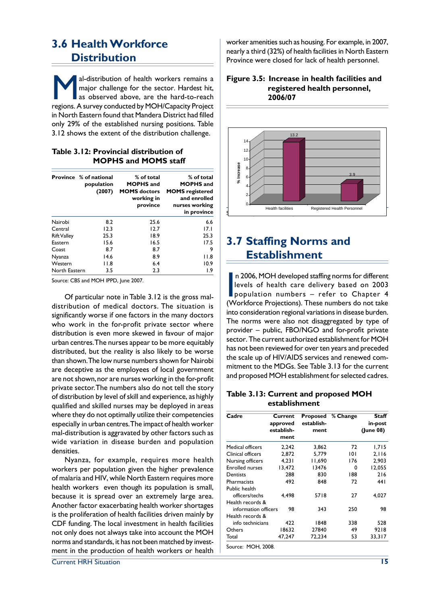## **3.6 Health Workforce Distribution**

al-distribution of health workers remains a<br>major challenge for the sector. Hardest hit,<br>as observed above, are the hard-to-reach<br>regions. A survey conducted by MOH/Capacity Project al-distribution of health workers remains a major challenge for the sector. Hardest hit, as observed above, are the hard-to-reach in North Eastern found that Mandera District had filled only 29% of the established nursing positions. Table 3.12 shows the extent of the distribution challenge.

### **Table 3.12: Provincial distribution of MOPHS and MOMS staff**

|                    | <b>Province % of national</b><br>population<br>(2007) | % of total<br><b>MOPHS</b> and<br><b>MOMS</b> doctors<br>working in<br>province | % of total<br><b>MOPHS</b> and<br><b>MOMS</b> registered<br>and enrolled<br>nurses working<br>in province |
|--------------------|-------------------------------------------------------|---------------------------------------------------------------------------------|-----------------------------------------------------------------------------------------------------------|
| Nairobi            | 8.2                                                   | 25.6                                                                            | 6.6                                                                                                       |
| Central            | 12.3                                                  | 12.7                                                                            | 17.1                                                                                                      |
| <b>Rift Valley</b> | 25.3                                                  | 18.9                                                                            | 25.3                                                                                                      |
| Eastern            | 15.6                                                  | 16.5                                                                            | 17.5                                                                                                      |
| Coast              | 8.7                                                   | 8.7                                                                             | 9                                                                                                         |
| Nyanza             | 14.6                                                  | 8.9                                                                             | I I.8                                                                                                     |
| Western            | 11.8                                                  | 6.4                                                                             | 10.9                                                                                                      |
| North Eastern      | 3.5                                                   | 2.3                                                                             | 1.9                                                                                                       |

Source: CBS and MOH IPPD, June 2007.

Of particular note in Table 3.12 is the gross maldistribution of medical doctors. The situation is significantly worse if one factors in the many doctors who work in the for-profit private sector where distribution is even more skewed in favour of major urban centres. The nurses appear to be more equitably distributed, but the reality is also likely to be worse than shown. The low nurse numbers shown for Nairobi are deceptive as the employees of local government are not shown, nor are nurses working in the for-profit private sector. The numbers also do not tell the story of distribution by level of skill and experience, as highly qualified and skilled nurses may be deployed in areas where they do not optimally utilize their competencies especially in urban centres. The impact of health worker mal-distribution is aggravated by other factors such as wide variation in disease burden and population densities.

Nyanza, for example, requires more health workers per population given the higher prevalence of malaria and HIV, while North Eastern requires more health workers even though its population is small, because it is spread over an extremely large area. Another factor exacerbating health worker shortages is the proliferation of health facilities driven mainly by CDF funding. The local investment in health facilities not only does not always take into account the MOH norms and standards, it has not been matched by investment in the production of health workers or health worker amenities such as housing. For example, in 2007, nearly a third (32%) of health facilities in North Eastern Province were closed for lack of health personnel.

### **Figure 3.5: Increase in health facilities and registered health personnel, 2006/07**



## **3.7 Staffing Norms and Establishment**

In 2006, MOH developed staffing norms for different<br>levels of health care delivery based on 2003<br>population numbers – refer to Chapter 4<br>(Workforce Projections). These numbers do not take n 2006, MOH developed staffing norms for different levels of health care delivery based on 2003 population numbers – refer to Chapter 4 into consideration regional variations in disease burden. The norms were also not disaggregated by type of provider – public, FBO/NGO and for-profit private sector. The current authorized establishment for MOH has not been reviewed for over ten years and preceded the scale up of HIV/AIDS services and renewed commitment to the MDGs. See Table 3.13 for the current and proposed MOH establishment for selected cadres.

### **Table 3.13: Current and proposed MOH establishment**

| Cadre                  | Current<br>approved<br>establish-<br>ment | Proposed<br>establish-<br>ment | % Change | <b>Staff</b><br>in-post<br>(June 08) |
|------------------------|-------------------------------------------|--------------------------------|----------|--------------------------------------|
| Medical officers       | 2,242                                     | 3,862                          | 72       | 1,715                                |
| Clinical officers      | 2.872                                     | 5.779                          | 101      | 2.116                                |
| Nursing officers       | 4,231                                     | 11,690                         | 176      | 2,903                                |
| <b>Enrolled nurses</b> | 13,472                                    | 13476                          | 0        | 12,055                               |
| Dentists               | 288                                       | 830                            | 188      | 216                                  |
| Pharmacists            | 492                                       | 848                            | 72       | 441                                  |
| Public health          |                                           |                                |          |                                      |
| officers/techs         | 4.498                                     | 5718                           | 27       | 4,027                                |
| Health records &       |                                           |                                |          |                                      |
| information officers   | 98                                        | 343                            | 250      | 98                                   |
| Health records &       |                                           |                                |          |                                      |
| info technicians       | 422                                       | 1848                           | 338      | 528                                  |
| Others                 | 18632                                     | 27840                          | 49       | 9218                                 |
| Total                  | 47,247                                    | 72,234                         | 53       | 33,317                               |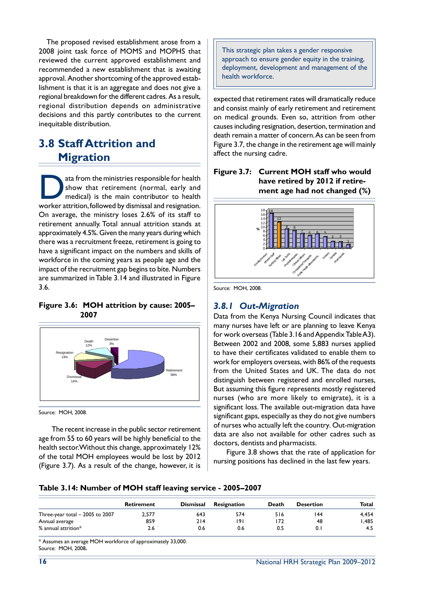The proposed revised establishment arose from a 2008 joint task force of MOMS and MOPHS that reviewed the current approved establishment and recommended a new establishment that is awaiting approval. Another shortcoming of the approved establishment is that it is an aggregate and does not give a regional breakdown for the different cadres. As a result, regional distribution depends on administrative decisions and this partly contributes to the current inequitable distribution.

### **3.8 Staff Attrition and Migration**

ata from the ministries responsible for health<br>show that retirement (normal, early and<br>medical) is the main contributor to health<br>worker attrition, followed by dismissal and resignation. ata from the ministries responsible for health show that retirement (normal, early and medical) is the main contributor to health On average, the ministry loses 2.6% of its staff to retirement annually. Total annual attrition stands at approximately 4.5%. Given the many years during which there was a recruitment freeze, retirement is going to have a significant impact on the numbers and skills of workforce in the coming years as people age and the impact of the recruitment gap begins to bite. Numbers are summarized in Table 3.14 and illustrated in Figure 3.6.

**Figure 3.6: MOH attrition by cause: 2005– 2007**



Source: MOH, 2008.

The recent increase in the public sector retirement age from 55 to 60 years will be highly beneficial to the health sector. Without this change, approximately 12% of the total MOH employees would be lost by 2012 (Figure 3.7). As a result of the change, however, it is This strategic plan takes a gender responsive approach to ensure gender equity in the training, deployment, development and management of the health workforce.

expected that retirement rates will dramatically reduce and consist mainly of early retirement and retirement on medical grounds. Even so, attrition from other causes including resignation, desertion, termination and death remain a matter of concern. As can be seen from Figure 3.7, the change in the retirement age will mainly affect the nursing cadre.

### **Figure 3.7: Current MOH staff who would have retired by 2012 if retirement age had not changed (%)**



Source: MOH, 2008.

### *3.8.1 Out-Migration*

Data from the Kenya Nursing Council indicates that many nurses have left or are planning to leave Kenya for work overseas (Table 3.16 and Appendix Table A3). Between 2002 and 2008, some 5,883 nurses applied to have their certificates validated to enable them to work for employers overseas, with 86% of the requests from the United States and UK. The data do not distinguish between registered and enrolled nurses, But assuming this figure represents mostly registered nurses (who are more likely to emigrate), it is a significant loss. The available out-migration data have significant gaps, especially as they do not give numbers of nurses who actually left the country. Out-migration data are also not available for other cadres such as doctors, dentists and pharmacists.

Figure 3.8 shows that the rate of application for nursing positions has declined in the last few years.

### **Table 3.14: Number of MOH staff leaving service - 2005–2007**

|                                 | Retirement | Dismissal | <b>Resignation</b> | Death | <b>Desertion</b> | Total |
|---------------------------------|------------|-----------|--------------------|-------|------------------|-------|
| Three-year total - 2005 to 2007 | 2,577      | 643       | 574                | 516   | 44ء              | 4.454 |
| Annual average                  | 859        | 214       | 191                | ' 72  | 48               | l.485 |
| % annual attrition*             | 2.6        | 0.6       | 0.6                | 0.5   | 0.1              | 4.5   |

\* Assumes an average MOH workforce of approximately 33,000. Source: MOH, 2008**.**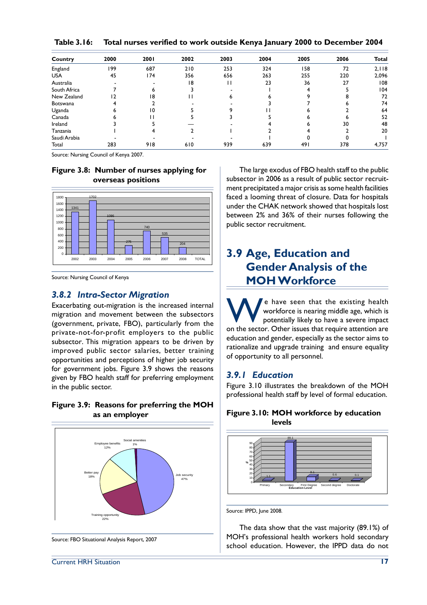| Country      | 2000 | 2001 | 2002 | 2003 | 2004 | 2005 | 2006 | <b>Total</b> |
|--------------|------|------|------|------|------|------|------|--------------|
| England      | 199  | 687  | 210  | 253  | 324  | 158  | 72   | 2,118        |
| <b>USA</b>   | 45   | 174  | 356  | 656  | 263  | 255  | 220  | 2,096        |
| Australia    |      |      | 18   |      | 23   | 36   | 27   | 108          |
| South Africa |      |      |      |      |      |      |      | 104          |
| New Zealand  | 12   | 18   |      |      |      |      |      | 72           |
| Botswana     |      |      |      |      |      |      |      | 74           |
| Uganda       |      | 10   |      |      |      |      |      | 64           |
| Canada       |      |      |      |      |      |      |      | 52           |
| Ireland      |      |      |      |      |      |      | 30   | 48           |
| Tanzania     |      |      |      |      |      |      |      | 20           |
| Saudi Arabia |      |      |      |      |      |      |      |              |
| Total        | 283  | 918  | 610  | 939  | 639  | 491  | 378  | 4,757        |

**Table 3.16: Total nurses verified to work outside Kenya January 2000 to December 2004**

Source: Nursing Council of Kenya 2007.

### **Figure 3.8: Number of nurses applying for overseas positions**



Source: Nursing Council of Kenya

### *3.8.2 Intra-Sector Migration*

Exacerbating out-migration is the increased internal migration and movement between the subsectors (government, private, FBO), particularly from the private-not-for-profit employers to the public subsector. This migration appears to be driven by improved public sector salaries, better training opportunities and perceptions of higher job security for government jobs. Figure 3.9 shows the reasons given by FBO health staff for preferring employment in the public sector.







Current HRH Situation

The large exodus of FBO health staff to the public subsector in 2006 as a result of public sector recruitment precipitated a major crisis as some health facilities faced a looming threat of closure. Data for hospitals under the CHAK network showed that hospitals lost between 2% and 36% of their nurses following the public sector recruitment.

## **3.9 Age, Education and Gender Analysis of the MOH Workforce**

We have seen that the existing health<br>workforce is nearing middle age, which is<br>potentially likely to have a severe impact workforce is nearing middle age, which is potentially likely to have a severe impact on the sector. Other issues that require attention are education and gender, especially as the sector aims to rationalize and upgrade training and ensure equality of opportunity to all personnel.

### *3.9.1 Education*

Figure 3.10 illustrates the breakdown of the MOH professional health staff by level of formal education.

**Figure 3.10: MOH workforce by education levels**



Source: IPPD, June 2008.

The data show that the vast majority (89.1%) of MOH's professional health workers hold secondary school education. However, the IPPD data do not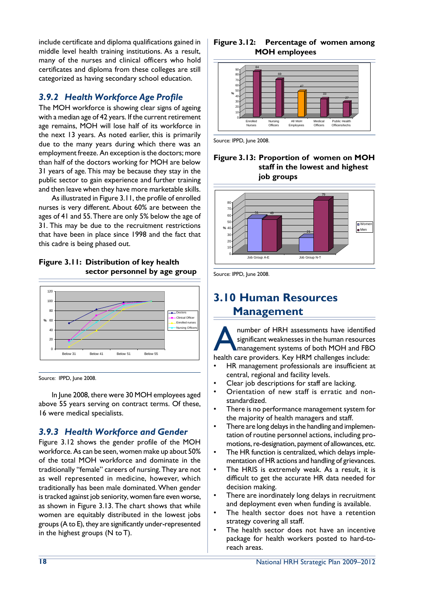include certificate and diploma qualifications gained in middle level health training institutions. As a result, many of the nurses and clinical officers who hold certificates and diploma from these colleges are still categorized as having secondary school education.

### *3.9.2 Health Workforce Age Profile*

The MOH workforce is showing clear signs of ageing with a median age of 42 years. If the current retirement age remains, MOH will lose half of its workforce in the next 13 years. As noted earlier, this is primarily due to the many years during which there was an employment freeze. An exception is the doctors; more than half of the doctors working for MOH are below 31 years of age. This may be because they stay in the public sector to gain experience and further training and then leave when they have more marketable skills.

As illustrated in Figure 3.11, the profile of enrolled nurses is very different. About 60% are between the ages of 41 and 55. There are only 5% below the age of 31. This may be due to the recruitment restrictions that have been in place since 1998 and the fact that this cadre is being phased out.

**Figure 3.11: Distribution of key health sector personnel by age group**



Source: IPPD, June 2008.

In June 2008, there were 30 MOH employees aged above 55 years serving on contract terms. Of these, 16 were medical specialists.

### *3.9.3 Health Workforce and Gender*

Figure 3.12 shows the gender profile of the MOH workforce. As can be seen, women make up about 50% of the total MOH workforce and dominate in the traditionally "female" careers of nursing. They are not as well represented in medicine, however, which traditionally has been male dominated. When gender is tracked against job seniority, women fare even worse, as shown in Figure 3.13. The chart shows that while women are equitably distributed in the lowest jobs groups (A to E), they are significantly under-represented in the highest groups (N to T).





Source: IPPD, June 2008.





Source: IPPD, June 2008.

## **3.10 Human Resources Management**

A number of HRH assessments have identifies<br>significant weaknesses in the human resource<br>health care providers. Key HRM challenges include: number of HRH assessments have identified significant weaknesses in the human resources management systems of both MOH and FBO

- HR management professionals are insufficient at central, regional and facility levels.
- Clear job descriptions for staff are lacking.
- Orientation of new staff is erratic and nonstandardized.
- There is no performance management system for the majority of health managers and staff.
- There are long delays in the handling and implementation of routine personnel actions, including promotions, re-designation, payment of allowances, etc.
- The HR function is centralized, which delays implementation of HR actions and handling of grievances.
- The HRIS is extremely weak. As a result, it is difficult to get the accurate HR data needed for decision making.
- There are inordinately long delays in recruitment and deployment even when funding is available.
- The health sector does not have a retention strategy covering all staff.
- The health sector does not have an incentive package for health workers posted to hard-toreach areas.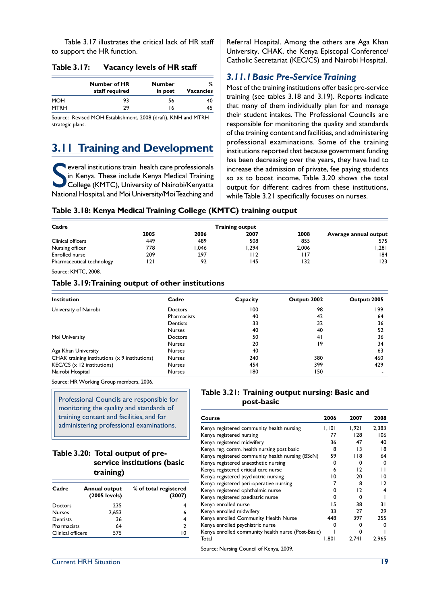Table 3.17 illustrates the critical lack of HR staff to support the HR function.

#### **Table 3.17: Vacancy levels of HR staff**

|             | <b>Number of HR</b><br>staff required | <b>Number</b><br>in post | %<br><b>Vacancies</b> |
|-------------|---------------------------------------|--------------------------|-----------------------|
| <b>MOH</b>  | 93                                    | 56                       | 40                    |
| <b>MTRH</b> | 29                                    | 16                       |                       |

Source: Revised MOH Establishment, 2008 (draft), KNH and MTRH strategic plans.

## **3.11 Training and Development**

Several institutions train health care professionals<br>
In Kenya. These include Kenya Medical Training<br>
College (KMTC), University of Nairobi/Kenyatta<br>
National Hospital, and Moi University/Moi Teaching and everal institutions train health care professionals in Kenya. These include Kenya Medical Training College (KMTC), University of Nairobi/Kenyatta Referral Hospital. Among the others are Aga Khan University, CHAK, the Kenya Episcopal Conference/ Catholic Secretariat (KEC/CS) and Nairobi Hospital.

#### *3.11.1Basic Pre-Service Training*

Most of the training institutions offer basic pre-service training (see tables 3.18 and 3.19). Reports indicate that many of them individually plan for and manage their student intakes. The Professional Councils are responsible for monitoring the quality and standards of the training content and facilities, and administering professional examinations. Some of the training institutions reported that because government funding has been decreasing over the years, they have had to increase the admission of private, fee paying students so as to boost income. Table 3.20 shows the total output for different cadres from these institutions, while Table 3.21 specifically focuses on nurses.

#### **Table 3.18: Kenya Medical Training College (KMTC) training output**

| Cadre                     |      |      | <b>Training output</b> |       |                       |
|---------------------------|------|------|------------------------|-------|-----------------------|
|                           | 2005 | 2006 | 2007                   | 2008  | Average annual output |
| Clinical officers         | 449  | 489  | 508                    | 855   | 575                   |
| Nursing officer           | 778  | .046 | 1.294                  | 2,006 | ا 28. ا               |
| Enrolled nurse            | 209  | 297  | 12                     | 117   | 184                   |
| Pharmaceutical technology | 121  | 92   | 145                    | 132   | 123                   |

Source: KMTC, 2008.

#### **Table 3.19: Training output of other institutions**

| <b>Institution</b>                            | Cadre          | Capacity | <b>Output: 2002</b> | <b>Output: 2005</b> |
|-----------------------------------------------|----------------|----------|---------------------|---------------------|
| University of Nairobi                         | Doctors        | 100      | 98                  | 199                 |
|                                               | Pharmacists    | 40       | 42                  | 64                  |
|                                               | Dentists       | 33       | 32                  | 36                  |
|                                               | Nurses         | 40       | 40                  | 52                  |
| Moi University                                | <b>Doctors</b> | 50       | 41                  | 36                  |
|                                               | Nurses         | 20       | 19                  | 34                  |
| Aga Khan University                           | Nurses         | 40       |                     | 63                  |
| CHAK training institutions (x 9 institutions) | <b>Nurses</b>  | 240      | 380                 | 460                 |
| KEC/CS (x 12 institutions)                    | <b>Nurses</b>  | 454      | 399                 | 429                 |
| Nairobi Hospital                              | Nurses         | 180      | 150                 |                     |

Source: HR Working Group members, 2006.

Professional Councils are responsible for monitoring the quality and standards of training content and facilities, and for administering professional examinations.

#### **Table 3.20: Total output of preservice institutions (basic training)**

| Cadre             | <b>Annual output</b><br>(2005 levels) | % of total registered<br>(2007) |
|-------------------|---------------------------------------|---------------------------------|
| Doctors           | 235                                   |                                 |
| <b>Nurses</b>     | 2,653                                 | 6                               |
| Dentists          | 36                                    | 4                               |
| Pharmacists       | 64                                    | 2                               |
| Clinical officers | 575                                   | ١O                              |

#### **Table 3.21: Training output nursing: Basic and post-basic**

| Course                                             | 2006  | 2007  | 2008  |
|----------------------------------------------------|-------|-------|-------|
| Kenya registered community health nursing          | 1,101 | 1.921 | 2,383 |
| Kenya registered nursing                           | 77    | 128   | 106   |
| Kenya registered midwifery                         | 36    | 47    | 40    |
| Kenya reg. comm. health nursing post basic         | 8     | 13    | 18    |
| Kenya registered community health nursing (BScN)   | 59    | 118   | 64    |
| Kenya registered anaesthetic nursing               | O     | O     | O     |
| Kenya registered critical care nurse               | 6     | 12    | Н     |
| Kenya registered psychiatric nursing               | 10    | 20    | 10    |
| Kenya registered peri-operative nursing            |       | 8     | 12    |
| Kenya registered ophthalmic nurse                  | O     | 12    | 4     |
| Kenya registered paediatric nurse                  | O     | O     |       |
| Kenya enrolled nurse                               | 15    | 38    | 31    |
| Kenya enrolled midwifery                           | 33    | 27    | 29    |
| Kenya enrolled Community Health Nurse              | 448   | 397   | 255   |
| Kenya enrolled psychiatric nurse                   | O     | O     | O     |
| Kenya enrolled community health nurse (Post-Basic) |       | O     |       |
| Total                                              | 1,801 | 2.741 | 2,965 |

Source: Nursing Council of Kenya, 2009.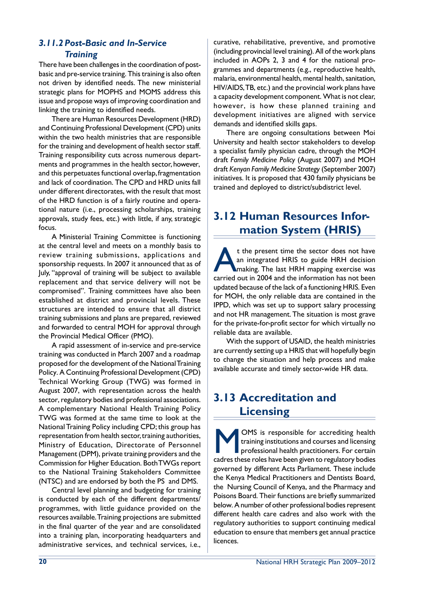#### *3.11.2Post-Basic and In-Service Training*

There have been challenges in the coordination of postbasic and pre-service training. This training is also often not driven by identified needs. The new ministerial strategic plans for MOPHS and MOMS address this issue and propose ways of improving coordination and linking the training to identified needs.

There are Human Resources Development (HRD) and Continuing Professional Development (CPD) units within the two health ministries that are responsible for the training and development of health sector staff. Training responsibility cuts across numerous departments and programmes in the health sector, however, and this perpetuates functional overlap, fragmentation and lack of coordination. The CPD and HRD units fall under different directorates, with the result that most of the HRD function is of a fairly routine and operational nature (i.e., processing scholarships, training approvals, study fees, etc.) with little, if any, strategic focus.

A Ministerial Training Committee is functioning at the central level and meets on a monthly basis to review training submissions, applications and sponsorship requests. In 2007 it announced that as of July, "approval of training will be subject to available replacement and that service delivery will not be compromised". Training committees have also been established at district and provincial levels. These structures are intended to ensure that all district training submissions and plans are prepared, reviewed and forwarded to central MOH for approval through the Provincial Medical Officer (PMO).

A rapid assessment of in-service and pre-service training was conducted in March 2007 and a roadmap proposed for the development of the National Training Policy. A Continuing Professional Development (CPD) Technical Working Group (TWG) was formed in August 2007, with representation across the health sector, regulatory bodies and professional associations. A complementary National Health Training Policy TWG was formed at the same time to look at the National Training Policy including CPD; this group has representation from health sector, training authorities, Ministry of Education, Directorate of Personnel Management (DPM), private training providers and the Commission for Higher Education. Both TWGs report to the National Training Stakeholders Committee (NTSC) and are endorsed by both the PS and DMS.

Central level planning and budgeting for training is conducted by each of the different departments/ programmes, with little guidance provided on the resources available. Training projections are submitted in the final quarter of the year and are consolidated into a training plan, incorporating headquarters and administrative services, and technical services, i.e.,

curative, rehabilitative, preventive, and promotive (including provincial level training). All of the work plans included in AOPs 2, 3 and 4 for the national programmes and departments (e.g., reproductive health, malaria, environmental health, mental health, sanitation, HIV/AIDS, TB, etc.) and the provincial work plans have a capacity development component. What is not clear, however, is how these planned training and development initiatives are aligned with service demands and identified skills gaps.

There are ongoing consultations between Moi University and health sector stakeholders to develop a specialist family physician cadre, through the MOH draft *Family Medicine Policy* (August 2007) and MOH draft *Kenyan Family Medicine Strategy* (September 2007) initiatives. It is proposed that 430 family physicians be trained and deployed to district/subdistrict level.

# **3.12 Human Resources Information System (HRIS)**

t the present time the sector does not have<br>an integrated HRIS to guide HRH decision<br>making. The last HRH mapping exercise was<br>carried out in 2004 and the information has not been t the present time the sector does not have an integrated HRIS to guide HRH decision making. The last HRH mapping exercise was updated because of the lack of a functioning HRIS. Even for MOH, the only reliable data are contained in the IPPD, which was set up to support salary processing and not HR management. The situation is most grave for the private-for-profit sector for which virtually no reliable data are available.

With the support of USAID, the health ministries are currently setting up a HRIS that will hopefully begin to change the situation and help process and make available accurate and timely sector-wide HR data.

# **3.13 Accreditation and Licensing**

MOMS is responsible for accrediting health<br>training institutions and courses and licensing<br>professional health practitioners. For certain<br>cadres these roles have been given to regulatory bodies OMS is responsible for accrediting health training institutions and courses and licensing professional health practitioners. For certain governed by different Acts Parliament. These include the Kenya Medical Practitioners and Dentists Board, the Nursing Council of Kenya, and the Pharmacy and Poisons Board. Their functions are briefly summarized below. A number of other professional bodies represent different health care cadres and also work with the regulatory authorities to support continuing medical education to ensure that members get annual practice **licences**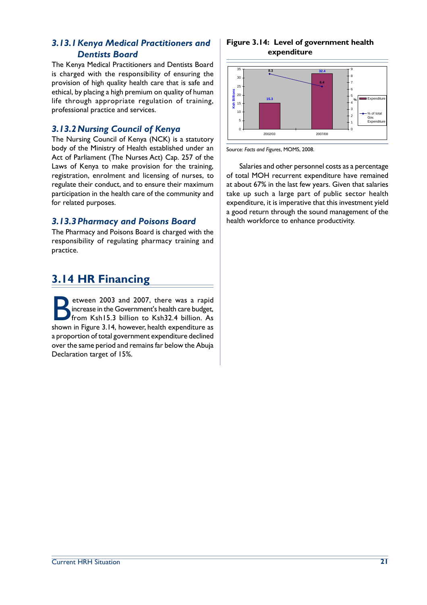#### *3.13.1Kenya Medical Practitioners and Dentists Board*

The Kenya Medical Practitioners and Dentists Board is charged with the responsibility of ensuring the provision of high quality health care that is safe and ethical, by placing a high premium on quality of human life through appropriate regulation of training, professional practice and services.

#### *3.13.2Nursing Council of Kenya*

The Nursing Council of Kenya (NCK) is a statutory body of the Ministry of Health established under an Act of Parliament (The Nurses Act) Cap. 257 of the Laws of Kenya to make provision for the training, registration, enrolment and licensing of nurses, to regulate their conduct, and to ensure their maximum participation in the health care of the community and for related purposes.

#### *3.13.3Pharmacy and Poisons Board*

The Pharmacy and Poisons Board is charged with the responsibility of regulating pharmacy training and practice.

# **3.14 HR Financing**

Extrem 2003 and 2007, there was a rapid<br>increase in the Government's health care budget,<br>from Ksh15.3 billion to Ksh32.4 billion. As<br>shown in Figure 3.14, however, health expenditure as etween 2003 and 2007, there was a rapid increase in the Government's health care budget, from Ksh15.3 billion to Ksh32.4 billion. As a proportion of total government expenditure declined over the same period and remains far below the Abuja Declaration target of 15%.

**Figure 3.14: Level of government health expenditure**



Source: *Facts and Figures*, MOMS, 2008.

Salaries and other personnel costs as a percentage of total MOH recurrent expenditure have remained at about 67% in the last few years. Given that salaries take up such a large part of public sector health expenditure, it is imperative that this investment yield a good return through the sound management of the health workforce to enhance productivity.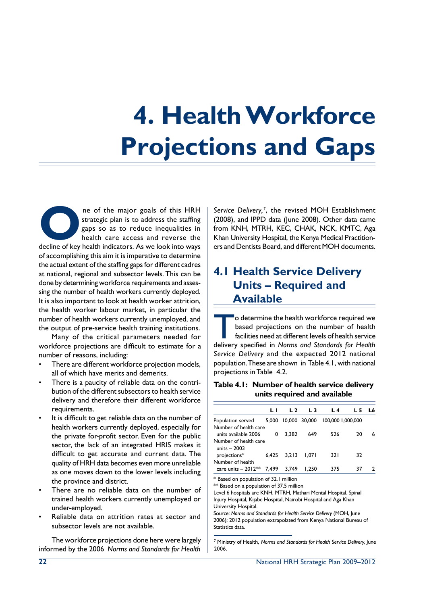# **4. Health Workforce Projections and Gaps**

**O**decline of the major goals of this HRH<br>
strategic plan is to address the staffing<br>
gaps so as to reduce inequalities in<br>
health care access and reverse the<br>
decline of key health indicators. As we look into ways ne of the major goals of this HRH strategic plan is to address the staffing gaps so as to reduce inequalities in health care access and reverse the of accomplishing this aim it is imperative to determine the actual extent of the staffing gaps for different cadres at national, regional and subsector levels. This can be done by determining workforce requirements and assessing the number of health workers currently deployed. It is also important to look at health worker attrition, the health worker labour market, in particular the number of health workers currently unemployed, and the output of pre-service health training institutions.

Many of the critical parameters needed for workforce projections are difficult to estimate for a number of reasons, including:

- There are different workforce projection models, all of which have merits and demerits.
- There is a paucity of reliable data on the contribution of the different subsectors to health service delivery and therefore their different workforce requirements.
- It is difficult to get reliable data on the number of health workers currently deployed, especially for the private for-profit sector. Even for the public sector, the lack of an integrated HRIS makes it difficult to get accurate and current data. The quality of HRH data becomes even more unreliable as one moves down to the lower levels including the province and district.
- There are no reliable data on the number of trained health workers currently unemployed or under-employed.
- Reliable data on attrition rates at sector and subsector levels are not available.

The workforce projections done here were largely informed by the 2006 *Norms and Standards for Health*

*Service Delivery,<sup>7</sup>* , the revised MOH Establishment (2008), and IPPD data (June 2008). Other data came from KNH, MTRH, KEC, CHAK, NCK, KMTC, Aga Khan University Hospital, the Kenya Medical Practitioners and Dentists Board, and different MOH documents.

## **4.1 Health Service Delivery Units – Required and Available**

O determine the health workforce required we<br>based projections on the number of health<br>facilities need at different levels of health service<br>delivery specified in *Norms and Standards for Health* o determine the health workforce required we based projections on the number of health facilities need at different levels of health service *Service Delivery* and the expected 2012 national population. These are shown in Table 4.1, with national projections in Table 4.2.

#### **Table 4.1: Number of health service delivery units required and available**

|                                        | LІ    | L <sub>2</sub> | L <sub>3</sub> | L <sub>4</sub>    | L 5 |   |
|----------------------------------------|-------|----------------|----------------|-------------------|-----|---|
| Population served                      | 5.000 |                | 10.000 30.000  | 100.000 1.000.000 |     |   |
| Number of health care                  |       |                |                |                   |     |   |
| units available 2006                   | 0     | 3.382          | 649            | 526               | 20  | 6 |
| Number of health care<br>units $-2003$ |       |                |                |                   |     |   |
| projections*                           | 6.425 | 3.213          | 1.071          | 321               | 32  |   |
| Number of health                       |       |                |                |                   |     |   |
| care units $-2012**$                   | 7.499 | 3.749          | 1.250          | 375               | 37  |   |

\* Based on population of 32.1 million

\*\* Based on a population of 37.5 million

Level 6 hospitals are KNH, MTRH, Mathari Mental Hospital. Spinal Injury Hospital, Kijabe Hospital, Nairobi Hospital and Aga Khan University Hospital.

Source: *Norms and Standards for Health Service Delivery* (MOH, June 2006); 2012 population extrapolated from Kenya National Bureau of Statistics data.

7 Ministry of Health, *Norms and Standards for Health Service Delivery*, June 2006.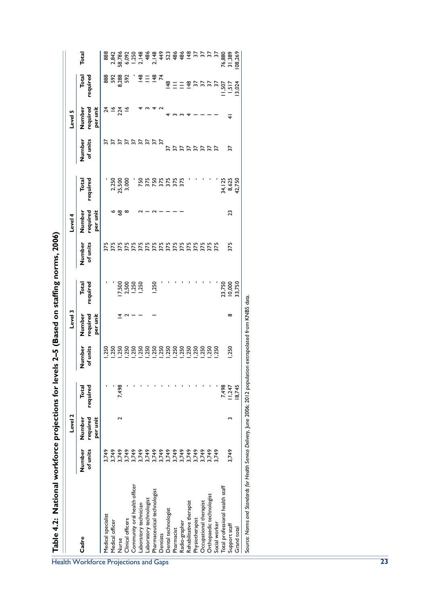|                                 |                    | Level <sub>2</sub>             |                   |                    | Level 3                        |                                         |                    | Level 4                        |                              |                    | Level 5                        |                   |
|---------------------------------|--------------------|--------------------------------|-------------------|--------------------|--------------------------------|-----------------------------------------|--------------------|--------------------------------|------------------------------|--------------------|--------------------------------|-------------------|
| Cadre                           | of units<br>Number | required<br>per unit<br>Number | required<br>Total | Number<br>of units | required<br>per unit<br>Number | required<br>Total                       | Number<br>of units | required<br>per unit<br>Number | required<br>Total            | Number<br>of units | required<br>per unit<br>Number | required<br>Total |
| Medical specialist              | 3,749              |                                |                   | <b>.250</b>        |                                |                                         | 375                |                                |                              |                    | $\mathcal{L}$                  | 88                |
| Medical officer                 | 3,749              |                                |                   | 50                 |                                |                                         |                    |                                |                              |                    |                                | 592               |
| <b>Nurse</b>                    | 3,749              | $\sim$                         | 7,498             | <b>250</b>         |                                |                                         |                    | 38                             | 2,250<br>25,500<br>3,000     | 222222222          | $-24$<br>23<br>$-8$            | 8,288             |
| Clinical officers               | 3,749              |                                |                   | .250               |                                |                                         |                    | $\infty$                       |                              |                    |                                | 592               |
| Community oral health officer   | 3,749              |                                |                   | .250               |                                | $\frac{1}{2}$ , 500<br>2, 500<br>1, 250 |                    |                                |                              |                    |                                |                   |
| aboratory technician            |                    |                                |                   | .250               |                                | 1,250                                   |                    |                                |                              |                    |                                |                   |
| Laboratory technologist         | 3,749<br>3,749     |                                |                   | ,250               |                                |                                         |                    |                                |                              |                    |                                | 운 三 운             |
| Pharmaceutical technologist     |                    |                                |                   |                    |                                | 1,250                                   |                    |                                | <b>RRANARY</b><br>RRANARY    |                    |                                |                   |
| Dentists                        |                    |                                |                   | 350<br>250         |                                |                                         |                    |                                |                              |                    |                                | 74                |
| Dental technologist             |                    |                                |                   |                    |                                |                                         |                    |                                |                              |                    |                                | $\frac{48}{5}$    |
| Pharmacist                      |                    |                                |                   |                    |                                |                                         |                    |                                |                              |                    |                                |                   |
| Radio-grapher                   |                    |                                |                   |                    |                                |                                         |                    |                                |                              |                    |                                | Ξ                 |
| Rehabilitative therapist        |                    |                                |                   |                    |                                |                                         |                    |                                |                              |                    |                                | $\frac{48}{5}$    |
| Physiotherapist                 |                    |                                |                   | 250                |                                |                                         |                    |                                |                              |                    |                                |                   |
| Occupational therapist          |                    |                                |                   | 250                |                                |                                         |                    |                                |                              |                    |                                |                   |
| Orthopaedic technologist        |                    |                                |                   | .250               |                                |                                         | 375                |                                |                              |                    |                                |                   |
| Social worker                   | 3,749              |                                |                   | .250               |                                |                                         | 375                |                                |                              | ਨ਼                 |                                |                   |
| Total professional health staff |                    |                                | 7,498             |                    |                                | 23,750                                  |                    |                                |                              |                    |                                | 1,507             |
| Support staff                   | 3,749              | ო                              | 11,247            | .250               | ∞                              | 10,000<br>33,750                        | 375                | 23                             | 34, 125<br>8, 625<br>42, 750 | 57                 |                                | 1,517             |
| Grand total                     |                    |                                | 8,745             |                    |                                |                                         |                    |                                |                              |                    |                                | 3,024             |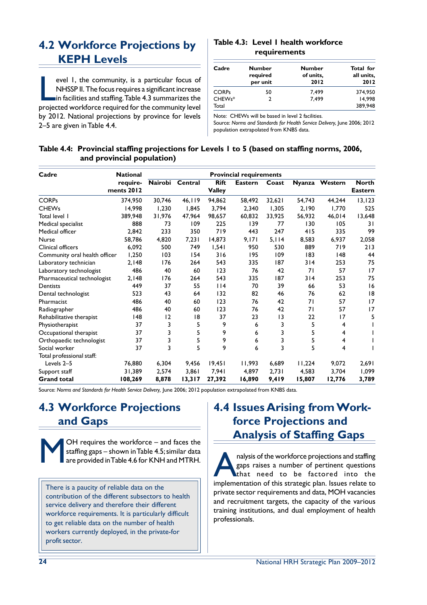# **4.2 Workforce Projections by KEPH Levels**

evel 1, the community, is a particular focus of<br>
NHSSP II. The focus requires a significant increase<br>
in facilities and staffing. Table 4.3 summarizes the<br>
projected workforce required for the community level evel 1, the community, is a particular focus of NHSSP II. The focus requires a significant increase in facilities and staffing. Table 4.3 summarizes the by 2012. National projections by province for levels 2–5 are given in Table 4.4.

#### **Table 4.3: Level 1 health workforce requirements**

| Cadre               | <b>Number</b><br>required<br>per unit | <b>Number</b><br>of units.<br>2012 | Total for<br>all units,<br>2012 |
|---------------------|---------------------------------------|------------------------------------|---------------------------------|
| <b>CORPs</b>        | 50                                    | 7.499                              | 374,950                         |
| CHEW <sub>s</sub> * |                                       | 7.499                              | 14.998                          |
| Total               |                                       |                                    | 389,948                         |

Note: CHEWs will be based in level 2 facilities.

Source: *Norms and Standards for Health Service Delivery*, June 2006; 2012 population extrapolated from KNBS data.

#### **Table 4.4: Provincial staffing projections for Levels 1 to 5 (based on staffing norms, 2006, and provincial population)**

| Cadre                         | <b>National</b> |         |         |               | <b>Provincial requirements</b> |                         |        |         |                |
|-------------------------------|-----------------|---------|---------|---------------|--------------------------------|-------------------------|--------|---------|----------------|
|                               | require-        | Nairobi | Central | <b>Rift</b>   | <b>Eastern</b>                 | Coast                   | Nyanza | Western | <b>North</b>   |
|                               | ments 2012      |         |         | <b>Valley</b> |                                |                         |        |         | <b>Eastern</b> |
| <b>CORPs</b>                  | 374,950         | 30,746  | 46,119  | 94,862        | 58,492                         | 32,621                  | 54,743 | 44,244  | 13, 123        |
| <b>CHEWs</b>                  | 14,998          | 1,230   | 1,845   | 3,794         | 2,340                          | 1,305                   | 2,190  | 1,770   | 525            |
| Total level 1                 | 389,948         | 31,976  | 47,964  | 98,657        | 60,832                         | 33,925                  | 56,932 | 46,014  | 13,648         |
| Medical specialist            | 888             | 73      | 109     | 225           | 139                            | 77                      | 130    | 105     | 31             |
| Medical officer               | 2,842           | 233     | 350     | 719           | 443                            | 247                     | 415    | 335     | 99             |
| <b>Nurse</b>                  | 58,786          | 4,820   | 7,231   | 14,873        | 9,171                          | 5,114                   | 8,583  | 6,937   | 2,058          |
| Clinical officers             | 6,092           | 500     | 749     | 1,541         | 950                            | 530                     | 889    | 719     | 213            |
| Community oral health officer | 1,250           | 103     | 154     | 316           | 195                            | 109                     | 183    | 148     | 44             |
| Laboratory technician         | 2,148           | 176     | 264     | 543           | 335                            | 187                     | 314    | 253     | 75             |
| Laboratory technologist       | 486             | 40      | 60      | 123           | 76                             | 42                      | 71     | 57      | 17             |
| Pharmaceutical technologist   | 2,148           | 176     | 264     | 543           | 335                            | 187                     | 314    | 253     | 75             |
| Dentists                      | 449             | 37      | 55      | 114           | 70                             | 39                      | 66     | 53      | 16             |
| Dental technologist           | 523             | 43      | 64      | 132           | 82                             | 46                      | 76     | 62      | 8              |
| Pharmacist                    | 486             | 40      | 60      | 123           | 76                             | 42                      | 71     | 57      | 17             |
| Radiographer                  | 486             | 40      | 60      | 123           | 76                             | 42                      | 71     | 57      | 17             |
| Rehabilitative therapist      | 148             | 2       | 18      | 37            | 23                             | 3                       | 22     | 17      | 5              |
| Physiotherapist               | 37              | 3       | 5       | 9             | 6                              | 3                       | 5      | 4       |                |
| Occupational therapist        | 37              | 3       | 5       | 9             | 6                              | 3                       | 5      | 4       |                |
| Orthopaedic technologist      | 37              | 3       | 5       | 9             | 6                              | 3                       | 5      | 4       |                |
| Social worker                 | 37              | 3       | 5       | 9             | 6                              | $\overline{\mathbf{3}}$ | 5      | 4       |                |
| Total professional staff:     |                 |         |         |               |                                |                         |        |         |                |
| Levels 2-5                    | 76,880          | 6,304   | 9,456   | 19,451        | 11,993                         | 6,689                   | 11,224 | 9,072   | 2,691          |
| Support staff                 | 31,389          | 2,574   | 3,861   | 7,941         | 4,897                          | 2,731                   | 4,583  | 3,704   | 1,099          |
| <b>Grand total</b>            | 108,269         | 8,878   | 13,317  | 27,392        | 16,890                         | 9,419                   | 15,807 | 12,776  | 3,789          |

Source: *Norms and Standards for Health Service Delivery,* June 2006; 2012 population extrapolated from KNBS data.

# **4.3 Workforce Projections and Gaps**

M OH requires the workforce – and faces the staffing gaps – shown in Table 4.5; similar data are provided in Table 4.6 for KNH and MTRH.

There is a paucity of reliable data on the contribution of the different subsectors to health service delivery and therefore their different workforce requirements. It is particularly difficult to get reliable data on the number of health workers currently deployed, in the private-for profit sector.

# **4.4 Issues Arising from Workforce Projections and Analysis of Staffing Gaps**

malysis of the workforce projections and staffing<br>gaps raises a number of pertinent questions<br>that need to be factored into the<br>implementation of this strategic plan. Issues relate to nalysis of the workforce projections and staffing gaps raises a number of pertinent questions that need to be factored into the private sector requirements and data, MOH vacancies and recruitment targets, the capacity of the various training institutions, and dual employment of health professionals.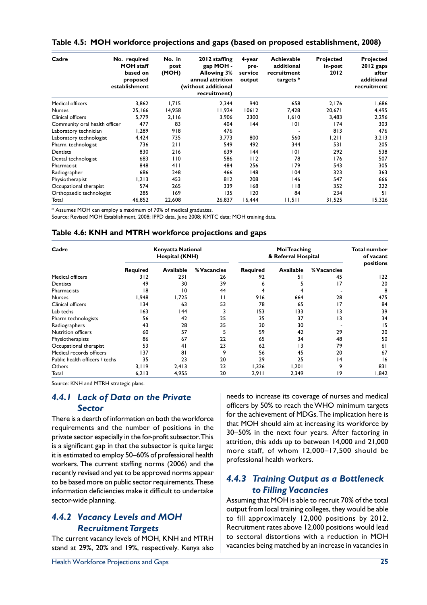| Table 4.5: MOH workforce projections and gaps (based on proposed establishment, 2008) |  |  |
|---------------------------------------------------------------------------------------|--|--|
|---------------------------------------------------------------------------------------|--|--|

| Cadre                         | No. required<br><b>MOH</b> staff<br>based on | No. in<br>post<br>(MOH) | 2012 staffing<br>gap MOH -<br><b>Allowing 3%</b>        | 4-year<br>pre-<br>service | Achievable<br>additional<br>recruitment | Projected<br>in-post<br>2012 | Projected<br>$2012$ gaps<br>after |
|-------------------------------|----------------------------------------------|-------------------------|---------------------------------------------------------|---------------------------|-----------------------------------------|------------------------------|-----------------------------------|
|                               | proposed<br>establishment                    |                         | annual attrition<br>(without additional<br>recruitment) | output                    | targets *                               |                              | additional<br>recruitment         |
| Medical officers              | 3,862                                        | 1,715                   | 2,344                                                   | 940                       | 658                                     | 2,176                        | 1,686                             |
| <b>Nurses</b>                 | 25,166                                       | 14,958                  | 11,924                                                  | 10612                     | 7,428                                   | 20,671                       | 4,495                             |
| Clinical officers             | 5,779                                        | 2,116                   | 3,906                                                   | 2300                      | 1,610                                   | 3,483                        | 2,296                             |
| Community oral health officer | 477                                          | 83                      | 404                                                     | 44                        | 101                                     | 174                          | 303                               |
| Laboratory technician         | 1,289                                        | 918                     | 476                                                     |                           |                                         | 813                          | 476                               |
| Laboratory technologist       | 4,424                                        | 735                     | 3,773                                                   | 800                       | 560                                     | 1,211                        | 3,213                             |
| Pharm, technologist           | 736                                          | 211                     | 549                                                     | 492                       | 344                                     | 531                          | 205                               |
| <b>Dentists</b>               | 830                                          | 216                     | 639                                                     | 144                       | 101                                     | 292                          | 538                               |
| Dental technologist           | 683                                          | 110                     | 586                                                     | 112                       | 78                                      | 176                          | 507                               |
| Pharmacist                    | 848                                          | 411                     | 484                                                     | 256                       | 179                                     | 543                          | 305                               |
| Radiographer                  | 686                                          | 248                     | 466                                                     | 148                       | 104                                     | 323                          | 363                               |
| Physiotherapist               | 1,213                                        | 453                     | 812                                                     | 208                       | 146                                     | 547                          | 666                               |
| Occupational therapist        | 574                                          | 265                     | 339                                                     | 168                       | I 18                                    | 352                          | 222                               |
| Orthopaedic technologist      | 285                                          | 169                     | 135                                                     | 120                       | 84                                      | 234                          | 51                                |
| Total                         | 46,852                                       | 22,608                  | 26,837                                                  | 16,444                    | 11,511                                  | 31,525                       | 15,326                            |

\* Assumes MOH can employ a maximum of 70% of medical graduates.

Source: Revised MOH Establishment, 2008; IPPD data, June 2008; KMTC data; MOH training data.

#### **Table 4.6: KNH and MTRH workforce projections and gaps**

| Cadre                          |                 | <b>Kenyatta National</b><br>Hospital (KNH) |             | Moi Teaching<br>& Referral Hospital |                  |             | <b>Total number</b><br>of vacant<br>positions |
|--------------------------------|-----------------|--------------------------------------------|-------------|-------------------------------------|------------------|-------------|-----------------------------------------------|
|                                | <b>Required</b> | Available                                  | % Vacancies | <b>Required</b>                     | <b>Available</b> | % Vacancies |                                               |
| <b>Medical officers</b>        | 312             | 231                                        | 26          | 92                                  | 51               | 45          | 122                                           |
| Dentists                       | 49              | 30                                         | 39          | 6                                   |                  | 17          | 20                                            |
| <b>Pharmacists</b>             | 18              | 10                                         | 44          |                                     |                  |             | 8                                             |
| <b>Nurses</b>                  | 1,948           | 1,725                                      | Ħ           | 916                                 | 664              | 28          | 475                                           |
| Clinical officers              | 134             | 63                                         | 53          | 78                                  | 65               | 17          | 84                                            |
| Lab techs                      | 163             | 144                                        |             | 153                                 | 133              | 13          | 39                                            |
| Pharm technologists            | 56              | 42                                         | 25          | 35                                  | 37               | 13          | 34                                            |
| Radiographers                  | 43              | 28                                         | 35          | 30                                  | 30               |             | 15                                            |
| Nutrition officers             | 60              | 57                                         | 5           | 59                                  | 42               | 29          | 20                                            |
| Physiotherapists               | 86              | 67                                         | 22          | 65                                  | 34               | 48          | 50                                            |
| Occupational therapist         | 53              | 41                                         | 23          | 62                                  | 13               | 79          | 61                                            |
| Medical records officers       | 137             | 81                                         | 9           | 56                                  | 45               | 20          | 67                                            |
| Public health officers / techs | 35              | 23                                         | 20          | 29                                  | 25               | 14          | 16                                            |
| Others                         | 3,119           | 2,413                                      | 23          | 1,326                               | 1,201            | 9           | 831                                           |
| Total                          | 6,213           | 4,955                                      | 20          | 2,911                               | 2,349            | 19          | 1,842                                         |

Source: KNH and MTRH strategic plans.

#### *4.4.1 Lack of Data on the Private Sector*

There is a dearth of information on both the workforce requirements and the number of positions in the private sector especially in the for-profit subsector. This is a significant gap in that the subsector is quite large: it is estimated to employ 50–60% of professional health workers. The current staffing norms (2006) and the recently revised and yet to be approved norms appear to be based more on public sector requirements. These information deficiencies make it difficult to undertake sector-wide planning.

#### *4.4.2 Vacancy Levels and MOH Recruitment Targets*

The current vacancy levels of MOH, KNH and MTRH stand at 29%, 20% and 19%, respectively. Kenya also

needs to increase its coverage of nurses and medical officers by 50% to reach the WHO minimum targets for the achievement of MDGs. The implication here is that MOH should aim at increasing its workforce by 30–50% in the next four years. After factoring in attrition, this adds up to between 14,000 and 21,000 more staff, of whom 12,000–17,500 should be professional health workers.

#### *4.4.3 Training Output as a Bottleneck to Filling Vacancies*

Assuming that MOH is able to recruit 70% of the total output from local training colleges, they would be able to fill approximately 12,000 positions by 2012. Recruitment rates above 12,000 positions would lead to sectoral distortions with a reduction in MOH vacancies being matched by an increase in vacancies in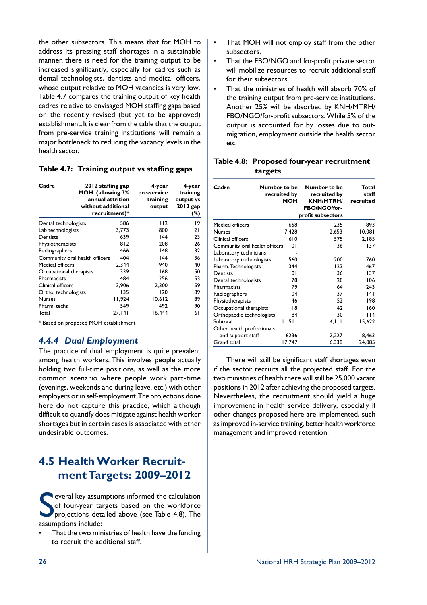the other subsectors. This means that for MOH to address its pressing staff shortages in a sustainable manner, there is need for the training output to be increased significantly, especially for cadres such as dental technologists, dentists and medical officers, whose output relative to MOH vacancies is very low. Table 4.7 compares the training output of key health cadres relative to envisaged MOH staffing gaps based on the recently revised (but yet to be approved) establishment. It is clear from the table that the output from pre-service training institutions will remain a major bottleneck to reducing the vacancy levels in the health sector.

| Table 4.7: Training output vs staffing gaps |
|---------------------------------------------|
|---------------------------------------------|

| Cadre<br>2012 staffing gap<br><b>MOH</b> (allowing 3%)<br>annual attrition<br>without additional<br>recruitment)* |        | 4-year<br>pre-service<br>training<br>output | 4-year<br>training<br>output vs<br>$2012$ gap<br>$(\%)$ |
|-------------------------------------------------------------------------------------------------------------------|--------|---------------------------------------------|---------------------------------------------------------|
| Dental technologists                                                                                              | 586    | 112                                         | 19                                                      |
| Lab technologists                                                                                                 | 3,773  | 800                                         | 21                                                      |
| Dentists                                                                                                          | 639    | 44                                          | 23                                                      |
| Physiotherapists                                                                                                  | 812    | 208                                         | 26                                                      |
| Radiographers                                                                                                     | 466    | 148                                         | 32                                                      |
| Community oral health officers                                                                                    | 404    | 144                                         | 36                                                      |
| Medical officers                                                                                                  | 2.344  | 940                                         | 40                                                      |
| Occupational therapists                                                                                           | 339    | 168                                         | 50                                                      |
| Pharmacists                                                                                                       | 484    | 256                                         | 53                                                      |
| Clinical officers                                                                                                 | 3,906  | 2,300                                       | 59                                                      |
| Ortho. technologists                                                                                              | 135    | 120                                         | 89                                                      |
| <b>Nurses</b>                                                                                                     | 11,924 | 10,612                                      | 89                                                      |
| Pharm. techs                                                                                                      | 549    | 492                                         | 90                                                      |
| Total                                                                                                             | 27,141 | 16,444                                      | 61                                                      |

\* Based on proposed MOH establishment

#### *4.4.4 Dual Employment*

The practice of dual employment is quite prevalent among health workers. This involves people actually holding two full-time positions, as well as the more common scenario where people work part-time (evenings, weekends and during leave, etc.) with other employers or in self-employment. The projections done here do not capture this practice, which although difficult to quantify does mitigate against health worker shortages but in certain cases is associated with other undesirable outcomes.

## **4.5 Health Worker Recruitment Targets: 2009–2012**

Several key assure<br>
of four-year ta<br>
projections det<br>
assumptions include: everal key assumptions informed the calculation of four-year targets based on the workforce projections detailed above (see Table 4.8). The

That the two ministries of health have the funding to recruit the additional staff.

- That MOH will not employ staff from the other subsectors.
- That the FBO/NGO and for-profit private sector will mobilize resources to recruit additional staff for their subsectors.
- That the ministries of health will absorb 70% of the training output from pre-service institutions. Another 25% will be absorbed by KNH/MTRH/ FBO/NGO/for-profit subsectors, While 5% of the output is accounted for by losses due to outmigration, employment outside the health sector etc.

|         | Table 4.8: Proposed four-year recruitment |
|---------|-------------------------------------------|
| targets |                                           |

| Cadre                          | Number to be<br>recruited by<br><b>MOH</b> | Number to be<br>recruited by<br><b>KNH/MTRH/</b><br>FBO/NGO/for-<br>profit subsectors | Total<br>staff<br>recruited |
|--------------------------------|--------------------------------------------|---------------------------------------------------------------------------------------|-----------------------------|
| Medical officers               | 658                                        | 235                                                                                   | 893                         |
| <b>Nurses</b>                  | 7,428                                      | 2,653                                                                                 | 10,081                      |
| Clinical officers              | 1,610                                      | 575                                                                                   | 2,185                       |
| Community oral health officers | 101                                        | 36                                                                                    | 137                         |
| Laboratory technicians         |                                            |                                                                                       |                             |
| Laboratory technologists       | 560                                        | 200                                                                                   | 760                         |
| Pharm. Technologists           | 344                                        | 123                                                                                   | 467                         |
| Dentists                       | 101                                        | 36                                                                                    | 137                         |
| Dental technologists           | 78                                         | 28                                                                                    | 106                         |
| Pharmacists                    | 179                                        | 64                                                                                    | 243                         |
| Radiographers                  | 104                                        | 37                                                                                    | 4                           |
| Physiotherapists               | 146                                        | 52                                                                                    | 198                         |
| Occupational therapists        | 118                                        | 42                                                                                    | 160                         |
| Orthopaedic technologists      | 84                                         | 30                                                                                    | $ $  4                      |
| Subtotal                       | 11,511                                     | 4, 111                                                                                | 15,622                      |
| Other health professionals     |                                            |                                                                                       |                             |
| and support staff              | 6236                                       | 2,227                                                                                 | 8,463                       |
| Grand total                    | 17,747                                     | 6,338                                                                                 | 24,085                      |

There will still be significant staff shortages even if the sector recruits all the projected staff. For the two ministries of health there will still be 25,000 vacant positions in 2012 after achieving the proposed targets. Nevertheless, the recruitment should yield a huge improvement in health service delivery, especially if other changes proposed here are implemented, such as improved in-service training, better health workforce management and improved retention.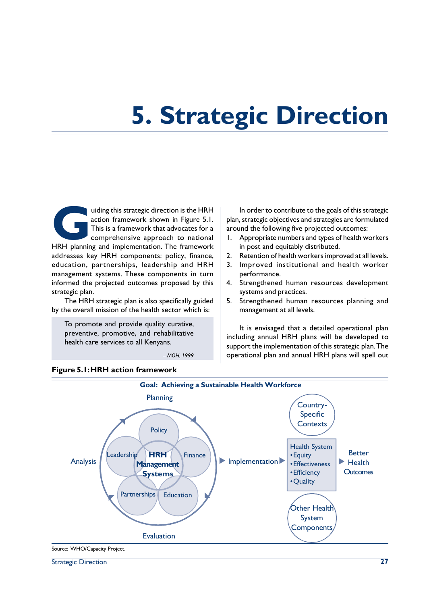# **5. Strategic Direction**

uiding this strategic direction is the HRH<br>action framework shown in Figure 5.1.<br>This is a framework that advocates for a<br>comprehensive approach to national<br>HRH planning and implementation. The framework uiding this strategic direction is the HRH action framework shown in Figure 5.1. This is a framework that advocates for a comprehensive approach to national addresses key HRH components: policy, finance, education, partnerships, leadership and HRH management systems. These components in turn informed the projected outcomes proposed by this strategic plan.

The HRH strategic plan is also specifically guided by the overall mission of the health sector which is:

To promote and provide quality curative, preventive, promotive, and rehabilitative health care services to all Kenyans.

**Figure 5.1:HRH action framework**

*– MOH, 1999*

In order to contribute to the goals of this strategic plan, strategic objectives and strategies are formulated around the following five projected outcomes:

- 1. Appropriate numbers and types of health workers in post and equitably distributed.
- 2. Retention of health workers improved at all levels.
- 3. Improved institutional and health worker performance.
- 4. Strengthened human resources development systems and practices.
- 5. Strengthened human resources planning and management at all levels.

It is envisaged that a detailed operational plan including annual HRH plans will be developed to support the implementation of this strategic plan. The operational plan and annual HRH plans will spell out

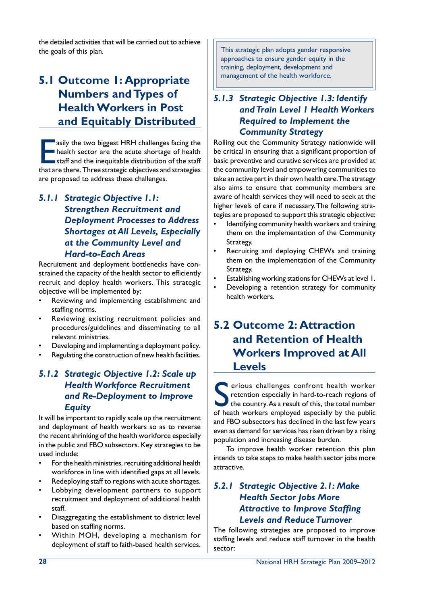the detailed activities that will be carried out to achieve the goals of this plan.

# **5.1 Outcome 1: Appropriate Numbers and Types of Health Workers in Post and Equitably Distributed**

asily the two biggest HRH challenges facing the<br>health sector are the acute shortage of health<br>staff and the inequitable distribution of the staff<br>that are there. Three strategic objectives and strategies **asily the two biggest HRH challenges facing the** health sector are the acute shortage of health staff and the inequitable distribution of the staff are proposed to address these challenges.

### *5.1.1 Strategic Objective 1.1: Strengthen Recruitment and Deployment Processes to Address Shortages at All Levels, Especially at the Community Level and Hard-to-Each Areas*

Recruitment and deployment bottlenecks have constrained the capacity of the health sector to efficiently recruit and deploy health workers. This strategic objective will be implemented by:

- Reviewing and implementing establishment and staffing norms.
- Reviewing existing recruitment policies and procedures/guidelines and disseminating to all relevant ministries.
- Developing and implementing a deployment policy.
- Regulating the construction of new health facilities.

#### *5.1.2 Strategic Objective 1.2: Scale up Health Workforce Recruitment and Re-Deployment to Improve Equity*

It will be important to rapidly scale up the recruitment and deployment of health workers so as to reverse the recent shrinking of the health workforce especially in the public and FBO subsectors. Key strategies to be used include:

- For the health ministries, recruiting additional health workforce in line with identified gaps at all levels.
- Redeploying staff to regions with acute shortages.
- Lobbying development partners to support recruitment and deployment of additional health staff.
- Disaggregating the establishment to district level based on staffing norms.
- Within MOH, developing a mechanism for deployment of staff to faith-based health services.

This strategic plan adopts gender responsive approaches to ensure gender equity in the training, deployment, development and management of the health workforce.

#### *5.1.3 Strategic Objective 1.3: Identify and Train Level 1 Health Workers Required to Implement the Community Strategy*

Rolling out the Community Strategy nationwide will be critical in ensuring that a significant proportion of basic preventive and curative services are provided at the community level and empowering communities to take an active part in their own health care. The strategy also aims to ensure that community members are aware of health services they will need to seek at the higher levels of care if necessary. The following strategies are proposed to support this strategic objective:

- Identifying community health workers and training them on the implementation of the Community Strategy.
- Recruiting and deploying CHEWs and training them on the implementation of the Community Strategy.
- Establishing working stations for CHEWs at level 1.
- Developing a retention strategy for community health workers.

## **5.2 Outcome 2: Attraction and Retention of Health Workers Improved at All Levels**

S<br>
Serious challenges confront health worker<br>
the country. As a result of this, the total number<br>
of beath workers employed sepecially by the public **Terious challenges confront health worker** retention especially in hard-to-reach regions of of heath workers employed especially by the public and FBO subsectors has declined in the last few years even as demand for services has risen driven by a rising population and increasing disease burden.

To improve health worker retention this plan intends to take steps to make health sector jobs more attractive.

### *5.2.1 Strategic Objective 2.1: Make Health Sector Jobs More Attractive to Improve Staffing Levels and Reduce Turnover*

The following strategies are proposed to improve staffing levels and reduce staff turnover in the health sector: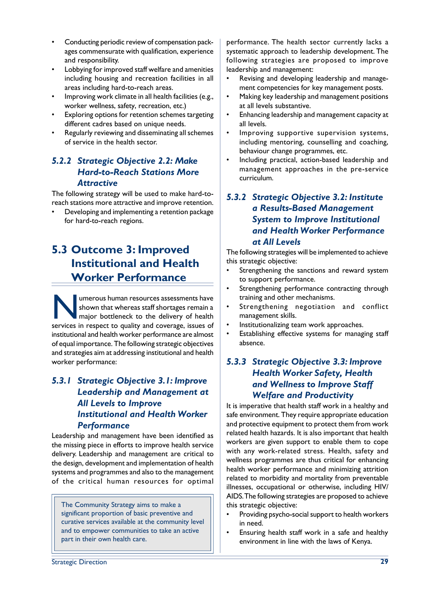- Conducting periodic review of compensation packages commensurate with qualification, experience and responsibility.
- Lobbying for improved staff welfare and amenities including housing and recreation facilities in all areas including hard-to-reach areas.
- Improving work climate in all health facilities (e.g., worker wellness, safety, recreation, etc.)
- Exploring options for retention schemes targeting different cadres based on unique needs.
- Regularly reviewing and disseminating all schemes of service in the health sector.

#### *5.2.2 Strategic Objective 2.2: Make Hard-to-Reach Stations More Attractive*

The following strategy will be used to make hard-toreach stations more attractive and improve retention.

• Developing and implementing a retention package for hard-to-reach regions.

## **5.3 Outcome 3: Improved Institutional and Health Worker Performance**

Imerous human resources assessments have<br>shown that whereas staff shortages remain a<br>major bottleneck to the delivery of health<br>services in respect to quality and coverage, issues of umerous human resources assessments have shown that whereas staff shortages remain a major bottleneck to the delivery of health institutional and health worker performance are almost of equal importance. The following strategic objectives and strategies aim at addressing institutional and health worker performance:

## *5.3.1 Strategic Objective 3.1: Improve Leadership and Management at All Levels to Improve Institutional and Health Worker Performance*

Leadership and management have been identified as the missing piece in efforts to improve health service delivery. Leadership and management are critical to the design, development and implementation of health systems and programmes and also to the management of the critical human resources for optimal

The Community Strategy aims to make a significant proportion of basic preventive and curative services available at the community level and to empower communities to take an active part in their own health care.

performance. The health sector currently lacks a systematic approach to leadership development. The following strategies are proposed to improve leadership and management:

- Revising and developing leadership and management competencies for key management posts.
- Making key leadership and management positions at all levels substantive.
- Enhancing leadership and management capacity at all levels.
- Improving supportive supervision systems, including mentoring, counselling and coaching, behaviour change programmes, etc.
- Including practical, action-based leadership and management approaches in the pre-service curriculum.

#### *5.3.2 Strategic Objective 3.2: Institute a Results-Based Management System to Improve Institutional and Health Worker Performance at All Levels*

The following strategies will be implemented to achieve this strategic objective:

- Strengthening the sanctions and reward system to support performance.
- Strengthening performance contracting through training and other mechanisms.
- Strengthening negotiation and conflict management skills.
- Institutionalizing team work approaches.
- Establishing effective systems for managing staff absence.

#### *5.3.3 Strategic Objective 3.3: Improve Health Worker Safety, Health and Wellness to Improve Staff Welfare and Productivity*

It is imperative that health staff work in a healthy and safe environment. They require appropriate education and protective equipment to protect them from work related health hazards. It is also important that health workers are given support to enable them to cope with any work-related stress. Health, safety and wellness programmes are thus critical for enhancing health worker performance and minimizing attrition related to morbidity and mortality from preventable illnesses, occupational or otherwise, including HIV/ AIDS. The following strategies are proposed to achieve this strategic objective:

- Providing psycho-social support to health workers in need.
- Ensuring health staff work in a safe and healthy environment in line with the laws of Kenya.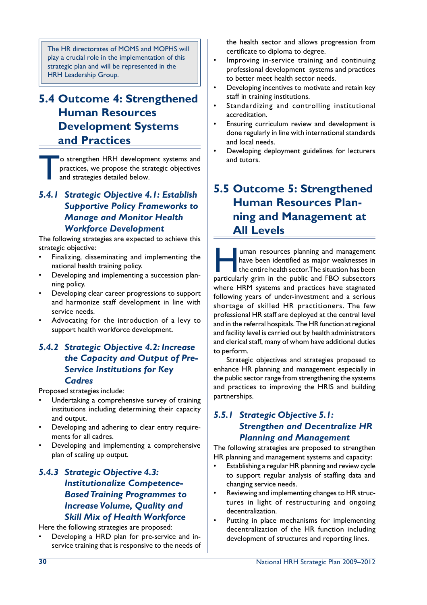The HR directorates of MOMS and MOPHS will play a crucial role in the implementation of this strategic plan and will be represented in the HRH Leadership Group.

# **5.4 Outcome 4: Strengthened Human Resources Development Systems and Practices**

T o strengthen HRH development systems and practices, we propose the strategic objectives and strategies detailed below.

#### *5.4.1 Strategic Objective 4.1: Establish Supportive Policy Frameworks to Manage and Monitor Health Workforce Development*

The following strategies are expected to achieve this strategic objective:

- Finalizing, disseminating and implementing the national health training policy.
- Developing and implementing a succession planning policy.
- Developing clear career progressions to support and harmonize staff development in line with service needs.
- Advocating for the introduction of a levy to support health workforce development.

#### *5.4.2 Strategic Objective 4.2: Increase the Capacity and Output of Pre-Service Institutions for Key Cadres*

Proposed strategies include:

- Undertaking a comprehensive survey of training institutions including determining their capacity and output.
- Developing and adhering to clear entry requirements for all cadres.
- Developing and implementing a comprehensive plan of scaling up output.

#### *5.4.3 Strategic Objective 4.3: Institutionalize Competence-Based Training Programmes to Increase Volume, Quality and Skill Mix of Health Workforce*

Here the following strategies are proposed:

• Developing a HRD plan for pre-service and inservice training that is responsive to the needs of the health sector and allows progression from certificate to diploma to degree.

- Improving in-service training and continuing professional development systems and practices to better meet health sector needs.
- Developing incentives to motivate and retain key staff in training institutions.
- Standardizing and controlling institutional accreditation.
- Ensuring curriculum review and development is done regularly in line with international standards and local needs.
- Developing deployment guidelines for lecturers and tutors.

# **5.5 Outcome 5: Strengthened Human Resources Planning and Management at All Levels**

Iman resources planning and management<br>have been identified as major weaknesses in<br>the entire health sector.<br>The situation has been<br>particularly grim in the public and FBO subsectors uman resources planning and management have been identified as major weaknesses in the entire health sector. The situation has been where HRM systems and practices have stagnated following years of under-investment and a serious shortage of skilled HR practitioners. The few professional HR staff are deployed at the central level and in the referral hospitals. The HR function at regional and facility level is carried out by health administrators and clerical staff, many of whom have additional duties to perform.

Strategic objectives and strategies proposed to enhance HR planning and management especially in the public sector range from strengthening the systems and practices to improving the HRIS and building partnerships.

#### *5.5.1 Strategic Objective 5.1: Strengthen and Decentralize HR Planning and Management*

The following strategies are proposed to strengthen HR planning and management systems and capacity:

- Establishing a regular HR planning and review cycle to support regular analysis of staffing data and changing service needs.
- Reviewing and implementing changes to HR structures in light of restructuring and ongoing decentralization.
- Putting in place mechanisms for implementing decentralization of the HR function including development of structures and reporting lines.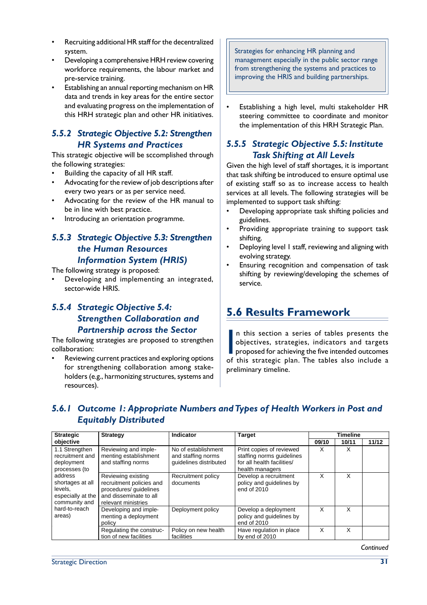- Recruiting additional HR staff for the decentralized system.
- Developing a comprehensive HRH review covering workforce requirements, the labour market and pre-service training.
- Establishing an annual reporting mechanism on HR data and trends in key areas for the entire sector and evaluating progress on the implementation of this HRH strategic plan and other HR initiatives.

#### *5.5.2 Strategic Objective 5.2: Strengthen HR Systems and Practices*

This strategic objective will be sccomplished through the following strategies:

- Building the capacity of all HR staff.
- Advocating for the review of job descriptions after every two years or as per service need.
- Advocating for the review of the HR manual to be in line with best practice.
- Introducing an orientation programme.

#### *5.5.3 Strategic Objective 5.3: Strengthen the Human Resources Information System (HRIS)*

The following strategy is proposed:

• Developing and implementing an integrated, sector-wide HRIS.

#### *5.5.4 Strategic Objective 5.4: Strengthen Collaboration and Partnership across the Sector*

The following strategies are proposed to strengthen collaboration:

Reviewing current practices and exploring options for strengthening collaboration among stakeholders (e.g., harmonizing structures, systems and resources).

Strategies for enhancing HR planning and management especially in the public sector range from strengthening the systems and practices to improving the HRIS and building partnerships.

• Establishing a high level, multi stakeholder HR steering committee to coordinate and monitor the implementation of this HRH Strategic Plan.

## *5.5.5 Strategic Objective 5.5: Institute Task Shifting at All Levels*

Given the high level of staff shortages, it is important that task shifting be introduced to ensure optimal use of existing staff so as to increase access to health services at all levels. The following strategies will be implemented to support task shifting:

- Developing appropriate task shifting policies and guidelines.
- Providing appropriate training to support task shifting.
- Deploying level 1 staff, reviewing and aligning with evolving strategy.
- Ensuring recognition and compensation of task shifting by reviewing/developing the schemes of service.

# **5.6 Results Framework**

n this section a series of tables presents the<br>objectives, strategies, indicators and targets<br>proposed for achieving the five intended outcomes<br>of this strategic plan. The tables also include a n this section a series of tables presents the objectives, strategies, indicators and targets proposed for achieving the five intended outcomes preliminary timeline.

## *5.6.1 Outcome 1: Appropriate Numbers and Types of Health Workers in Post and Equitably Distributed*

| <b>Strategic</b>                                                             | <b>Strategy</b>                                                                                                           | Indicator                                                           | <b>Target</b>                                                                                          |       | Timeline |       |
|------------------------------------------------------------------------------|---------------------------------------------------------------------------------------------------------------------------|---------------------------------------------------------------------|--------------------------------------------------------------------------------------------------------|-------|----------|-------|
| objective                                                                    |                                                                                                                           |                                                                     |                                                                                                        | 09/10 | 10/11    | 11/12 |
| 1.1 Strengthen<br>recruitment and<br>deployment<br>processes (to             | Reviewing and imple-<br>menting establishment<br>and staffing norms                                                       | No of establishment<br>and staffing norms<br>quidelines distributed | Print copies of reviewed<br>staffing norms quidelines<br>for all health facilities/<br>health managers | x     | X        |       |
| address<br>shortages at all<br>levels.<br>especially at the<br>community and | Reviewing existing<br>recruitment policies and<br>procedures/ guidelines<br>and disseminate to all<br>relevant ministries | Recruitment policy<br>documents                                     | Develop a recruitment<br>policy and quidelines by<br>end of 2010                                       | x     | X        |       |
| hard-to-reach<br>areas)                                                      | Developing and imple-<br>menting a deployment<br>policy                                                                   | Deployment policy                                                   | Develop a deployment<br>policy and guidelines by<br>end of 2010                                        | X     | X        |       |
|                                                                              | Regulating the construc-<br>tion of new facilities                                                                        | Policy on new health<br>facilities                                  | Have regulation in place<br>by end of 2010                                                             | X     | X        |       |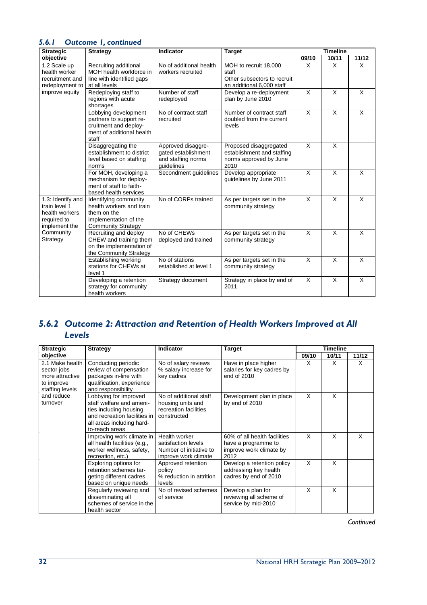#### *5.6.1 Outcome 1, continued*

| <b>Strategic</b>                                                                     | <b>Strategy</b>                                                                                                        | <b>Indicator</b>                                                              | <b>Target</b>                                                                              |                         | <b>Timeline</b>         |                         |
|--------------------------------------------------------------------------------------|------------------------------------------------------------------------------------------------------------------------|-------------------------------------------------------------------------------|--------------------------------------------------------------------------------------------|-------------------------|-------------------------|-------------------------|
| objective                                                                            |                                                                                                                        |                                                                               |                                                                                            | 09/10                   | 10/11                   | 11/12                   |
| 1.2 Scale up<br>health worker<br>recruitment and<br>redeployment to                  | Recruiting additional<br>MOH health workforce in<br>line with identified gaps<br>at all levels                         | No of additional health<br>workers recruited                                  | MOH to recruit 18,000<br>staff<br>Other subsectors to recruit<br>an additional 6,000 staff | X                       | X                       | $\times$                |
| improve equity                                                                       | Redeploying staff to<br>regions with acute<br>shortages                                                                | Number of staff<br>redeployed                                                 | Develop a re-deployment<br>plan by June 2010                                               | X                       | X                       | X                       |
|                                                                                      | Lobbying development<br>partners to support re-<br>cruitment and deploy-<br>ment of additional health<br>staff         | No of contract staff<br>recruited                                             | Number of contract staff<br>doubled from the current<br>levels                             | $\overline{X}$          | $\overline{\mathsf{x}}$ | $\overline{X}$          |
|                                                                                      | Disaggregating the<br>establishment to district<br>level based on staffing<br>norms                                    | Approved disaggre-<br>gated establishment<br>and staffing norms<br>quidelines | Proposed disaggregated<br>establishment and staffing<br>norms approved by June<br>2010     | X                       | X                       |                         |
|                                                                                      | For MOH, developing a<br>mechanism for deploy-<br>ment of staff to faith-<br>based health services                     | Secondment guidelines                                                         | Develop appropriate<br>guidelines by June 2011                                             | X                       | X                       | X                       |
| 1.3: Identify and<br>train level 1<br>health workers<br>required to<br>implement the | Identifying community<br>health workers and train<br>them on the<br>implementation of the<br><b>Community Strategy</b> | No of CORPs trained                                                           | As per targets set in the<br>community strategy                                            | X                       | X                       | X                       |
| Community<br>Strategy                                                                | Recruiting and deploy<br>CHEW and training them<br>on the implementation of<br>the Community Strategy                  | No of CHEWs<br>deployed and trained                                           | As per targets set in the<br>community strategy                                            | $\overline{\mathsf{x}}$ | $\overline{\mathsf{x}}$ | $\overline{X}$          |
|                                                                                      | Establishing working<br>stations for CHEWs at<br>level 1                                                               | No of stations<br>established at level 1                                      | As per targets set in the<br>community strategy                                            | X                       | $\overline{X}$          | $\overline{\mathsf{x}}$ |
|                                                                                      | Developing a retention<br>strategy for community<br>health workers                                                     | Strategy document                                                             | Strategy in place by end of<br>2011                                                        | X                       | X                       | X                       |

## *5.6.2 Outcome 2: Attraction and Retention of Health Workers Improved at All Levels*

| <b>Strategic</b>                                                                   | <b>Strategy</b>                                                                                                                                            | <b>Indicator</b>                                                                        | <b>Target</b>                                                                          |       | Timeline |       |
|------------------------------------------------------------------------------------|------------------------------------------------------------------------------------------------------------------------------------------------------------|-----------------------------------------------------------------------------------------|----------------------------------------------------------------------------------------|-------|----------|-------|
| objective                                                                          |                                                                                                                                                            |                                                                                         |                                                                                        | 09/10 | 10/11    | 11/12 |
| 2.1 Make health<br>sector jobs<br>more attractive<br>to improve<br>staffing levels | Conducting periodic<br>review of compensation<br>packages in-line with<br>qualification, experience<br>and responsibility                                  | No of salary reviews<br>% salary increase for<br>key cadres                             | Have in place higher<br>salaries for key cadres by<br>end of 2010                      | X     | X        | X     |
| and reduce<br>turnover                                                             | Lobbying for improved<br>staff welfare and ameni-<br>ties including housing<br>and recreation facilities in<br>all areas including hard-<br>to-reach areas | No of additional staff<br>housing units and<br>recreation facilities<br>constructed     | Development plan in place<br>by end of 2010                                            | X     | X        |       |
|                                                                                    | Improving work climate in<br>all health facilities (e.g.,<br>worker wellness, safety,<br>recreation, etc.)                                                 | Health worker<br>satisfaction levels<br>Number of initiative to<br>improve work climate | 60% of all health facilities<br>have a programme to<br>improve work climate by<br>2012 | X     | X        | X     |
|                                                                                    | Exploring options for<br>retention schemes tar-<br>geting different cadres<br>based on unique needs                                                        | Approved retention<br>policy<br>% reduction in attrition<br>levels                      | Develop a retention policy<br>addressing key health<br>cadres by end of 2010           | X     | X        |       |
|                                                                                    | Regularly reviewing and<br>disseminating all<br>schemes of service in the<br>health sector                                                                 | No of revised schemes<br>of service                                                     | Develop a plan for<br>reviewing all scheme of<br>service by mid-2010                   | X     | X        |       |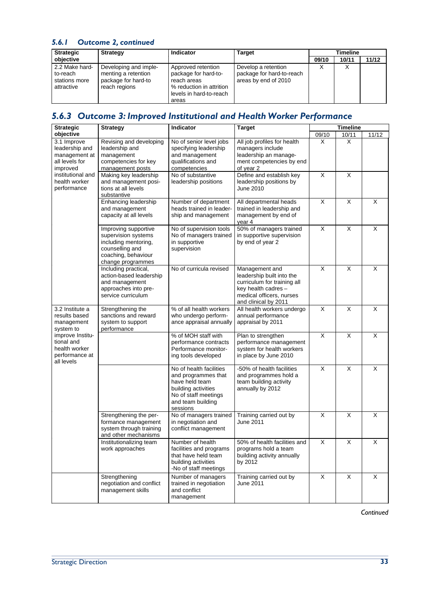#### *5.6.1 Outcome 2, continued*

| <b>Strategic</b>                                          | <b>Strategy</b>                                                                      | <b>Indicator</b>                                                                                                          | <b>Target</b>                                                            |       | Timeline          |       |
|-----------------------------------------------------------|--------------------------------------------------------------------------------------|---------------------------------------------------------------------------------------------------------------------------|--------------------------------------------------------------------------|-------|-------------------|-------|
| objective                                                 |                                                                                      |                                                                                                                           |                                                                          | 09/10 | 10/11             | 11/12 |
| 2.2 Make hard-<br>to-reach<br>stations more<br>attractive | Developing and imple-<br>menting a retention<br>package for hard-to<br>reach regions | Approved retention<br>package for hard-to-<br>reach areas<br>% reduction in attrition<br>levels in hard-to-reach<br>areas | Develop a retention<br>package for hard-to-reach<br>areas by end of 2010 | X     | $\checkmark$<br>∧ |       |

## *5.6.3 Outcome 3: Improved Institutional and Health Worker Performance*

| <b>Strategic</b>                                                                | <b>Strategy</b>                                                                                                                    | Indicator                                                                                                                                        | <b>Target</b>                                                                                                                                         |       | <b>Timeline</b> |       |
|---------------------------------------------------------------------------------|------------------------------------------------------------------------------------------------------------------------------------|--------------------------------------------------------------------------------------------------------------------------------------------------|-------------------------------------------------------------------------------------------------------------------------------------------------------|-------|-----------------|-------|
| objective                                                                       |                                                                                                                                    |                                                                                                                                                  |                                                                                                                                                       | 09/10 | 10/11           | 11/12 |
| 3.1 Improve<br>leadership and<br>management at<br>all levels for<br>improved    | Revising and developing<br>leadership and<br>management<br>competencies for key<br>management posts                                | No of senior level jobs<br>specifying leadership<br>and management<br>qualifications and<br>competencies                                         | All job profiles for health<br>managers include<br>leadership an manage-<br>ment competencies by end<br>of year 2                                     | X     | X               |       |
| institutional and<br>health worker<br>performance                               | Making key leadership<br>and management posi-<br>tions at all levels<br>substantive                                                | No of substantive<br>leadership positions                                                                                                        | Define and establish key<br>leadership positions by<br>June 2010                                                                                      | X     | X               |       |
|                                                                                 | Enhancing leadership<br>and management<br>capacity at all levels                                                                   | Number of department<br>heads trained in leader-<br>ship and management                                                                          | All departmental heads<br>trained in leadership and<br>management by end of<br>year 4                                                                 | X     | Χ               | X     |
|                                                                                 | Improving supportive<br>supervision systems<br>including mentoring,<br>counselling and<br>coaching, behaviour<br>change programmes | No of supervision tools<br>No of managers trained<br>in supportive<br>supervision                                                                | 50% of managers trained<br>in supportive supervision<br>by end of year 2                                                                              | X     | X               | X     |
|                                                                                 | Including practical,<br>action-based leadership<br>and management<br>approaches into pre-<br>service curriculum                    | No of curricula revised                                                                                                                          | Management and<br>leadership built into the<br>curriculum for training all<br>key health cadres -<br>medical officers, nurses<br>and clinical by 2011 | X     | Χ               | X     |
| 3.2 Institute a<br>results based<br>management<br>system to                     | Strengthening the<br>sanctions and reward<br>system to support<br>performance                                                      | % of all health workers<br>who undergo perform-<br>ance appraisal annually                                                                       | All health workers undergo<br>annual performance<br>appraisal by 2011                                                                                 | X     | X               | X     |
| improve Institu-<br>tional and<br>health worker<br>performance at<br>all levels |                                                                                                                                    | % of MOH staff with<br>performance contracts<br>Performance monitor-<br>ing tools developed                                                      | Plan to strengthen<br>performance management<br>system for health workers<br>in place by June 2010                                                    | X     | X               | X     |
|                                                                                 |                                                                                                                                    | No of health facilities<br>and programmes that<br>have held team<br>building activities<br>No of staff meetings<br>and team building<br>sessions | -50% of health facilities<br>and programmes hold a<br>team building activity<br>annually by 2012                                                      | X     | X               | X     |
|                                                                                 | Strengthening the per-<br>formance management<br>system through training<br>and other mechanisms                                   | No of managers trained<br>in negotiation and<br>conflict management                                                                              | Training carried out by<br>June 2011                                                                                                                  | X     | X               | X     |
|                                                                                 | Institutionalizing team<br>work approaches                                                                                         | Number of health<br>facilities and programs<br>that have held team<br>building activities<br>-No of staff meetings                               | 50% of health facilities and<br>programs hold a team<br>building activity annually<br>by 2012                                                         | Х     | X               | Х     |
|                                                                                 | Strengthening<br>negotiation and conflict<br>management skills                                                                     | Number of managers<br>trained in negotiation<br>and conflict<br>management                                                                       | Training carried out by<br>June 2011                                                                                                                  | X     | X               | X     |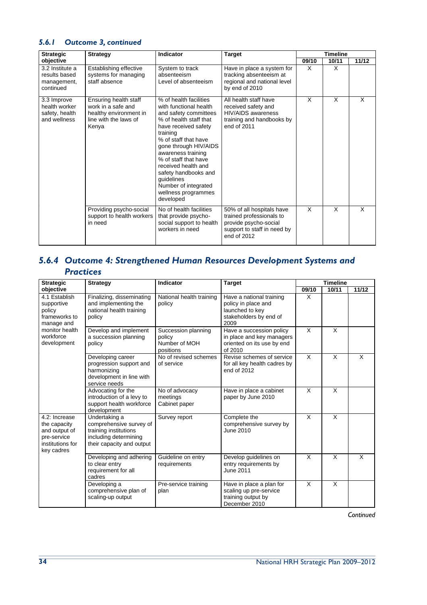#### *5.6.1 Outcome 3, continued*

| <b>Strategic</b>                                               | <b>Strategy</b>                                                                                         | <b>Indicator</b>                                                                                                                                                                                                                                                                                                                                                | Target                                                                                                                       |       | <b>Timeline</b> |       |
|----------------------------------------------------------------|---------------------------------------------------------------------------------------------------------|-----------------------------------------------------------------------------------------------------------------------------------------------------------------------------------------------------------------------------------------------------------------------------------------------------------------------------------------------------------------|------------------------------------------------------------------------------------------------------------------------------|-------|-----------------|-------|
| objective                                                      |                                                                                                         |                                                                                                                                                                                                                                                                                                                                                                 |                                                                                                                              | 09/10 | 10/11           | 11/12 |
| 3.2 Institute a<br>results based<br>management,<br>continued   | Establishing effective<br>systems for managing<br>staff absence                                         | System to track<br>absenteeism<br>Level of absenteeism                                                                                                                                                                                                                                                                                                          | Have in place a system for<br>tracking absenteeism at<br>regional and national level<br>by end of 2010                       | X     | X               |       |
| 3.3 Improve<br>health worker<br>safety, health<br>and wellness | Ensuring health staff<br>work in a safe and<br>healthy environment in<br>line with the laws of<br>Kenya | % of health facilities<br>with functional health<br>and safety committees<br>% of health staff that<br>have received safety<br>training<br>% of staff that have<br>gone through HIV/AIDS<br>awareness training<br>% of staff that have<br>received health and<br>safety handbooks and<br>guidelines<br>Number of integrated<br>wellness programmes<br>developed | All health staff have<br>received safety and<br><b>HIV/AIDS</b> awareness<br>training and handbooks by<br>end of 2011        | X     | X               | X     |
|                                                                | Providing psycho-social<br>support to health workers<br>in need                                         | No of health facilities<br>that provide psycho-<br>social support to health<br>workers in need                                                                                                                                                                                                                                                                  | 50% of all hospitals have<br>trained professionals to<br>provide psycho-social<br>support to staff in need by<br>end of 2012 | X     | X               | X     |

### *5.6.4 Outcome 4: Strengthened Human Resources Development Systems and Practices*

| <b>Strategic</b>                                                                                | <b>Strategy</b>                                                                                                         | Indicator                                                   | <b>Target</b>                                                                                        |                         | <b>Timeline</b>         |       |
|-------------------------------------------------------------------------------------------------|-------------------------------------------------------------------------------------------------------------------------|-------------------------------------------------------------|------------------------------------------------------------------------------------------------------|-------------------------|-------------------------|-------|
| objective                                                                                       |                                                                                                                         |                                                             |                                                                                                      | 09/10                   | 10/11                   | 11/12 |
| 4.1 Establish<br>supportive<br>policy<br>frameworks to<br>manage and                            | Finalizing, disseminating<br>and implementing the<br>national health training<br>policy                                 | National health training<br>policy                          | Have a national training<br>policy in place and<br>launched to key<br>stakeholders by end of<br>2009 | X                       |                         |       |
| monitor health<br>workforce<br>development                                                      | Develop and implement<br>a succession planning<br>policy                                                                | Succession planning<br>policy<br>Number of MOH<br>positions | Have a succession policy<br>in place and key managers<br>oriented on its use by end<br>of 2010       | $\mathsf{x}$            | X                       |       |
|                                                                                                 | Developing career<br>progression support and<br>harmonizing<br>development in line with<br>service needs                | No of revised schemes<br>of service                         | Revise schemes of service<br>for all key health cadres by<br>end of 2012                             | $\overline{\mathsf{x}}$ | $\overline{\mathsf{x}}$ | X     |
|                                                                                                 | Advocating for the<br>introduction of a levy to<br>support health workforce<br>development                              | No of advocacy<br>meetings<br>Cabinet paper                 | Have in place a cabinet<br>paper by June 2010                                                        | X                       | X                       |       |
| 4.2: Increase<br>the capacity<br>and output of<br>pre-service<br>institutions for<br>key cadres | Undertaking a<br>comprehensive survey of<br>training institutions<br>including determining<br>their capacity and output | Survey report                                               | Complete the<br>comprehensive survey by<br>June 2010                                                 | X                       | X                       |       |
|                                                                                                 | Developing and adhering<br>to clear entry<br>requirement for all<br>cadres                                              | Guideline on entry<br>requirements                          | Develop guidelines on<br>entry requirements by<br>June 2011                                          | $\overline{\mathsf{x}}$ | $\overline{\mathsf{x}}$ | X     |
|                                                                                                 | Developing a<br>comprehensive plan of<br>scaling-up output                                                              | Pre-service training<br>plan                                | Have in place a plan for<br>scaling up pre-service<br>training output by<br>December 2010            | X                       | X                       |       |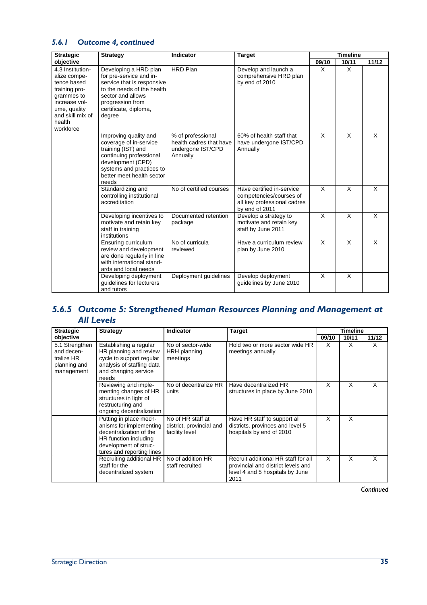#### *5.6.1 Outcome 4, continued*

| <b>Strategic</b>                                                                                                                                           | <b>Strategy</b>                                                                                                                                                                          | <b>Indicator</b>                                                              | <b>Target</b>                                                                                         |                | <b>Timeline</b> |              |
|------------------------------------------------------------------------------------------------------------------------------------------------------------|------------------------------------------------------------------------------------------------------------------------------------------------------------------------------------------|-------------------------------------------------------------------------------|-------------------------------------------------------------------------------------------------------|----------------|-----------------|--------------|
| objective                                                                                                                                                  |                                                                                                                                                                                          |                                                                               |                                                                                                       | 09/10          | 10/11           | 11/12        |
| 4.3 Institution-<br>alize compe-<br>tence based<br>training pro-<br>grammes to<br>increase vol-<br>ume, quality<br>and skill mix of<br>health<br>workforce | Developing a HRD plan<br>for pre-service and in-<br>service that is responsive<br>to the needs of the health<br>sector and allows<br>progression from<br>certificate, diploma,<br>degree | <b>HRD Plan</b>                                                               | Develop and launch a<br>comprehensive HRD plan<br>by end of 2010                                      | X              | X               |              |
|                                                                                                                                                            | Improving quality and<br>coverage of in-service<br>training (IST) and<br>continuing professional<br>development (CPD)<br>systems and practices to<br>better meet health sector<br>needs  | % of professional<br>health cadres that have<br>undergone IST/CPD<br>Annually | 60% of health staff that<br>have undergone IST/CPD<br>Annually                                        | X              | X               | X            |
|                                                                                                                                                            | Standardizing and<br>controlling institutional<br>accreditation                                                                                                                          | No of certified courses                                                       | Have certified in-service<br>competencies/courses of<br>all key professional cadres<br>by end of 2011 | X              | X               | $\mathsf{x}$ |
|                                                                                                                                                            | Developing incentives to<br>motivate and retain key<br>staff in training<br>institutions                                                                                                 | Documented retention<br>package                                               | Develop a strategy to<br>motivate and retain key<br>staff by June 2011                                | X              | X               | $\times$     |
|                                                                                                                                                            | Ensuring curriculum<br>review and development<br>are done regularly in line<br>with international stand-<br>ards and local needs                                                         | No of curricula<br>reviewed                                                   | Have a curriculum review<br>plan by June 2010                                                         | $\overline{X}$ | $\overline{X}$  | X            |
|                                                                                                                                                            | Developing deployment<br>guidelines for lecturers<br>and tutors                                                                                                                          | Deployment guidelines                                                         | Develop deployment<br>guidelines by June 2010                                                         | X              | X               |              |

#### *5.6.5 Outcome 5: Strengthened Human Resources Planning and Management at All Levels*

| <b>Strategic</b>                                                         | <b>Strategy</b>                                                                                                                                             | Indicator                                                       | <b>Target</b>                                                                                                        |       | Timeline |       |
|--------------------------------------------------------------------------|-------------------------------------------------------------------------------------------------------------------------------------------------------------|-----------------------------------------------------------------|----------------------------------------------------------------------------------------------------------------------|-------|----------|-------|
| objective                                                                |                                                                                                                                                             |                                                                 |                                                                                                                      | 09/10 | 10/11    | 11/12 |
| 5.1 Strengthen<br>and decen-<br>tralize HR<br>planning and<br>management | Establishing a regular<br>HR planning and review<br>cycle to support regular<br>analysis of staffing data<br>and changing service<br>needs                  | No of sector-wide<br>HRH planning<br>meetings                   | Hold two or more sector wide HR<br>meetings annually                                                                 | X     | X        | X     |
|                                                                          | Reviewing and imple-<br>menting changes of HR<br>structures in light of<br>restructuring and<br>ongoing decentralization                                    | No of decentralize HR<br>units                                  | Have decentralized HR<br>structures in place by June 2010                                                            | X     | X        | X     |
|                                                                          | Putting in place mech-<br>anisms for implementing<br>decentralization of the<br>HR function including<br>development of struc-<br>tures and reporting lines | No of HR staff at<br>district, provincial and<br>facility level | Have HR staff to support all<br>districts, provinces and level 5<br>hospitals by end of 2010                         | X     | X        |       |
|                                                                          | Recruiting additional HR<br>staff for the<br>decentralized system                                                                                           | No of addition HR<br>staff recruited                            | Recruit additional HR staff for all<br>provincial and district levels and<br>level 4 and 5 hospitals by June<br>2011 | X     | X        | X     |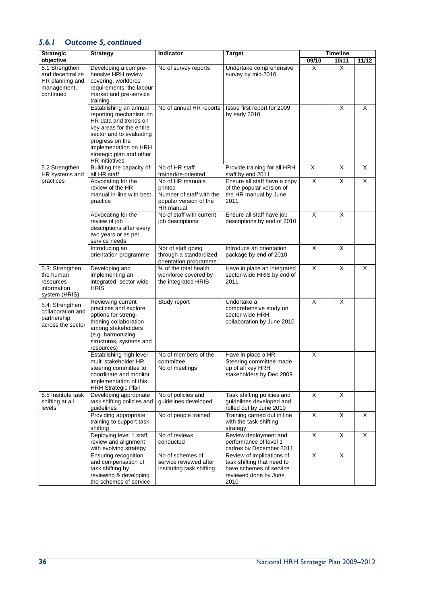## *5.6.1 Outcome 5, continued*

| <b>Strategic</b>                                                                  | <b>Strategy</b>                                                                                                                                                                                                                    | Indicator                                                                                      | <b>Target</b>                                                                                                       |                         | <b>Timeline</b>         |                |
|-----------------------------------------------------------------------------------|------------------------------------------------------------------------------------------------------------------------------------------------------------------------------------------------------------------------------------|------------------------------------------------------------------------------------------------|---------------------------------------------------------------------------------------------------------------------|-------------------------|-------------------------|----------------|
| objective                                                                         |                                                                                                                                                                                                                                    |                                                                                                |                                                                                                                     | 09/10                   | 10/11                   | 11/12          |
| 5.1 Strengthen<br>and decentralize<br>HR planning and<br>management,<br>continued | Developing a compre-<br>hensive HRH review<br>covering, workforce<br>requirements, the labour<br>market and pre-service<br>training                                                                                                | No of survey reports                                                                           | Undertake comprehensive<br>survey by mid-2010                                                                       | X                       | X                       |                |
|                                                                                   | Establishing an annual<br>reporting mechanism on<br>HR data and trends on<br>key areas for the entire<br>sector and to evaluating<br>progress on the<br>implementation on HRH<br>strategic plan and other<br><b>HR</b> initiatives | No of annual HR reports                                                                        | Issue first report for 2009<br>by early 2010                                                                        |                         | X                       | X              |
| 5.2 Strengthen<br>HR systems and                                                  | Building the capacity of<br>all HR staff                                                                                                                                                                                           | No of HR staff<br>trained/re-oriented                                                          | Provide training for all HRH<br>staff by end 2011                                                                   | X                       | X                       | X              |
| practices                                                                         | Advocating for the<br>review of the HR<br>manual in-line with best<br>practice                                                                                                                                                     | No of HR manuals<br>printed<br>Number of staff with the<br>popular version of the<br>HR manual | Ensure all staff have a copy<br>of the popular version of<br>the HR manual by June<br>2011                          | $\overline{\mathsf{x}}$ | $\overline{\mathsf{x}}$ | $\overline{X}$ |
|                                                                                   | Advocating for the<br>review of job<br>descriptions after every<br>two years or as per<br>service needs                                                                                                                            | No of staff with current<br>job descriptions                                                   | Ensure all staff have job<br>descriptions by end of 2010                                                            | $\overline{\mathsf{x}}$ | X                       |                |
|                                                                                   | Introducing an<br>orientation programme                                                                                                                                                                                            | Nor of staff going<br>through a standardized<br>orientation programme                          | Introduce an orientation<br>package by end of 2010                                                                  | X                       | X                       |                |
| 5.3: Strengthen<br>the human<br>resources<br>information<br>system (HRIS)         | Developing and<br>implementing an<br>integrated, sector wide<br><b>HRIS</b>                                                                                                                                                        | % of the total health<br>workforce covered by<br>the integrated HRIS                           | Have in place an integrated<br>sector-wide HRIS by end of<br>2011                                                   | $\overline{\mathsf{x}}$ | X                       | X              |
| 5.4: Strengthen<br>collaboration and<br>partnership<br>across the sector          | Reviewing current<br>practices and explore<br>options for streng-<br>thening collaboration<br>among stakeholders<br>(e.g. harmonizing<br>structures, systems and<br>resources)                                                     | Study report                                                                                   | Undertake a<br>comprehensive study on<br>sector-wide HRH<br>collaboration by June 2010                              | X                       | X                       |                |
|                                                                                   | Establishing high level<br>multi stakeholder HR<br>steering committee to<br>coordinate and monitor<br>implementation of this<br><b>HRH Strategic Plan</b>                                                                          | No of members of the<br>committee<br>No of meetings                                            | Have in place a HR<br>Steering committee made<br>up of all key HRH<br>stakeholders by Dec 2009                      | X                       |                         |                |
| 5.5 Institute task<br>shifting at all<br>levels                                   | Developing appropriate<br>task shifting policies and<br>guidelines                                                                                                                                                                 | No of policies and<br>guidelines developed                                                     | Task shifting policies and<br>guidelines developed and<br>rolled out by June 2010                                   | X                       | X                       |                |
|                                                                                   | Providing appropriate<br>training to support task<br>shifting                                                                                                                                                                      | No of people trained                                                                           | Training carried out in line<br>with the task-shifting<br>strategy                                                  | X                       | X                       | X              |
|                                                                                   | Deploying level 1 staff,<br>review and alignment<br>with evolving strategy                                                                                                                                                         | No of reviews<br>conducted                                                                     | Review deployment and<br>performance of level 1<br>cadres by December 2011                                          | X                       | X                       | $\sf X$        |
|                                                                                   | Ensuring recognition<br>and compensation of<br>task shifting by<br>reviewing & developing<br>the schemes of service                                                                                                                | No of schemes of<br>service reviewed after<br>instituting task shifting                        | Review of implications of<br>task shifting that need to<br>have schemes of service<br>reviewed done by June<br>2010 | X                       | X                       |                |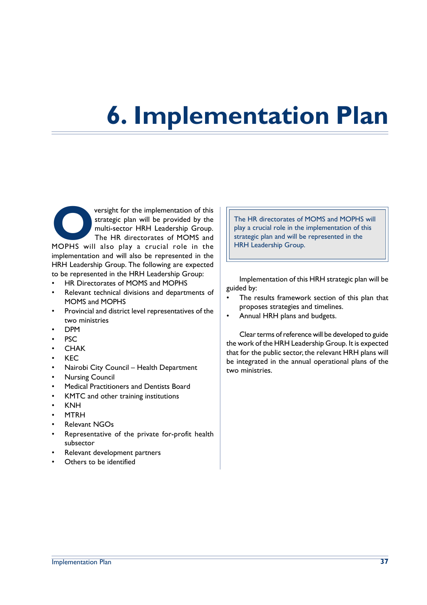# **6. Implementation Plan**

**PERITED SET ASSEMBED SET AND ARE SET AND ARE SET AND THE HR AIRCRED STATE SHOW THE HR AIRCRED STATES WILL also play a crucial role in the** versight for the implementation of this strategic plan will be provided by the multi-sector HRH Leadership Group. The HR directorates of MOMS and implementation and will also be represented in the HRH Leadership Group. The following are expected to be represented in the HRH Leadership Group:

- HR Directorates of MOMS and MOPHS
- Relevant technical divisions and departments of MOMS and MOPHS
- Provincial and district level representatives of the two ministries
- DPM
- **PSC**
- **CHAK**
- KEC
- Nairobi City Council Health Department
- Nursing Council
- Medical Practitioners and Dentists Board
- KMTC and other training institutions
- KNH
- MTRH
- Relevant NGOs
- Representative of the private for-profit health subsector
- Relevant development partners
- Others to be identified

The HR directorates of MOMS and MOPHS will play a crucial role in the implementation of this strategic plan and will be represented in the HRH Leadership Group.

Implementation of this HRH strategic plan will be guided by:

- The results framework section of this plan that proposes strategies and timelines.
- Annual HRH plans and budgets.

Clear terms of reference will be developed to guide the work of the HRH Leadership Group. It is expected that for the public sector, the relevant HRH plans will be integrated in the annual operational plans of the two ministries.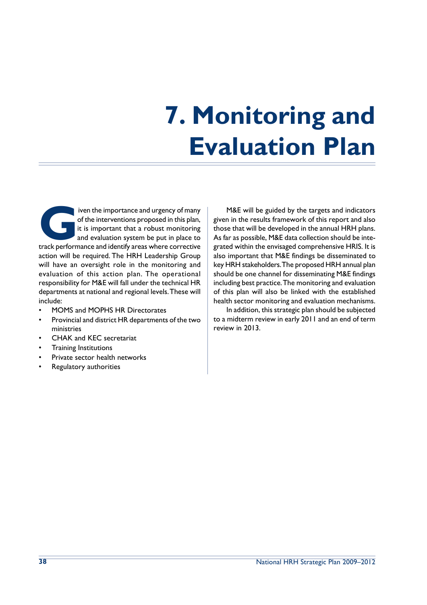# **7. Monitoring and Evaluation Plan**

Frack performance and identify areas where corrective and identify areas where corrective and evaluation system be put in place to track performance and identify areas where corrective iven the importance and urgency of many of the interventions proposed in this plan, it is important that a robust monitoring and evaluation system be put in place to action will be required. The HRH Leadership Group will have an oversight role in the monitoring and evaluation of this action plan. The operational responsibility for M&E will fall under the technical HR departments at national and regional levels. These will include:

- MOMS and MOPHS HR Directorates
- Provincial and district HR departments of the two ministries
- CHAK and KEC secretariat
- Training Institutions
- Private sector health networks
- Regulatory authorities

M&E will be guided by the targets and indicators given in the results framework of this report and also those that will be developed in the annual HRH plans. As far as possible, M&E data collection should be integrated within the envisaged comprehensive HRIS. It is also important that M&E findings be disseminated to key HRH stakeholders. The proposed HRH annual plan should be one channel for disseminating M&E findings including best practice. The monitoring and evaluation of this plan will also be linked with the established health sector monitoring and evaluation mechanisms.

In addition, this strategic plan should be subjected to a midterm review in early 2011 and an end of term review in 2013.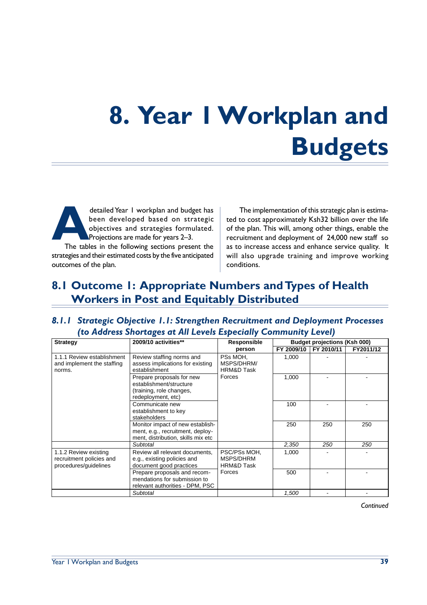# **8. Year 1 Workplan and Budgets**

The tabl detailed Year 1 workplan and budget has been developed based on strategic objectives and strategies formulated. Projections are made for years 2-3. The tables in the following sections present the

strategies and their estimated costs by the five anticipated outcomes of the plan.

The implementation of this strategic plan is estimated to cost approximately Ksh32 billion over the life of the plan. This will, among other things, enable the recruitment and deployment of 24,000 new staff so as to increase access and enhance service quality. It will also upgrade training and improve working conditions.

# **8.1 Outcome 1: Appropriate Numbers and Types of Health Workers in Post and Equitably Distributed**

#### *8.1.1 Strategic Objective 1.1: Strengthen Recruitment and Deployment Processes (to Address Shortages at All Levels Especially Community Level)*

| <b>Strategy</b>                                                            | 2009/10 activities**                                                                                       | <b>Responsible</b>                              |            | <b>Budget projections (Ksh 000)</b> |           |
|----------------------------------------------------------------------------|------------------------------------------------------------------------------------------------------------|-------------------------------------------------|------------|-------------------------------------|-----------|
|                                                                            |                                                                                                            | person                                          | FY 2009/10 | FY 2010/11                          | FY2011/12 |
| 1.1.1 Review establishment<br>and implement the staffing<br>norms.         | Review staffing norms and<br>assess implications for existing<br>establishment                             | PSs MOH,<br>MSPS/DHRM/<br><b>HRM&amp;D Task</b> | 1,000      |                                     |           |
|                                                                            | Prepare proposals for new<br>establishment/structure<br>(training, role changes,<br>redeployment, etc)     | Forces                                          | 1,000      |                                     |           |
|                                                                            | Communicate new<br>establishment to key<br>stakeholders                                                    |                                                 | 100        |                                     |           |
|                                                                            | Monitor impact of new establish-<br>ment, e.g., recruitment, deploy-<br>ment, distribution, skills mix etc |                                                 | 250        | 250                                 | 250       |
|                                                                            | Subtotal                                                                                                   |                                                 | 2,350      | 250                                 | 250       |
| 1.1.2 Review existing<br>recruitment policies and<br>procedures/guidelines | Review all relevant documents,<br>e.g., existing policies and<br>document good practices                   | PSC/PSs MOH,<br>MSPS/DHRM<br>HRM&D Task         | 1,000      |                                     |           |
|                                                                            | Prepare proposals and recom-<br>mendations for submission to<br>relevant authorities - DPM, PSC            | Forces                                          | 500        |                                     |           |
|                                                                            | Subtotal                                                                                                   |                                                 | 1,500      |                                     |           |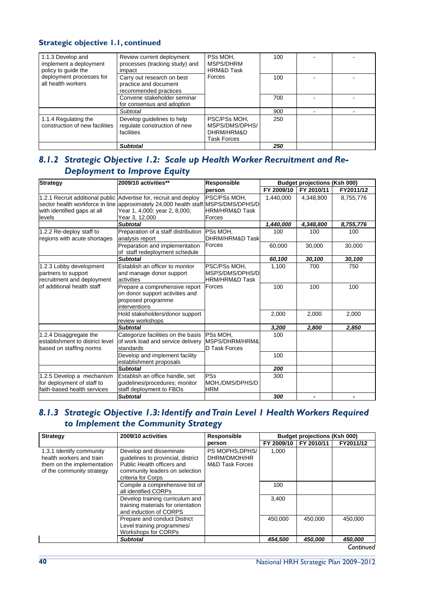#### **Strategic objective 1.1, continued**

| 1.1.3 Develop and<br>implement a deployment<br>policy to guide the | Review current deployment<br>processes (tracking study) and<br>impact        | PSs MOH.<br>MSPS/DHRM<br><b>HRM&amp;D Task</b>                     | 100 |  |
|--------------------------------------------------------------------|------------------------------------------------------------------------------|--------------------------------------------------------------------|-----|--|
| deployment processes for<br>all health workers                     | Carry out research on best<br>practice and document<br>recommended practices | Forces                                                             | 100 |  |
|                                                                    | Convene stakeholder seminar<br>for consensus and adoption                    |                                                                    | 700 |  |
|                                                                    | Subtotal                                                                     |                                                                    | 900 |  |
| 1.1.4 Regulating the<br>construction of new facilities             | Develop guidelines to help<br>regulate construction of new<br>facilities     | PSC/PSs MOH,<br>MSPS/DMS/DPHS/<br>DHRM/HRM&D<br><b>Task Forces</b> | 250 |  |
|                                                                    | <b>Subtotal</b>                                                              |                                                                    | 250 |  |

## *8.1.2 Strategic Objective 1.2: Scale up Health Worker Recruitment and Re-Deployment to Improve Equity*

| <b>Strategy</b>                                                                        | 2009/10 activities**<br><b>Responsible</b>                                                                                                                                                                 |                                                              |            | <b>Budget projections (Ksh 000)</b> |           |
|----------------------------------------------------------------------------------------|------------------------------------------------------------------------------------------------------------------------------------------------------------------------------------------------------------|--------------------------------------------------------------|------------|-------------------------------------|-----------|
|                                                                                        |                                                                                                                                                                                                            | person                                                       | FY 2009/10 | FY 2010/11                          | FY2011/12 |
| with identified gaps at all<br>levels                                                  | 1.2.1 Recruit additional public Advertise for, recruit and deploy<br>sector health workforce in line approximately 24,000 health staff: MSPS/DMS/DPHS/D<br>Year 1, 4,000; year 2, 8,000;<br>Year 3, 12,000 | PSC/PSs MOH,<br><b>HRM/HRM&amp;D Task</b><br>Forces          | 1,440,000  | 4,348,800                           | 8,755,776 |
|                                                                                        | <b>Subtotal</b>                                                                                                                                                                                            |                                                              | 1,440,000  | 4,348,800                           | 8,755,776 |
| 1.2.2 Re-deploy staff to<br>regions with acute shortages                               | Preparation of a staff distribution<br>analysis report                                                                                                                                                     | PSs MOH,<br>DHRM/HRM&D Task                                  | 100        | 100                                 | 100       |
|                                                                                        | Preparation and implementation<br>of staff redeployment schedule                                                                                                                                           | Forces                                                       | 60,000     | 30,000                              | 30,000    |
|                                                                                        | <b>Subtotal</b>                                                                                                                                                                                            |                                                              | 60,100     | 30,100                              | 30,100    |
| 1.2.3 Lobby development<br>partners to support<br>recruitment and deployment           | Establish an officer to monitor<br>and manage donor support<br>activities                                                                                                                                  | PSC/PSs MOH,<br>MSPS/DMS/DPHS/D<br><b>HRM/HRM&amp;D Task</b> | 1,100      | 700                                 | 750       |
| <b>l</b> of additional health staff                                                    | Prepare a comprehensive report<br>on donor support activities and<br>proposed programme<br>interventions                                                                                                   | Forces                                                       | 100        | 100                                 | 100       |
|                                                                                        | Hold stakeholders/donor support<br>review workshops                                                                                                                                                        |                                                              | 2,000      | 2,000                               | 2,000     |
|                                                                                        | <b>Subtotal</b>                                                                                                                                                                                            |                                                              | 3,200      | 2,800                               | 2,850     |
| 1.2.4 Disaggregate the<br>lestablishment to district level<br>based on staffing norms  | Categorize facilities on the basis<br>of work load and service delivery<br>standards                                                                                                                       | PSs MOH,<br><b>MSPS/DHRM/HRM&amp;</b><br>D Task Forces       | 100        |                                     |           |
|                                                                                        | Develop and implement facility<br>establishment proposals                                                                                                                                                  |                                                              | 100        |                                     |           |
|                                                                                        | <b>Subtotal</b>                                                                                                                                                                                            |                                                              | 200        |                                     |           |
| 1.2.5 Develop a mechanism<br>for deployment of staff to<br>faith-based health services | Establish an office handle, set<br>quidelines/procedures; monitor<br>staff deployment to FBOs                                                                                                              | PSs<br>MOH,/DMS/DPHS/D<br><b>HRM</b>                         | 300        |                                     |           |
|                                                                                        | <b>Subtotal</b>                                                                                                                                                                                            |                                                              | 300        |                                     |           |

## *8.1.3 Strategic Objective 1.3: Identify and Train Level 1 Health Workers Required to Implement the Community Strategy*

| <b>Strategy</b>                                                                                                 | 2009/10 activities                                                                                                                                  | Responsible                                                  | <b>Budget projections (Ksh 000)</b> |            |           |
|-----------------------------------------------------------------------------------------------------------------|-----------------------------------------------------------------------------------------------------------------------------------------------------|--------------------------------------------------------------|-------------------------------------|------------|-----------|
|                                                                                                                 |                                                                                                                                                     | person                                                       | FY 2009/10                          | FY 2010/11 | FY2011/12 |
| 1.3.1 Identify community<br>health workers and train<br>them on the implementation<br>of the community strategy | Develop and disseminate<br>quidelines to provincial, district<br>Public Health officers and<br>community leaders on selection<br>criteria for Corps | PS MOPHS.DPHS/<br>DHRM/DMOH/HR<br><b>M&amp;D Task Forces</b> | 1.000                               |            |           |
|                                                                                                                 | Compile a comprehensive list of<br>all identified CORPs                                                                                             |                                                              | 100                                 |            |           |
|                                                                                                                 | Develop training curriculum and<br>training materials for orientation<br>and induction of CORPS                                                     |                                                              | 3,400                               |            |           |
|                                                                                                                 | Prepare and conduct District<br>Level training programmes/<br><b>Workshops for CORPs</b>                                                            |                                                              | 450.000                             | 450,000    | 450.000   |
|                                                                                                                 | <b>Subtotal</b>                                                                                                                                     |                                                              | 454.500                             | 450.000    | 450.000   |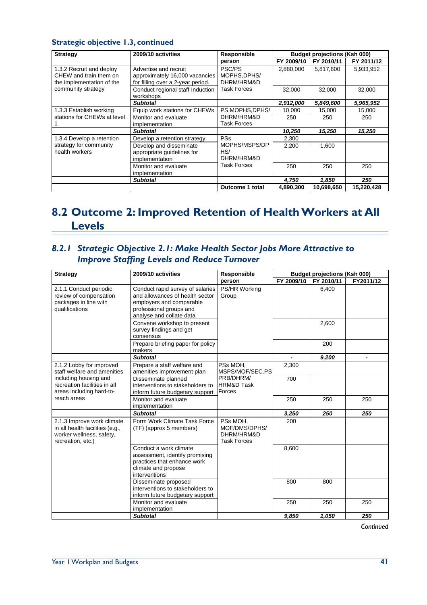#### **Strategic objective 1.3, continued**

| <b>Strategy</b>                                                                 | 2009/10 activities                                                                           | Responsible                          |            | <b>Budget projections (Ksh 000)</b> |            |
|---------------------------------------------------------------------------------|----------------------------------------------------------------------------------------------|--------------------------------------|------------|-------------------------------------|------------|
|                                                                                 |                                                                                              | person                               | FY 2009/10 | FY 2010/11                          | FY 2011/12 |
| 1.3.2 Recruit and deploy<br>CHEW and train them on<br>the implementation of the | Advertise and recruit<br>approximately 16,000 vacancies<br>for filling over a 2-year period. | PSC/PS<br>MOPHS, DPHS/<br>DHRM/HRM&D | 2.880.000  | 5.817.600                           | 5,933,952  |
| community strategy                                                              | Conduct regional staff Induction<br>workshops                                                | <b>Task Forces</b>                   | 32,000     | 32,000                              | 32,000     |
|                                                                                 | <b>Subtotal</b>                                                                              |                                      | 2,912,000  | 5,849,600                           | 5,965,952  |
| 1.3.3 Establish working                                                         | Equip work stations for CHEWs                                                                | PS MOPHS, DPHS/                      | 10,000     | 15,000                              | 15,000     |
| stations for CHEWs at level                                                     | Monitor and evaluate<br>implementation                                                       | DHRM/HRM&D<br><b>Task Forces</b>     | 250        | 250                                 | 250        |
|                                                                                 | <b>Subtotal</b>                                                                              |                                      | 10,250     | 15,250                              | 15,250     |
| 1.3.4 Develop a retention                                                       | Develop a retention strategy                                                                 | <b>PSs</b>                           | 2,300      |                                     |            |
| strategy for community<br>health workers                                        | Develop and disseminate<br>appropriate guidelines for<br>implementation                      | MOPHS/MSPS/DP<br>HS/<br>DHRM/HRM&D   | 2,200      | 1,600                               |            |
|                                                                                 | Monitor and evaluate<br>implementation                                                       | <b>Task Forces</b>                   | 250        | 250                                 | 250        |
|                                                                                 | <b>Subtotal</b>                                                                              |                                      | 4,750      | 1,850                               | 250        |
|                                                                                 |                                                                                              | Outcome 1 total                      | 4,890,300  | 10,698,650                          | 15,220,428 |

# **8.2 Outcome 2: Improved Retention of Health Workers at All Levels**

## *8.2.1 Strategic Objective 2.1: Make Health Sector Jobs More Attractive to Improve Staffing Levels and Reduce Turnover*

| <b>Strategy</b>                                                                                                | 2009/10 activities                                                                                                                                     | <b>Responsible</b>                                            | <b>Budget projections (Ksh 000)</b> |            |           |  |
|----------------------------------------------------------------------------------------------------------------|--------------------------------------------------------------------------------------------------------------------------------------------------------|---------------------------------------------------------------|-------------------------------------|------------|-----------|--|
|                                                                                                                |                                                                                                                                                        | person                                                        | FY 2009/10                          | FY 2010/11 | FY2011/12 |  |
| 2.1.1 Conduct periodic<br>review of compensation<br>packages in line with<br>qualifications                    | Conduct rapid survey of salaries<br>and allowances of health sector<br>employers and comparable<br>professional groups and<br>analyse and collate data | <b>PS/HR Working</b><br>Group                                 |                                     | 6,400      |           |  |
|                                                                                                                | Convene workshop to present<br>survey findings and get<br>consensus                                                                                    |                                                               |                                     | 2,600      |           |  |
|                                                                                                                | Prepare briefing paper for policy<br>makers                                                                                                            |                                                               |                                     | 200        |           |  |
|                                                                                                                | <b>Subtotal</b>                                                                                                                                        |                                                               | $\overline{\phantom{a}}$            | 9,200      |           |  |
| 2.1.2 Lobby for improved<br>staff welfare and amenities                                                        | Prepare a staff welfare and<br>amenities improvement plan                                                                                              | <b>PSs MOH.</b><br>MSPS/MOF/SEC.PS                            | 2,300                               |            |           |  |
| including housing and<br>recreation facilities in all<br>areas including hard-to-                              | Disseminate planned<br>interventions to stakeholders to<br>inform future budgetary support                                                             | PRB/DHRM/<br><b>HRM&amp;D Task</b><br><b>Forces</b>           | 700                                 |            |           |  |
| reach areas                                                                                                    | Monitor and evaluate<br>implementation                                                                                                                 |                                                               | 250                                 | 250        | 250       |  |
|                                                                                                                | <b>Subtotal</b>                                                                                                                                        |                                                               | 3,250                               | 250        | 250       |  |
| 2.1.3 Improve work climate<br>in all health facilities (e.g.,<br>worker wellness, safety,<br>recreation, etc.) | Form Work Climate Task Force<br>(TF) (approx 5 members)                                                                                                | PSs MOH,<br>MOF/DMS/DPHS/<br>DHRM/HRM&D<br><b>Task Forces</b> | 200                                 |            |           |  |
|                                                                                                                | Conduct a work climate<br>assessment, identify promising<br>practices that enhance work<br>climate and propose<br>interventions                        |                                                               | 8,600                               |            |           |  |
|                                                                                                                | Disseminate proposed<br>interventions to stakeholders to<br>inform future budgetary support                                                            |                                                               | 800                                 | 800        |           |  |
|                                                                                                                | Monitor and evaluate<br>implementation                                                                                                                 |                                                               | 250                                 | 250        | 250       |  |
|                                                                                                                | <b>Subtotal</b>                                                                                                                                        |                                                               | 9,850                               | 1,050      | 250       |  |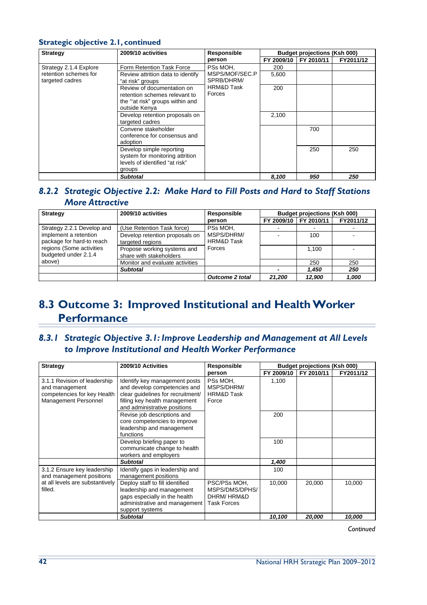#### **Strategic objective 2.1, continued**

| <b>Strategy</b>                          | 2009/10 activities                                                                                               | <b>Responsible</b>                                   | <b>Budget projections (Ksh 000)</b> |            |           |  |
|------------------------------------------|------------------------------------------------------------------------------------------------------------------|------------------------------------------------------|-------------------------------------|------------|-----------|--|
|                                          |                                                                                                                  | person                                               | FY 2009/10                          | FY 2010/11 | FY2011/12 |  |
| Strategy 2.1.4 Explore                   | Form Retention Task Force                                                                                        | PSs MOH,                                             | 200                                 |            |           |  |
| retention schemes for<br>targeted cadres | Review attrition data to identify<br>"at risk" groups                                                            | MSPS/MOF/SEC.P<br>SPRB/DHRM/<br>HRM&D Task<br>Forces | 5,600                               |            |           |  |
|                                          | Review of documentation on<br>retention schemes relevant to<br>the ""at risk" groups within and<br>outside Kenya |                                                      | 200                                 |            |           |  |
|                                          | Develop retention proposals on<br>targeted cadres                                                                |                                                      | 2.100                               |            |           |  |
|                                          | Convene stakeholder<br>conference for consensus and<br>adoption                                                  |                                                      |                                     | 700        |           |  |
|                                          | Develop simple reporting<br>system for monitoring attrition<br>levels of identified "at risk"<br>groups          |                                                      |                                     | 250        | 250       |  |
|                                          | <b>Subtotal</b>                                                                                                  |                                                      | 8,100                               | 950        | 250       |  |

#### *8.2.2 Strategic Objective 2.2: Make Hard to Fill Posts and Hard to Staff Stations More Attractive*

| <b>Strategy</b>                                    | 2009/10 activities                                     | Responsible                         | <b>Budget projections (Ksh 000)</b> |            |           |  |
|----------------------------------------------------|--------------------------------------------------------|-------------------------------------|-------------------------------------|------------|-----------|--|
|                                                    |                                                        | person                              | FY 2009/10                          | FY 2010/11 | FY2011/12 |  |
| Strategy 2.2.1 Develop and                         | (Use Retention Task force)                             | PSs MOH.                            |                                     |            |           |  |
| implement a retention<br>package for hard-to reach | Develop retention proposals on<br>targeted regions     | MSPS/DHRM/<br><b>HRM&amp;D Task</b> |                                     | 100        |           |  |
| regions (Some activities<br>budgeted under 2.1.4   | Propose working systems and<br>share with stakeholders | Forces                              |                                     | 1.100      |           |  |
| above)                                             | Monitor and evaluate activities                        |                                     |                                     | 250        | 250       |  |
|                                                    | <b>Subtotal</b>                                        |                                     |                                     | 1,450      | 250       |  |
|                                                    |                                                        | <b>Outcome 2 total</b>              | 21.200                              | 12.900     | 1.000     |  |

# **8.3 Outcome 3: Improved Institutional and Health Worker Performance**

## *8.3.1 Strategic Objective 3.1: Improve Leadership and Management at All Levels to Improve Institutional and Health Worker Performance*

| <b>Strategy</b>                                                                                       | 2009/10 Activities                                                                                                                                                  | Responsible                                                        |            | <b>Budget projections (Ksh 000)</b> |           |
|-------------------------------------------------------------------------------------------------------|---------------------------------------------------------------------------------------------------------------------------------------------------------------------|--------------------------------------------------------------------|------------|-------------------------------------|-----------|
|                                                                                                       |                                                                                                                                                                     | person                                                             | FY 2009/10 | FY 2010/11                          | FY2011/12 |
| 3.1.1 Revision of leadership<br>and management<br>competencies for key Health<br>Management Personnel | Identify key management posts<br>and develop competencies and<br>clear quidelines for recruitment/<br>filling key health management<br>and administrative positions | PSs MOH,<br>MSPS/DHRM/<br><b>HRM&amp;D Task</b><br>Force           | 1,100      |                                     |           |
|                                                                                                       | Revise job descriptions and<br>core competencies to improve<br>leadership and management<br>functions                                                               |                                                                    | 200        |                                     |           |
|                                                                                                       | Develop briefing paper to<br>communicate change to health<br>workers and employers                                                                                  |                                                                    | 100        |                                     |           |
|                                                                                                       | <b>Subtotal</b>                                                                                                                                                     |                                                                    | 1,400      |                                     |           |
| 3.1.2 Ensure key leadership<br>and management positions                                               | Identify gaps in leadership and<br>management positions                                                                                                             |                                                                    | 100        |                                     |           |
| at all levels are substantively<br>filled.                                                            | Deploy staff to fill identified<br>leadership and management<br>gaps especially in the health<br>administrative and management<br>support systems                   | PSC/PSs MOH,<br>MSPS/DMS/DPHS/<br>DHRM/HRM&D<br><b>Task Forces</b> | 10,000     | 20,000                              | 10,000    |
|                                                                                                       | <b>Subtotal</b>                                                                                                                                                     |                                                                    | 10,100     | 20,000                              | 10,000    |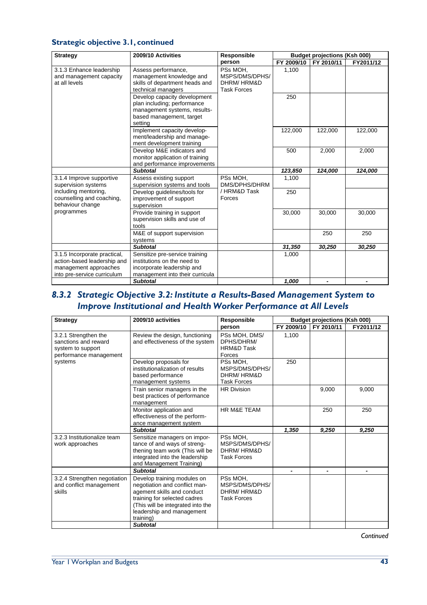#### **Strategic objective 3.1, continued**

| <b>Strategy</b>                                                                                                     | 2009/10 Activities                                                                                                                 | Responsible                                                    |            | <b>Budget projections (Ksh 000)</b> |           |
|---------------------------------------------------------------------------------------------------------------------|------------------------------------------------------------------------------------------------------------------------------------|----------------------------------------------------------------|------------|-------------------------------------|-----------|
|                                                                                                                     |                                                                                                                                    | person                                                         | FY 2009/10 | FY 2010/11                          | FY2011/12 |
| 3.1.3 Enhance leadership<br>and management capacity<br>at all levels                                                | Assess performance,<br>management knowledge and<br>skills of department heads and<br>technical managers                            | PSs MOH,<br>MSPS/DMS/DPHS/<br>DHRM/HRM&D<br><b>Task Forces</b> | 1,100      |                                     |           |
|                                                                                                                     | Develop capacity development<br>plan including; performance<br>management systems, results-<br>based management, target<br>setting |                                                                | 250        |                                     |           |
|                                                                                                                     | Implement capacity develop-<br>ment/leadership and manage-<br>ment development training                                            |                                                                | 122,000    | 122,000                             | 122,000   |
|                                                                                                                     | Develop M&E indicators and<br>monitor application of training<br>and performance improvements                                      |                                                                | 500        | 2,000                               | 2,000     |
|                                                                                                                     | <b>Subtotal</b>                                                                                                                    |                                                                | 123,850    | 124,000                             | 124,000   |
| 3.1.4 Improve supportive<br>supervision systems                                                                     | Assess existing support<br>supervision systems and tools                                                                           | PSs MOH.<br>DMS/DPHS/DHRM                                      | 1,100      |                                     |           |
| including mentoring,<br>counselling and coaching,<br>behaviour change                                               | Develop guidelines/tools for<br>improvement of support<br>supervision                                                              | / HRM&D Task<br>Forces                                         | 250        |                                     |           |
| programmes                                                                                                          | Provide training in support<br>supervision skills and use of<br>tools                                                              |                                                                | 30,000     | 30,000                              | 30,000    |
|                                                                                                                     | M&E of support supervision<br>systems                                                                                              |                                                                |            | 250                                 | 250       |
|                                                                                                                     | <b>Subtotal</b>                                                                                                                    |                                                                | 31,350     | 30,250                              | 30,250    |
| 3.1.5 Incorporate practical,<br>action-based leadership and<br>management approaches<br>into pre-service curriculum | Sensitize pre-service training<br>institutions on the need to<br>incorporate leadership and<br>management into their curricula     |                                                                | 1,000      |                                     |           |
|                                                                                                                     | <b>Subtotal</b>                                                                                                                    |                                                                | 1,000      | $\overline{\phantom{0}}$            |           |

## *8.3.2 Strategic Objective 3.2: Institute a Results-Based Management System to Improve Institutional and Health Worker Performance at All Levels*

| <b>Strategy</b>                                                                             | 2009/10 activities                                                                                                                                                                                        | Responsible                                                    |                          | <b>Budget projections (Ksh 000)</b> |           |
|---------------------------------------------------------------------------------------------|-----------------------------------------------------------------------------------------------------------------------------------------------------------------------------------------------------------|----------------------------------------------------------------|--------------------------|-------------------------------------|-----------|
|                                                                                             |                                                                                                                                                                                                           | person                                                         | FY 2009/10               | FY 2010/11                          | FY2011/12 |
| 3.2.1 Strengthen the<br>sanctions and reward<br>system to support<br>performance management | Review the design, functioning<br>and effectiveness of the system                                                                                                                                         | PSs MOH. DMS/<br>DPHS/DHRM/<br><b>HRM&amp;D Task</b><br>Forces | 1,100                    |                                     |           |
| systems                                                                                     | Develop proposals for<br>institutionalization of results<br>based performance<br>management systems                                                                                                       | PSs MOH,<br>MSPS/DMS/DPHS/<br>DHRM/HRM&D<br><b>Task Forces</b> | 250                      |                                     |           |
|                                                                                             | Train senior managers in the<br>best practices of performance<br>management                                                                                                                               | <b>HR Division</b>                                             |                          | 9,000                               | 9,000     |
|                                                                                             | Monitor application and<br>effectiveness of the perform-<br>ance management system                                                                                                                        | <b>HR M&amp;E TEAM</b>                                         |                          | 250                                 | 250       |
|                                                                                             | <b>Subtotal</b>                                                                                                                                                                                           |                                                                | 1.350                    | 9,250                               | 9,250     |
| 3.2.3 Institutionalize team<br>work approaches                                              | Sensitize managers on impor-<br>tance of and ways of streng-<br>thening team work (This will be<br>integrated into the leadership<br>and Management Training)                                             | PSs MOH,<br>MSPS/DMS/DPHS/<br>DHRM/HRM&D<br><b>Task Forces</b> |                          |                                     |           |
|                                                                                             | <b>Subtotal</b>                                                                                                                                                                                           |                                                                | $\overline{\phantom{0}}$ | $\overline{\phantom{0}}$            |           |
| 3.2.4 Strengthen negotiation<br>and conflict management<br>skills                           | Develop training modules on<br>negotiation and conflict man-<br>agement skills and conduct<br>training for selected cadres<br>(This will be integrated into the<br>leadership and management<br>training) | PSs MOH,<br>MSPS/DMS/DPHS/<br>DHRM/HRM&D<br><b>Task Forces</b> |                          |                                     |           |
|                                                                                             | <b>Subtotal</b>                                                                                                                                                                                           |                                                                |                          |                                     |           |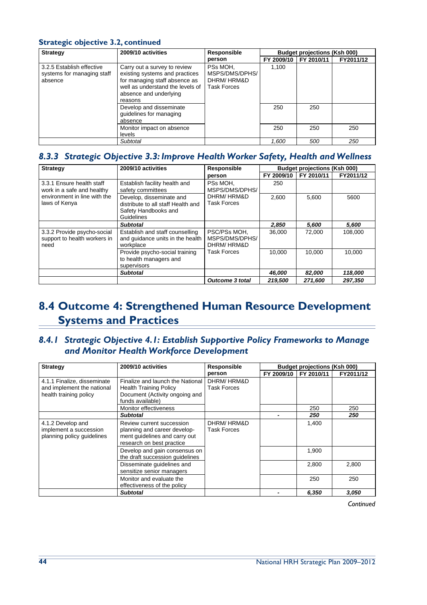#### **Strategic objective 3.2, continued**

| <b>Strategy</b>                                                    | 2009/10 activities                                                                                                                                                                                                                                  | <b>Responsible</b> | <b>Budget projections (Ksh 000)</b> |            |           |  |
|--------------------------------------------------------------------|-----------------------------------------------------------------------------------------------------------------------------------------------------------------------------------------------------------------------------------------------------|--------------------|-------------------------------------|------------|-----------|--|
|                                                                    |                                                                                                                                                                                                                                                     | person             | FY 2009/10                          | FY 2010/11 | FY2011/12 |  |
| 3.2.5 Establish effective<br>systems for managing staff<br>absence | PSs MOH.<br>Carry out a survey to review<br>existing systems and practices<br>for managing staff absence as<br>DHRM/HRM&D<br>well as understand the levels of<br><b>Task Forces</b><br>absence and underlying<br>reasons<br>Develop and disseminate | MSPS/DMS/DPHS/     | 1.100<br>250                        | 250        |           |  |
|                                                                    | guidelines for managing<br>absence                                                                                                                                                                                                                  |                    |                                     |            |           |  |
|                                                                    | Monitor impact on absence<br>levels                                                                                                                                                                                                                 |                    | 250                                 | 250        | 250       |  |
|                                                                    | Subtotal                                                                                                                                                                                                                                            |                    | 1.600                               | <i>500</i> | 250       |  |

## *8.3.3 Strategic Objective 3.3: Improve Health Worker Safety, Health and Wellness*

| <b>Strategy</b>                                                     | 2009/10 activities                                                                                          | Responsible                                  | <b>Budget projections (Ksh 000)</b> |            |           |  |
|---------------------------------------------------------------------|-------------------------------------------------------------------------------------------------------------|----------------------------------------------|-------------------------------------|------------|-----------|--|
|                                                                     |                                                                                                             | person                                       | FY 2009/10                          | FY 2010/11 | FY2011/12 |  |
| 3.3.1 Ensure health staff<br>work in a safe and healthy             | Establish facility health and<br>safety committees                                                          | PSs MOH.<br>MSPS/DMS/DPHS/                   | 250                                 |            |           |  |
| environment in line with the<br>laws of Kenya                       | Develop, disseminate and<br>distribute to all staff Health and<br>Safety Handbooks and<br><b>Guidelines</b> | DHRM/HRM&D<br><b>Task Forces</b>             | 2.600                               | 5,600      | 5600      |  |
|                                                                     | <b>Subtotal</b>                                                                                             |                                              | 2,850                               | 5,600      | 5,600     |  |
| 3.3.2 Provide psycho-social<br>support to health workers in<br>need | Establish and staff counselling<br>and quidance units in the health<br>workplace                            | PSC/PSs MOH.<br>MSPS/DMS/DPHS/<br>DHRM/HRM&D | 36,000                              | 72.000     | 108.000   |  |
|                                                                     | Provide psycho-social training<br>to health managers and<br>supervisors                                     | <b>Task Forces</b>                           | 10.000                              | 10.000     | 10.000    |  |
|                                                                     | <b>Subtotal</b>                                                                                             |                                              | 46,000                              | 82,000     | 118,000   |  |
|                                                                     |                                                                                                             | <b>Outcome 3 total</b>                       | 219,500                             | 271,600    | 297,350   |  |

# **8.4 Outcome 4: Strengthened Human Resource Development Systems and Practices**

### *8.4.1 Strategic Objective 4.1: Establish Supportive Policy Frameworks to Manage and Monitor Health Workforce Development*

| <b>Strategy</b>                                                                     | 2009/10 activities                                                                                                      | Responsible                      | <b>Budget projections (Ksh 000)</b> |            |           |  |  |
|-------------------------------------------------------------------------------------|-------------------------------------------------------------------------------------------------------------------------|----------------------------------|-------------------------------------|------------|-----------|--|--|
|                                                                                     |                                                                                                                         | person                           | FY 2009/10                          | FY 2010/11 | FY2011/12 |  |  |
| 4.1.1 Finalize, disseminate<br>and implement the national<br>health training policy | Finalize and launch the National<br><b>Health Training Policy</b><br>Document (Activity ongoing and<br>funds available) | DHRM/HRM&D<br><b>Task Forces</b> |                                     |            |           |  |  |
|                                                                                     | <b>Monitor effectiveness</b>                                                                                            |                                  |                                     | 250        | 250       |  |  |
|                                                                                     | <b>Subtotal</b>                                                                                                         |                                  |                                     | 250        | 250       |  |  |
| 4.1.2 Develop and<br>implement a succession<br>planning policy guidelines           | Review current succession<br>planning and career develop-<br>ment quidelines and carry out<br>research on best practice | DHRM/HRM&D<br><b>Task Forces</b> |                                     | 1.400      |           |  |  |
|                                                                                     | Develop and gain consensus on<br>the draft succession quidelines                                                        |                                  |                                     | 1.900      |           |  |  |
|                                                                                     | Disseminate guidelines and<br>sensitize senior managers                                                                 |                                  |                                     | 2.800      | 2,800     |  |  |
|                                                                                     | Monitor and evaluate the<br>effectiveness of the policy                                                                 |                                  |                                     | 250        | 250       |  |  |
|                                                                                     | <b>Subtotal</b>                                                                                                         |                                  |                                     | 6.350      | 3.050     |  |  |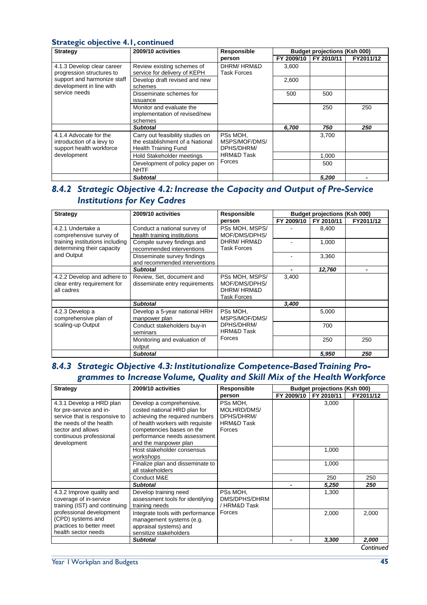#### **Strategic objective 4.1, continued**

| ັ<br><b>Strategy</b>                                                                           | 2009/10 activities                                                                                 | Responsible                             | <b>Budget projections (Ksh 000)</b> |            |           |  |
|------------------------------------------------------------------------------------------------|----------------------------------------------------------------------------------------------------|-----------------------------------------|-------------------------------------|------------|-----------|--|
|                                                                                                |                                                                                                    | person                                  | FY 2009/10                          | FY 2010/11 | FY2011/12 |  |
| 4.1.3 Develop clear career<br>progression structures to                                        | Review existing schemes of<br>service for delivery of KEPH                                         | DHRM/HRM&D<br><b>Task Forces</b>        | 3.600                               |            |           |  |
| support and harmonize staff<br>development in line with<br>service needs                       | Develop draft revised and new<br>schemes                                                           |                                         | 2,600                               |            |           |  |
|                                                                                                | Disseminate schemes for<br>issuance                                                                |                                         | 500                                 | 500        |           |  |
|                                                                                                | Monitor and evaluate the<br>implementation of revised/new<br>schemes                               |                                         |                                     | 250        | 250       |  |
|                                                                                                | <b>Subtotal</b>                                                                                    |                                         | 6,700                               | 750        | 250       |  |
| 4.1.4 Advocate for the<br>introduction of a levy to<br>support health workforce<br>development | Carry out feasibility studies on<br>the establishment of a National<br><b>Health Training Fund</b> | PSs MOH.<br>MSPS/MOF/DMS/<br>DPHS/DHRM/ |                                     | 3,700      |           |  |
|                                                                                                | Hold Stakeholder meetings                                                                          | <b>HRM&amp;D Task</b>                   |                                     | 1,000      |           |  |
|                                                                                                | Development of policy paper on<br><b>NHTF</b>                                                      | Forces                                  |                                     | 500        |           |  |
|                                                                                                | <b>Subtotal</b>                                                                                    |                                         |                                     | 5,200      |           |  |

### *8.4.2 Strategic Objective 4.2: Increase the Capacity and Output of Pre-Service Institutions for Key Cadres*

| <b>Strategy</b>                                                          | 2009/10 activities                                           | <b>Responsible</b>                                                  | <b>Budget projections (Ksh 000)</b> |            |           |
|--------------------------------------------------------------------------|--------------------------------------------------------------|---------------------------------------------------------------------|-------------------------------------|------------|-----------|
|                                                                          |                                                              | person                                                              | FY 2009/10                          | FY 2010/11 | FY2011/12 |
| 4.2.1 Undertake a<br>comprehensive survey of                             | Conduct a national survey of<br>health training institutions | PSs MOH. MSPS/<br>MOF/DMS/DPHS/                                     |                                     | 8.400      |           |
| training institutions including<br>determining their capacity            | Compile survey findings and<br>recommended interventions     | DHRM/HRM&D<br><b>Task Forces</b>                                    |                                     | 1,000      |           |
| and Output                                                               | Disseminate survey findings<br>and recommended interventions |                                                                     |                                     | 3.360      |           |
|                                                                          | <b>Subtotal</b>                                              |                                                                     |                                     | 12,760     |           |
| 4.2.2 Develop and adhere to<br>clear entry requirement for<br>all cadres | Review, Set, document and<br>disseminate entry requirements  | PSs MOH, MSPS/<br>MOF/DMS/DPHS/<br>DHRM/HRM&D<br><b>Task Forces</b> | 3,400                               |            |           |
|                                                                          | <b>Subtotal</b>                                              |                                                                     | 3,400                               |            |           |
| 4.2.3 Develop a<br>comprehensive plan of                                 | Develop a 5-year national HRH<br>manpower plan               | PSs MOH.<br>MSPS/MOF/DMS/                                           |                                     | 5,000      |           |
| scaling-up Output                                                        | Conduct stakeholders buy-in<br>seminars                      | DPHS/DHRM/<br>HRM&D Task                                            |                                     | 700        |           |
|                                                                          | Monitoring and evaluation of<br>output                       | <b>Forces</b>                                                       |                                     | 250        | 250       |
|                                                                          | <b>Subtotal</b>                                              |                                                                     |                                     | 5,950      | 250       |

#### *8.4.3 Strategic Objective 4.3: Institutionalize Competence-Based Training Programmes to Increase Volume, Quality and Skill Mix of the Health Workforce*

| <b>Strategy</b>                                                                                                                                                                | 2009/10 activities                                                                                                                                                                                                                                 | Responsible                                                              | <b>Budget projections (Ksh 000)</b> |                |           |
|--------------------------------------------------------------------------------------------------------------------------------------------------------------------------------|----------------------------------------------------------------------------------------------------------------------------------------------------------------------------------------------------------------------------------------------------|--------------------------------------------------------------------------|-------------------------------------|----------------|-----------|
|                                                                                                                                                                                |                                                                                                                                                                                                                                                    | person                                                                   | FY 2009/10                          | FY 2010/11     | FY2011/12 |
| 4.3.1 Develop a HRD plan<br>for pre-service and in-<br>service that is responsive to<br>the needs of the health<br>sector and allows<br>continuous professional<br>development | Develop a comprehensive,<br>costed national HRD plan for<br>achieving the required numbers<br>of health workers with requisite<br>competencies bases on the<br>performance needs assessment<br>and the manpower plan<br>Host stakeholder consensus | PSs MOH.<br>MOLHRD/DMS/<br>DPHS/DHRM/<br><b>HRM&amp;D Task</b><br>Forces |                                     | 3,000<br>1,000 |           |
|                                                                                                                                                                                | workshops                                                                                                                                                                                                                                          |                                                                          |                                     |                |           |
|                                                                                                                                                                                | Finalize plan and disseminate to<br>all stakeholders                                                                                                                                                                                               |                                                                          |                                     | 1,000          |           |
|                                                                                                                                                                                | Conduct M&E                                                                                                                                                                                                                                        |                                                                          |                                     | 250            | 250       |
|                                                                                                                                                                                | <b>Subtotal</b>                                                                                                                                                                                                                                    |                                                                          |                                     | 5,250          | 250       |
| 4.3.2 Improve quality and<br>coverage of in-service<br>training (IST) and continuing                                                                                           | Develop training need<br>assessment tools for identifying<br>training needs                                                                                                                                                                        | PSs MOH,<br>DMS/DPHS/DHRM<br>/ HRM&D Task                                |                                     | 1,300          |           |
| professional development<br>(CPD) systems and<br>practices to better meet<br>health sector needs                                                                               | Integrate tools with performance<br>management systems (e.g.<br>appraisal systems) and<br>sensitize stakeholders                                                                                                                                   | Forces                                                                   |                                     | 2,000          | 2,000     |
|                                                                                                                                                                                | <b>Subtotal</b>                                                                                                                                                                                                                                    |                                                                          |                                     | 3,300          | 2,000     |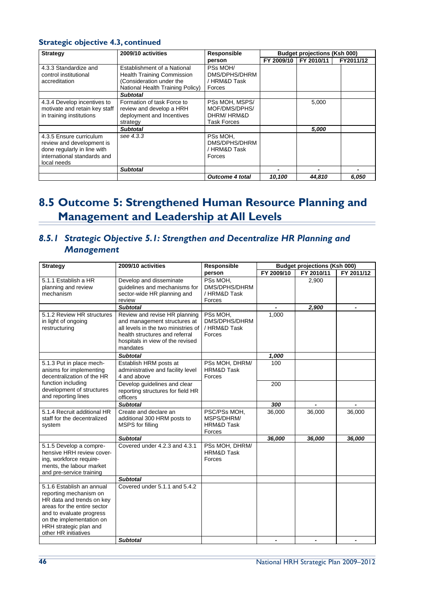#### **Strategic objective 4.3, continued**

| <b>Strategy</b>                                                                                                                   | 2009/10 activities                                                                                                               | <b>Responsible</b>                                                  | <b>Budget projections (Ksh 000)</b> |            |           |
|-----------------------------------------------------------------------------------------------------------------------------------|----------------------------------------------------------------------------------------------------------------------------------|---------------------------------------------------------------------|-------------------------------------|------------|-----------|
|                                                                                                                                   |                                                                                                                                  | person                                                              | FY 2009/10                          | FY 2010/11 | FY2011/12 |
| 4.3.3 Standardize and<br>control institutional<br>accreditation                                                                   | Establishment of a National<br><b>Health Training Commission</b><br>(Consideration under the<br>National Health Training Policy) | PSs MOH/<br>DMS/DPHS/DHRM<br>/ HRM&D Task<br>Forces                 |                                     |            |           |
|                                                                                                                                   | <b>Subtotal</b>                                                                                                                  |                                                                     |                                     |            |           |
| 4.3.4 Develop incentives to<br>motivate and retain key staff<br>in training institutions                                          | Formation of task Force to<br>review and develop a HRH<br>deployment and Incentives<br>strategy                                  | PSs MOH, MSPS/<br>MOF/DMS/DPHS/<br>DHRM/HRM&D<br><b>Task Forces</b> |                                     | 5,000      |           |
|                                                                                                                                   | <b>Subtotal</b>                                                                                                                  |                                                                     |                                     | 5,000      |           |
| 4.3.5 Ensure curriculum<br>review and development is<br>done regularly in line with<br>international standards and<br>local needs | see 4.3.3                                                                                                                        | PSs MOH,<br>DMS/DPHS/DHRM<br>/ HRM&D Task<br>Forces                 |                                     |            |           |
|                                                                                                                                   | <b>Subtotal</b>                                                                                                                  |                                                                     |                                     |            |           |
|                                                                                                                                   |                                                                                                                                  | <b>Outcome 4 total</b>                                              | 10,100                              | 44.810     | 6,050     |

# **8.5 Outcome 5: Strengthened Human Resource Planning and Management and Leadership at All Levels**

## *8.5.1 Strategic Objective 5.1: Strengthen and Decentralize HR Planning and Management*

| <b>Strategy</b>                                                                                                                                                                                                           | 2009/10 activities                                                                                                                                                                     | Responsible                                                   |            | <b>Budget projections (Ksh 000)</b> |                          |
|---------------------------------------------------------------------------------------------------------------------------------------------------------------------------------------------------------------------------|----------------------------------------------------------------------------------------------------------------------------------------------------------------------------------------|---------------------------------------------------------------|------------|-------------------------------------|--------------------------|
|                                                                                                                                                                                                                           |                                                                                                                                                                                        | person                                                        | FY 2009/10 | FY 2010/11                          | FY 2011/12               |
| 5.1.1 Establish a HR<br>planning and review<br>mechanism                                                                                                                                                                  | Develop and disseminate<br>guidelines and mechanisms for<br>sector-wide HR planning and<br>review                                                                                      | PSs MOH.<br>DMS/DPHS/DHRM<br>/ HRM&D Task<br>Forces           |            | 2,900                               |                          |
|                                                                                                                                                                                                                           | <b>Subtotal</b>                                                                                                                                                                        |                                                               |            | 2,900                               | $\overline{\phantom{a}}$ |
| 5.1.2 Review HR structures<br>in light of ongoing<br>restructuring                                                                                                                                                        | Review and revise HR planning<br>and management structures at<br>all levels in the two ministries of<br>health structures and referral<br>hospitals in view of the revised<br>mandates | PSs MOH,<br>DMS/DPHS/DHRM<br>/ HRM&D Task<br>Forces           | 1.000      |                                     |                          |
|                                                                                                                                                                                                                           | <b>Subtotal</b>                                                                                                                                                                        |                                                               | 1,000      |                                     |                          |
| 5.1.3 Put in place mech-<br>anisms for implementing<br>decentralization of the HR                                                                                                                                         | Establish HRM posts at<br>administrative and facility level<br>4 and above                                                                                                             | PSs MOH, DHRM/<br><b>HRM&amp;D Task</b><br>Forces             | 100        |                                     |                          |
| function including<br>development of structures<br>and reporting lines                                                                                                                                                    | Develop guidelines and clear<br>reporting structures for field HR<br>officers                                                                                                          |                                                               | 200        |                                     |                          |
|                                                                                                                                                                                                                           | <b>Subtotal</b>                                                                                                                                                                        |                                                               | 300        |                                     |                          |
| 5.1.4 Recruit additional HR<br>staff for the decentralized<br>system                                                                                                                                                      | Create and declare an<br>additional 300 HRM posts to<br>MSPS for filling                                                                                                               | PSC/PSs MOH.<br>MSPS/DHRM/<br><b>HRM&amp;D Task</b><br>Forces | 36,000     | 36,000                              | 36,000                   |
|                                                                                                                                                                                                                           | <b>Subtotal</b>                                                                                                                                                                        |                                                               | 36,000     | 36,000                              | 36,000                   |
| 5.1.5 Develop a compre-<br>hensive HRH review cover-<br>ing, workforce require-<br>ments, the labour market<br>and pre-service training                                                                                   | Covered under 4.2.3 and 4.3.1                                                                                                                                                          | PSs MOH, DHRM/<br><b>HRM&amp;D Task</b><br>Forces             |            |                                     |                          |
|                                                                                                                                                                                                                           | <b>Subtotal</b>                                                                                                                                                                        |                                                               |            |                                     |                          |
| 5.1.6 Establish an annual<br>reporting mechanism on<br>HR data and trends on key<br>areas for the entire sector<br>and to evaluate progress<br>on the implementation on<br>HRH strategic plan and<br>other HR initiatives | Covered under 5.1.1 and 5.4.2                                                                                                                                                          |                                                               |            |                                     |                          |
|                                                                                                                                                                                                                           | <b>Subtotal</b>                                                                                                                                                                        |                                                               |            |                                     |                          |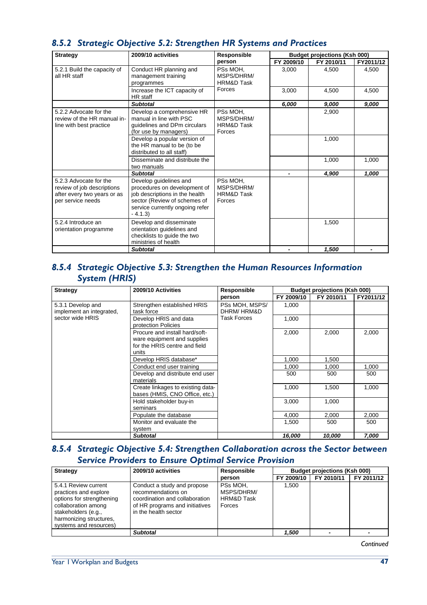| <b>Strategy</b>                                                                                          | 2009/10 activities                                                                                                                                                      | Responsible                                               |                          | <b>Budget projections (Ksh 000)</b> |           |  |
|----------------------------------------------------------------------------------------------------------|-------------------------------------------------------------------------------------------------------------------------------------------------------------------------|-----------------------------------------------------------|--------------------------|-------------------------------------|-----------|--|
|                                                                                                          |                                                                                                                                                                         | person                                                    | FY 2009/10               | FY 2010/11                          | FY2011/12 |  |
| 5.2.1 Build the capacity of<br>all HR staff                                                              | Conduct HR planning and<br>management training<br>programmes                                                                                                            | PSs MOH.<br>MSPS/DHRM/<br><b>HRM&amp;D Task</b>           | 3.000                    | 4.500                               | 4.500     |  |
|                                                                                                          | Increase the ICT capacity of<br>HR staff                                                                                                                                | Forces                                                    | 3,000                    | 4,500                               | 4,500     |  |
|                                                                                                          | <b>Subtotal</b>                                                                                                                                                         |                                                           | 6,000                    | 9,000                               | 9,000     |  |
| 5.2.2 Advocate for the<br>review of the HR manual in-<br>line with best practice                         | Develop a comprehensive HR<br>manual in line with PSC<br>guidelines and DPm circulars<br>(for use by managers)                                                          | PSs MOH.<br>MSPS/DHRM/<br><b>HRM&amp;D Task</b><br>Forces |                          | 2,900                               |           |  |
|                                                                                                          | Develop a popular version of<br>the HR manual to be (to be<br>distributed to all staff)                                                                                 |                                                           |                          | 1,000                               |           |  |
|                                                                                                          | Disseminate and distribute the<br>two manuals                                                                                                                           |                                                           |                          | 1.000                               | 1.000     |  |
|                                                                                                          | <b>Subtotal</b>                                                                                                                                                         |                                                           | $\overline{\phantom{0}}$ | 4,900                               | 1,000     |  |
| 5.2.3 Advocate for the<br>review of job descriptions<br>after every two years or as<br>per service needs | Develop guidelines and<br>procedures on development of<br>job descriptions in the health<br>sector (Review of schemes of<br>service currently ongoing refer<br>$-4.1.3$ | PSs MOH,<br>MSPS/DHRM/<br><b>HRM&amp;D Task</b><br>Forces |                          |                                     |           |  |
| 5.2.4 Introduce an<br>orientation programme                                                              | Develop and disseminate<br>orientation guidelines and<br>checklists to guide the two<br>ministries of health                                                            |                                                           |                          | 1,500                               |           |  |
|                                                                                                          | <b>Subtotal</b>                                                                                                                                                         |                                                           |                          | 1.500                               |           |  |

## *8.5.2 Strategic Objective 5.2: Strengthen HR Systems and Practices*

## *8.5.4 Strategic Objective 5.3: Strengthen the Human Resources Information System (HRIS)*

| <b>Strategy</b>                               | 2009/10 Activities                                                                                      | Responsible                  |            | <b>Budget projections (Ksh 000)</b> |           |
|-----------------------------------------------|---------------------------------------------------------------------------------------------------------|------------------------------|------------|-------------------------------------|-----------|
|                                               |                                                                                                         | person                       | FY 2009/10 | FY 2010/11                          | FY2011/12 |
| 5.3.1 Develop and<br>implement an integrated, | Strengthen established HRIS<br>task force                                                               | PSs MOH, MSPS/<br>DHRM/HRM&D | 1,000      |                                     |           |
| sector wide HRIS                              | Develop HRIS and data<br>protection Policies                                                            | <b>Task Forces</b>           | 1,000      |                                     |           |
|                                               | Procure and install hard/soft-<br>ware equipment and supplies<br>for the HRIS centre and field<br>units |                              | 2,000      | 2,000                               | 2,000     |
|                                               | Develop HRIS database*                                                                                  |                              | 1,000      | 1,500                               |           |
|                                               | Conduct end user training                                                                               |                              | 1,000      | 1.000                               | 1,000     |
|                                               | Develop and distribute end user<br>materials                                                            |                              | 500        | 500                                 | 500       |
|                                               | Create linkages to existing data-<br>bases (HMIS, CNO Office, etc.)                                     |                              | 1,000      | 1,500                               | 1,000     |
|                                               | Hold stakeholder buy-in<br>seminars                                                                     |                              | 3.000      | 1.000                               |           |
|                                               | Populate the database                                                                                   |                              | 4,000      | 2,000                               | 2,000     |
|                                               | Monitor and evaluate the<br>system                                                                      |                              | 1,500      | 500                                 | 500       |
|                                               | <b>Subtotal</b>                                                                                         |                              | 16,000     | 10,000                              | 7,000     |

#### *8.5.4 Strategic Objective 5.4: Strengthen Collaboration across the Sector between Service Providers to Ensure Optimal Service Provision*

| <b>Strategy</b>                                                                                                                                                               | 2009/10 activities                                                                                                                            | Responsible                                               | <b>Budget projections (Ksh 000)</b> |            |            |
|-------------------------------------------------------------------------------------------------------------------------------------------------------------------------------|-----------------------------------------------------------------------------------------------------------------------------------------------|-----------------------------------------------------------|-------------------------------------|------------|------------|
|                                                                                                                                                                               |                                                                                                                                               | person                                                    | FY 2009/10                          | FY 2010/11 | FY 2011/12 |
| 5.4.1 Review current<br>practices and explore<br>options for strengthening<br>collaboration among<br>stakeholders (e.g.,<br>harmonizing structures,<br>systems and resources) | Conduct a study and propose<br>recommendations on<br>coordination and collaboration<br>of HR programs and initiatives<br>in the health sector | PSs MOH.<br>MSPS/DHRM/<br><b>HRM&amp;D Task</b><br>Forces | 1.500                               |            |            |
|                                                                                                                                                                               | <b>Subtotal</b>                                                                                                                               |                                                           | 1.500                               |            |            |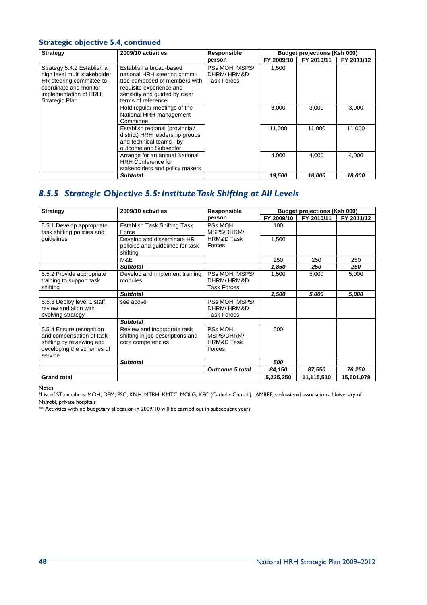#### **Strategic objective 5.4, continued**

| <b>Strategy</b>                                                                                                                                             | 2009/10 activities                                                                                                                                                          | Responsible                                        | <b>Budget projections (Ksh 000)</b> |            |            |  |
|-------------------------------------------------------------------------------------------------------------------------------------------------------------|-----------------------------------------------------------------------------------------------------------------------------------------------------------------------------|----------------------------------------------------|-------------------------------------|------------|------------|--|
|                                                                                                                                                             |                                                                                                                                                                             | person                                             | FY 2009/10                          | FY 2010/11 | FY 2011/12 |  |
| Strategy 5.4.2 Establish a<br>high level multi stakeholder<br>HR steering committee to<br>coordinate and monitor<br>implementation of HRH<br>Strategic Plan | Establish a broad-based<br>national HRH steering commi-<br>ttee composed of members with<br>requisite experience and<br>seniority and quided by clear<br>terms of reference | PSs MOH, MSPS/<br>DHRM/HRM&D<br><b>Task Forces</b> | 1.500                               |            |            |  |
|                                                                                                                                                             | Hold regular meetings of the<br>National HRH management<br>Committee                                                                                                        |                                                    | 3,000                               | 3,000      | 3,000      |  |
|                                                                                                                                                             | Establish regional (provincial/<br>district) HRH leadership groups<br>and technical teams - by<br>outcome and Subsector                                                     |                                                    | 11,000                              | 11,000     | 11,000     |  |
|                                                                                                                                                             | Arrange for an annual National<br><b>HRH Conference for</b><br>stakeholders and policy makers                                                                               |                                                    | 4.000                               | 4.000      | 4,000      |  |
|                                                                                                                                                             | <b>Subtotal</b>                                                                                                                                                             |                                                    | 19,500                              | 18,000     | 18,000     |  |

## *8.5.5 Strategic Objective 5.5: Institute Task Shifting at All Levels*

| <b>Strategy</b>                                                                                                           | 2009/10 activities                                                                   | Responsible                                               | <b>Budget projections (Ksh 000)</b> |            |            |  |
|---------------------------------------------------------------------------------------------------------------------------|--------------------------------------------------------------------------------------|-----------------------------------------------------------|-------------------------------------|------------|------------|--|
|                                                                                                                           |                                                                                      | person                                                    | FY 2009/10                          | FY 2010/11 | FY 2011/12 |  |
| 5.5.1 Develop appropriate<br>task shifting policies and                                                                   | Establish Task Shifting Task<br>Force                                                | PSs MOH,<br>MSPS/DHRM/                                    | 100                                 |            |            |  |
| guidelines                                                                                                                | Develop and disseminate HR<br>policies and guidelines for task<br>shifting           | HRM&D Task<br>Forces                                      | 1,500                               |            |            |  |
|                                                                                                                           | M&E                                                                                  |                                                           | 250                                 | 250        | 250        |  |
|                                                                                                                           | <b>Subtotal</b>                                                                      |                                                           | 1,850                               | 250        | 250        |  |
| 5.5.2 Provide appropriate<br>training to support task<br>shifting                                                         | Develop and implement training<br>modules                                            | PSs MOH, MSPS/<br>DHRM/HRM&D<br><b>Task Forces</b>        | 1,500                               | 5,000      | 5,000      |  |
|                                                                                                                           | <b>Subtotal</b>                                                                      |                                                           | 1,500                               | 5,000      | 5,000      |  |
| 5.5.3 Deploy level 1 staff,<br>review and align with<br>evolving strategy                                                 | see above                                                                            | PSs MOH, MSPS/<br>DHRM/HRM&D<br><b>Task Forces</b>        |                                     |            |            |  |
|                                                                                                                           | <b>Subtotal</b>                                                                      |                                                           |                                     |            |            |  |
| 5.5.4 Ensure recognition<br>and compensation of task<br>shifting by reviewing and<br>developing the schemes of<br>service | Review and incorporate task<br>shifting in job descriptions and<br>core competencies | PSs MOH,<br>MSPS/DHRM/<br><b>HRM&amp;D Task</b><br>Forces | 500                                 |            |            |  |
|                                                                                                                           | <b>Subtotal</b>                                                                      |                                                           | 500                                 |            |            |  |
|                                                                                                                           |                                                                                      | <b>Outcome 5 total</b>                                    | 84,150                              | 87,550     | 76,250     |  |
| <b>Grand total</b>                                                                                                        |                                                                                      |                                                           | 5,225,250                           | 11,115,510 | 15,601,078 |  |

Notes:

\*List of ST members: MOH, DPM, PSC, KNH, MTRH, KMTC, MOLG, KEC (Catholic Church), AMREF, professional associations, University of Nairobi, private hospitals

\*\* Activities with no budgetary allocation in 2009/10 will be carried out in subsequent years.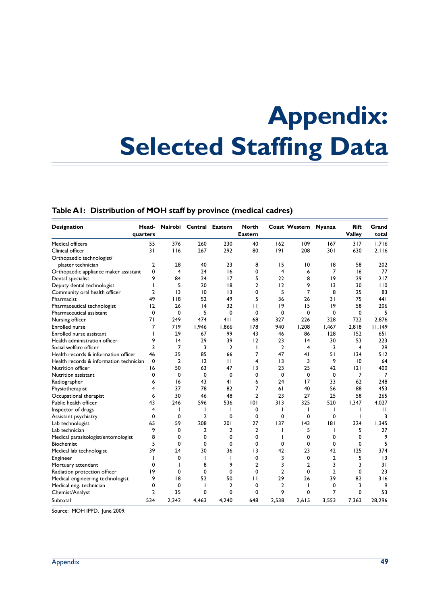# **Appendix: Selected Staffing Data**

| <b>Designation</b>                      | Head-<br>quarters |                 | Nairobi Central Eastern |                 | <b>North</b><br><b>Eastern</b> |                | Coast Western Nyanza |                | <b>Rift</b><br><b>Valley</b> | Grand<br>total |
|-----------------------------------------|-------------------|-----------------|-------------------------|-----------------|--------------------------------|----------------|----------------------|----------------|------------------------------|----------------|
| Medical officers                        | 55                | 376             | 260                     | 230             | 40                             | 162            | 109                  | 167            | 317                          | 1.716          |
| Clinical officer                        | 31                | 116             | 267                     | 292             | 80                             | 9              | 208                  | 301            | 630                          | 2,116          |
| Orthopaedic technologist/               |                   |                 |                         |                 |                                |                |                      |                |                              |                |
| plaster technician                      | 2                 | 28              | 40                      | 23              | 8                              | 15             | 10                   | 8              | 58                           | 202            |
| Orthopaedic appliance maker assistant   | 0                 | 4               | 24                      | 16              | 0                              | 4              | 6                    | 7              | 16                           | 77             |
| Dental specialist                       | 9                 | 84              | 24                      | 17              | 5                              | 22             | 8                    | 19             | 29                           | 217            |
| Deputy dental technologist              |                   | 5               | 20                      | 8               | $\overline{a}$                 | 12             | 9                    | 3              | 30                           | 110            |
| Community oral health officer           | 2                 | $\overline{13}$ | 10                      | $\overline{13}$ | $\Omega$                       | 5              | 7                    | 8              | 25                           | 83             |
| Pharmacist                              | 49                | 118             | 52                      | 49              | 5                              | 36             | 26                   | 31             | 75                           | 441            |
| Pharmaceutical technologist             | 12                | 26              | 4                       | 32              | п                              | 9              | 15                   | 9              | 58                           | 206            |
| Pharmaceutical assistant                | 0                 | 0               | 5                       | $\mathbf 0$     | 0                              | 0              | 0                    | 0              | 0                            | 5              |
| Nursing officer                         | 71                | 249             | 474                     | 411             | 68                             | 327            | 226                  | 328            | 722                          | 2.876          |
| Enrolled nurse                          | 7                 | 719             | 1,946                   | 1.866           | 178                            | 940            | 1,208                | 1,467          | 2,818                        | 11,149         |
| Enrolled nurse assistant                |                   | 29              | 67                      | 99              | 43                             | 46             | 86                   | 128            | 152                          | 651            |
| Health administration officer           | 9                 | 4               | 29                      | 39              | 12                             | 23             | 4                    | 30             | 53                           | 223            |
| Social welfare officer                  | 3                 | 7               | 3                       | $\overline{2}$  | ı                              | $\overline{2}$ | $\overline{4}$       | 3              | 4                            | 29             |
| Health records & information officer    | 46                | 35              | 85                      | 66              | $\overline{7}$                 | 47             | 41                   | 51             | 134                          | 512            |
| Health records & information technician | $\mathbf 0$       | 2               | 12                      | $\mathbf{H}$    | 4                              | 13             | 3                    | 9              | 10                           | 64             |
| Nutrition officer                       | 16                | 50              | 63                      | 47              | 13                             | 23             | 25                   | 42             | 2                            | 400            |
| Nutrition assistant                     | 0                 | 0               | 0                       | 0               | 0                              | 0              | 0                    | 0              | 7                            | 7              |
| Radiographer                            | 6                 | 16              | 43                      | 41              | 6                              | 24             | 17                   | 33             | 62                           | 248            |
| Physiotherapist                         | 4                 | 37              | 78                      | 82              | 7                              | 61             | 40                   | 56             | 88                           | 453            |
| Occupational therapist                  | 6                 | 30              | 46                      | 48              | $\overline{2}$                 | 23             | 27                   | 25             | 58                           | 265            |
| Public health officer                   | 43                | 246             | 596                     | 536             | 0                              | 313            | 325                  | 520            | 1,347                        | 4,027          |
| Inspector of drugs                      | 4                 | ı               |                         | ı               | 0                              | ı              | ı                    | 1              |                              | $\mathbf{1}$   |
| Assistant psychiatry                    | 0                 | 0               | $\overline{2}$          | $\mathbf 0$     | 0                              | 0              | 0                    | 0              |                              | 3              |
| Lab technologist                        | 65                | 59              | 208                     | 201             | 27                             | 137            | 43                   | 8              | 324                          | 1,345          |
| Lab technician                          | 9                 | 0               | 2                       | 2               | 2                              |                | 5                    |                | 5                            | 27             |
| Medical parasitologist/entomologist     | 8                 | 0               | 0                       | 0               | 0                              |                | 0                    | 0              | 0                            | 9              |
| Biochemist                              | 5                 | 0               | 0                       | 0               | 0                              | 0              | 0                    | 0              | 0                            | 5              |
| Medical lab technologist                | 39                | 24              | 30                      | 36              | 13                             | 42             | 23                   | 42             | 125                          | 374            |
| Engineer                                |                   | 0               |                         |                 | 0                              | 3              | 0                    | $\mathbf{2}$   | 5                            | $\overline{1}$ |
| Mortuary attendant                      | 0                 |                 | 8                       | 9               | 2                              | 3              | 2                    | 3              | 3                            | 31             |
| Radiation protection officer            | 9                 | 0               | 0                       | $\mathbf 0$     | 0                              | $\overline{2}$ | 0                    | 2              | 0                            | 2 <sub>3</sub> |
| Medical engineering technologist        | 9                 | 8               | 52                      | 50              | П                              | 29             | 26                   | 39             | 82                           | 316            |
| Medical eng. technician                 | 0                 | 0               |                         | 2               | 0                              | $\overline{2}$ | ı                    | 0              | 3                            | 9              |
| Chemist/Analyst                         | $\mathbf{2}$      | 35              | 0                       | 0               | 0                              | 9              | 0                    | $\overline{7}$ | 0                            | 53             |
| Subtotal                                | 534               | 2,342           | 4,463                   | 4,240           | 648                            | 2,538          | 2,615                | 3,553          | 7,363                        | 28,296         |

#### **Table A1: Distribution of MOH staff by province (medical cadres)**

Source: MOH IPPD, June 2009.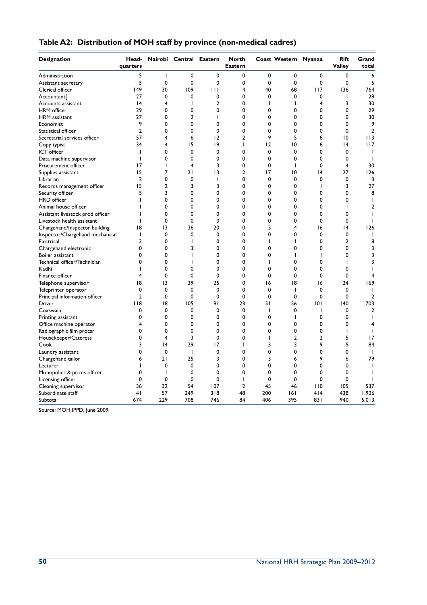| <b>Designation</b>               | Head-<br>quarters |                 | Nairobi Central Eastern |                | North<br><b>Eastern</b> |                | Coast Western Nyanza |                | Rift<br><b>Valley</b> | Grand<br>total |
|----------------------------------|-------------------|-----------------|-------------------------|----------------|-------------------------|----------------|----------------------|----------------|-----------------------|----------------|
| Administration                   | 5                 | T               | 0                       | 0              | 0                       | 0              | 0                    | 0              | 0                     | 6              |
| Assistant secretary              | 5                 | 0               | 0                       | 0              | 0                       | 0              | $\mathbf 0$          | 0              | 0                     | 5              |
| Clerical officer                 | 149               | 30              | 109                     | Ш              | 4                       | 40             | 68                   | 117            | 136                   | 764            |
| Accountant                       | 27                | 0               | 0                       | 0              | 0                       | 0              | 0                    | 0              | $\mathbf{I}$          | 28             |
| Accounts assistant               | 4                 | 4               | $\mathbf{I}$            | $\overline{2}$ | 0                       | $\overline{1}$ | $\mathbf{I}$         | 4              | 3                     | 30             |
| <b>HRM</b> officer               | 29                | 0               | 0                       | 0              | 0                       | $\mathbf 0$    | 0                    | 0              | 0                     | 29             |
| HRM assistant                    | 27                | 0               | $\overline{2}$          | I              | 0                       | 0              | $\mathbf 0$          | 0              | 0                     | 30             |
| Economist                        | 9                 | 0               | 0                       | 0              | 0                       | 0              | 0                    | 0              | 0                     | 9              |
| Statistical officer              | $\overline{2}$    | 0               | 0                       | 0              | 0                       | 0              | 0                    | 0              | 0                     | $\overline{2}$ |
| Secretarial services officer     | 57                | 4               | 6                       | 12             | $\overline{2}$          | 9              | 5                    | 8              | 10                    | 113            |
| Copy typist                      | 34                | 4               | 15                      | 9              | $\overline{1}$          | 12             | 10                   | 8              | 4                     | 117            |
| ICT officer                      | I                 | 0               | 0                       | 0              | 0                       | $\mathbf 0$    | 0                    | 0              | 0                     | $\mathbf{I}$   |
| Data machine supervisor          | T                 | 0               | 0                       | 0              | 0                       | 0              | $\mathbf 0$          | 0              | 0                     | $\mathbf{I}$   |
| Procurement officer              | 17                | T               | $\overline{4}$          | 3              | 0                       | $\mathbf 0$    | $\mathbf{I}$         | 0              | 4                     | 30             |
| Supplies assistant               | 15                | $\overline{7}$  | 21                      | 3              | $\overline{2}$          | 17             | 10                   | 4              | 27                    | 126            |
| Librarian                        | $\overline{2}$    | 0               | 0                       | $\overline{1}$ | 0                       | $\mathbf 0$    | $\mathbf 0$          | 0              | 0                     | 3              |
| Records management officer       | 15                | $\overline{2}$  | 3                       | 3              | 0                       | $\mathbf 0$    | 0                    | $\mathbf{I}$   | 3                     | 27             |
| Security officer                 | 5                 | 3               | 0                       | 0              | 0                       | 0              | 0                    | 0              | 0                     | 8              |
| <b>HRD</b> officer               | п                 | 0               | 0                       | 0              | 0                       | 0              | $\mathbf 0$          | 0              | 0                     | $\mathbf{I}$   |
| Animal house officer             |                   | 0               | 0                       | 0              | 0                       | 0              | $\mathbf 0$          | 0              | $\mathbf{I}$          | $\mathbf{2}$   |
|                                  | ı                 | 0               | $\mathbf 0$             | 0              | 0                       | $\mathbf 0$    | $\mathbf 0$          | 0              | 0                     | $\mathbf{I}$   |
| Assistant livestock prod officer | ı                 | 0               | 0                       | 0              | 0                       | 0              | $\mathbf 0$          | 0              | 0                     | $\mathbf{I}$   |
| Livestock health assistant       |                   |                 |                         |                | 0                       | 5              | 4                    |                | 4                     |                |
| Chargehand/Inspector building    | 18                | $\overline{13}$ | 36                      | 20             |                         |                |                      | 16             |                       | 126            |
| Inspector/Chargehand mechanical  | I                 | 0               | 0                       | 0              | 0                       | 0              | 0                    | 0              | 0                     | $\mathbf{I}$   |
| Electrical                       | 3                 | 0               | ı                       | 0              | 0                       | $\mathbf{I}$   | $\mathbf{I}$         | 0              | 2                     | 8              |
| Chargehand electronic            | 0                 | 0               | 3                       | 0              | 0                       | 0              | $\mathbf 0$          | 0              | 0                     | 3              |
| Boiler assistant                 | 0                 | 0               | ı                       | 0              | 0                       | 0              | ı                    | $\mathbf{I}$   | 0                     | 3              |
| Technical officer/Technician     | 0                 | 0               | ı                       | 0              | 0                       | ı              | $\mathbf 0$          | 0              | $\mathbf{I}$          | 3              |
| Kadhi                            | ш                 | 0               | 0                       | 0              | 0                       | 0              | 0                    | 0              | 0                     |                |
| Finance officer                  | 4                 | 0               | 0                       | 0              | 0                       | 0              | $\mathbf 0$          | 0              | 0                     | 4              |
| Telephone supervisor             | 18                | 13              | 39                      | 25             | 0                       | 16             | 18                   | 16             | 24                    | 169            |
| Teleprinter operator             | 0                 | 0               | 0                       | 0              | 0                       | $\mathbf 0$    | $\mathbf{I}$         | 0              | 0                     | I.             |
| Principal information officer    | 2                 | 0               | 0                       | 0              | 0                       | 0              | $\mathbf 0$          | 0              | 0                     | $\overline{2}$ |
| Driver                           | $ $ $ $ 8         | 18              | 105                     | 91             | 23                      | 51             | 56                   | 101            | 140                   | 703            |
| Coxswain                         | 0                 | 0               | 0                       | 0              | 0                       | ı              | 0                    | ı              | 0                     | 2              |
| Printing assistant               | 0                 | 0               | 0                       | 0              | 0                       | 0              | $\mathbf{I}$         | 0              | 0                     | $\mathbf{I}$   |
| Office machine operator          | 4                 | 0               | 0                       | 0              | 0                       | $\mathbf 0$    | $\mathbf 0$          | 0              | 0                     | 4              |
| Radiographic film procsr         | 0                 | 0               | 0                       | 0              | 0                       | 0              | 0                    | 0              | $\mathbf{I}$          | $\mathbf{I}$   |
| Housekeeper/Cateress             | 0                 | 4               | 3                       | 0              | 0                       | ı              | $\overline{2}$       | $\overline{2}$ | 5                     | 17             |
| Cook                             | 3                 | 4               | 29                      | 17             | $\mathbf{I}$            | 3              | 3                    | 9              | 5                     | 84             |
| Laundry assistant                | 0                 | 0               | ı                       | 0              | 0                       | 0              | 0                    | 0              | 0                     | $\mathbf{I}$   |
| Chargehand tailor                | 6                 | 21              | 25                      | 3              | $\Omega$                | 3              | 6                    | 9              | 6                     | 79             |
| Lecturer                         | ı                 | 0               | 0                       | 0              | 0                       | 0              | $\mathbf 0$          | 0              | 0                     | $\mathbf{I}$   |
| Monopolies & prices officer      | 0                 | ı               | 0                       | 0              | 0                       | 0              | $\mathbf 0$          | 0              | 0                     |                |
| Licensing officer                | 0                 | 0               | 0                       | 0              | $\mathbf{I}$            | 0              | $\mathbf 0$          | 0              | 0                     |                |
| Cleaning supervisor              | 36                | 32              | 54                      | 107            | 2                       | 45             | 46                   | 110            | 105                   | 537            |
| Subordinate staff                | 41                | 57              | 249                     | 318            | 48                      | 200            | 6                    | 414            | 438                   | 1,926          |
| Subtotal                         | 674               | 229             | 708                     | 746            | 84                      | 406            | 395                  | 831            | 940                   | 5,013          |

**Table A2: Distribution of MOH staff by province (non-medical cadres)**

Source: MOH IPPD, June 2009.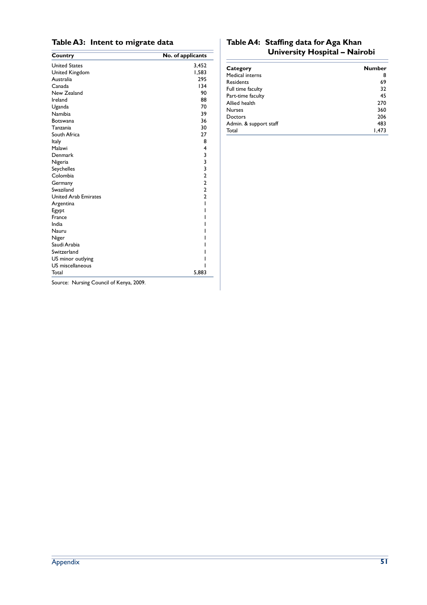|  | Table A3: Intent to migrate data |  |  |
|--|----------------------------------|--|--|
|--|----------------------------------|--|--|

| Country                     | No. of applicants |
|-----------------------------|-------------------|
| <b>United States</b>        | 3,452             |
| United Kingdom              | 1,583             |
| Australia                   | 295               |
| Canada                      | 134               |
| New Zealand                 | 90                |
| Ireland                     | 88                |
| Uganda                      | 70                |
| Namibia                     | 39                |
| <b>Botswana</b>             | 36                |
| Tanzania                    | 30                |
| South Africa                | 27                |
| Italy                       | 8                 |
| Malawi                      | 4                 |
| Denmark                     | 3                 |
| Nigeria                     | 3                 |
| Seychelles                  | 3                 |
| Colombia                    | $\overline{2}$    |
| Germany                     | $\overline{a}$    |
| Swaziland                   | $\overline{2}$    |
| <b>United Arab Emirates</b> | $\overline{2}$    |
| Argentina                   | ı                 |
| Egypt                       |                   |
| France                      |                   |
| India                       |                   |
| Nauru                       |                   |
| Niger                       |                   |
| Saudi Arabia                |                   |
| Switzerland                 |                   |
| US minor outlying           |                   |
| US miscellaneous            |                   |
| Total                       | 5,883             |
| $\sim$                      |                   |

#### **Table A4: Staffing data for Aga Khan University Hospital – Nairobi**

| Category               | <b>Number</b> |
|------------------------|---------------|
| Medical interns        | 8             |
| <b>Residents</b>       | 69            |
| Full time faculty      | 32            |
| Part-time faculty      | 45            |
| Allied health          | 270           |
| <b>Nurses</b>          | 360           |
| Doctors                | 206           |
| Admin. & support staff | 483           |
| Total                  | 1.473         |

Source: Nursing Council of Kenya, 2009.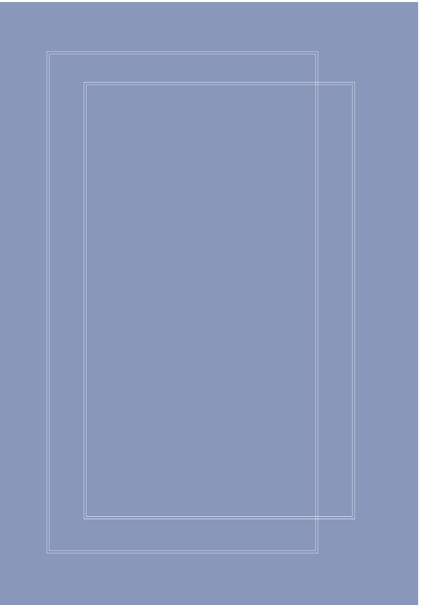